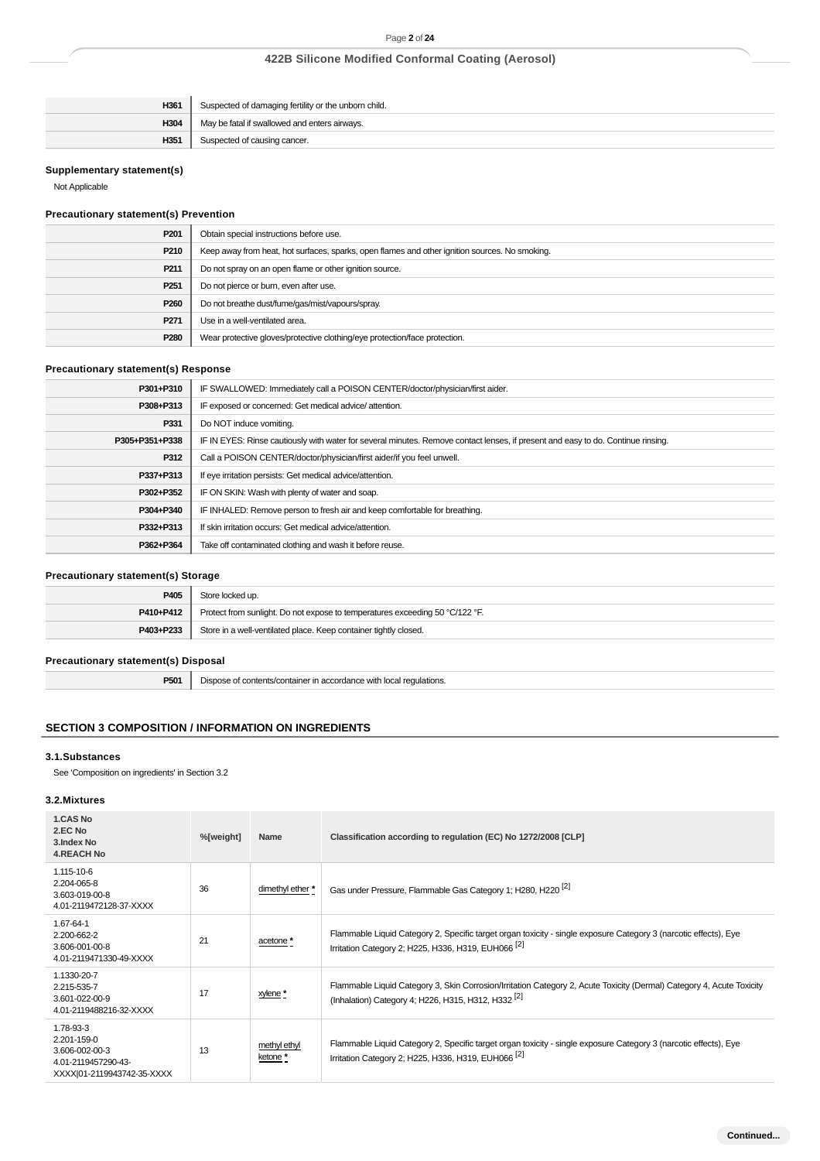| H361 | Suspected of damaging fertility or the unborn child. |
|------|------------------------------------------------------|
| H304 | May be fatal if swallowed and enters airways.        |
| H351 | Suspected of causing cancer.                         |

### **Supplementary statement(s)**

Not Applicable

# **Precautionary statement(s) Prevention**

| P201             | Obtain special instructions before use.                                                        |
|------------------|------------------------------------------------------------------------------------------------|
| P210             | Keep away from heat, hot surfaces, sparks, open flames and other ignition sources. No smoking. |
| P <sub>211</sub> | Do not spray on an open flame or other ignition source.                                        |
| P <sub>251</sub> | Do not pierce or burn, even after use.                                                         |
| P <sub>260</sub> | Do not breathe dust/fume/gas/mist/vapours/spray.                                               |
| P <sub>271</sub> | Use in a well-ventilated area.                                                                 |
| P <sub>280</sub> | Wear protective gloves/protective clothing/eye protection/face protection.                     |

# **Precautionary statement(s) Response**

| IF SWALLOWED: Immediately call a POISON CENTER/doctor/physician/first aider.<br>P301+P310                                                          |  |
|----------------------------------------------------------------------------------------------------------------------------------------------------|--|
| IF exposed or concerned: Get medical advice/attention.<br>P308+P313                                                                                |  |
| P331<br>Do NOT induce vomiting.                                                                                                                    |  |
| IF IN EYES: Rinse cautiously with water for several minutes. Remove contact lenses, if present and easy to do. Continue rinsing.<br>P305+P351+P338 |  |
| P312<br>Call a POISON CENTER/doctor/physician/first aider/if you feel unwell.                                                                      |  |
| If eye irritation persists: Get medical advice/attention.<br>P337+P313                                                                             |  |
| IF ON SKIN: Wash with plenty of water and soap.<br>P302+P352                                                                                       |  |
| IF INHALED: Remove person to fresh air and keep comfortable for breathing.<br>P304+P340                                                            |  |
| If skin irritation occurs: Get medical advice/attention.<br>P332+P313                                                                              |  |
| Take off contaminated clothing and wash it before reuse.<br>P362+P364                                                                              |  |

## **Precautionary statement(s) Storage**

| P405      | Store locked up.                                                             |
|-----------|------------------------------------------------------------------------------|
| P410+P412 | Protect from sunlight. Do not expose to temperatures exceeding 50 °C/122 °F. |
| P403+P233 | Store in a well-ventilated place. Keep container tightly closed.             |

## **Precautionary statement(s) Disposal**

**P501** Dispose of contents/container in accordance with local regulations.

# **SECTION 3 COMPOSITION / INFORMATION ON INGREDIENTS**

### **3.1.Substances**

See 'Composition on ingredients' in Section 3.2

### **3.2.Mixtures**

| 1.CAS No<br>2.EC No<br>3. Index No<br><b>4.REACH No</b>                                         | %[weight] | Name                     | Classification according to regulation (EC) No 1272/2008 [CLP]                                                                                                                          |  |  |  |
|-------------------------------------------------------------------------------------------------|-----------|--------------------------|-----------------------------------------------------------------------------------------------------------------------------------------------------------------------------------------|--|--|--|
| 1.115-10-6<br>2.204-065-8<br>3.603-019-00-8<br>4.01-2119472128-37-XXXX                          | 36        | dimethyl ether *         | Gas under Pressure, Flammable Gas Category 1; H280, H220 <sup>[2]</sup>                                                                                                                 |  |  |  |
| 1.67-64-1<br>2.200-662-2<br>3.606-001-00-8<br>4.01-2119471330-49-XXXX                           | 21        | acetone *                | Flammable Liquid Category 2, Specific target organ toxicity - single exposure Category 3 (narcotic effects), Eye<br>Irritation Category 2: H225, H336, H319, EUH066 <sup>[2]</sup>      |  |  |  |
| 1.1330-20-7<br>2.215-535-7<br>3.601-022-00-9<br>4.01-2119488216-32-XXXX                         | 17        | xylene *                 | Flammable Liquid Category 3, Skin Corrosion/Irritation Category 2, Acute Toxicity (Dermal) Category 4, Acute Toxicity<br>(Inhalation) Category 4; H226, H315, H312, H332 <sup>[2]</sup> |  |  |  |
| 1.78-93-3<br>2.201-159-0<br>3.606-002-00-3<br>4.01-2119457290-43-<br>XXXX 01-2119943742-35-XXXX | 13        | methyl ethyl<br>ketone * | Flammable Liquid Category 2, Specific target organ toxicity - single exposure Category 3 (narcotic effects), Eye<br>Irritation Category 2; H225, H336, H319, EUH066 <sup>[2]</sup>      |  |  |  |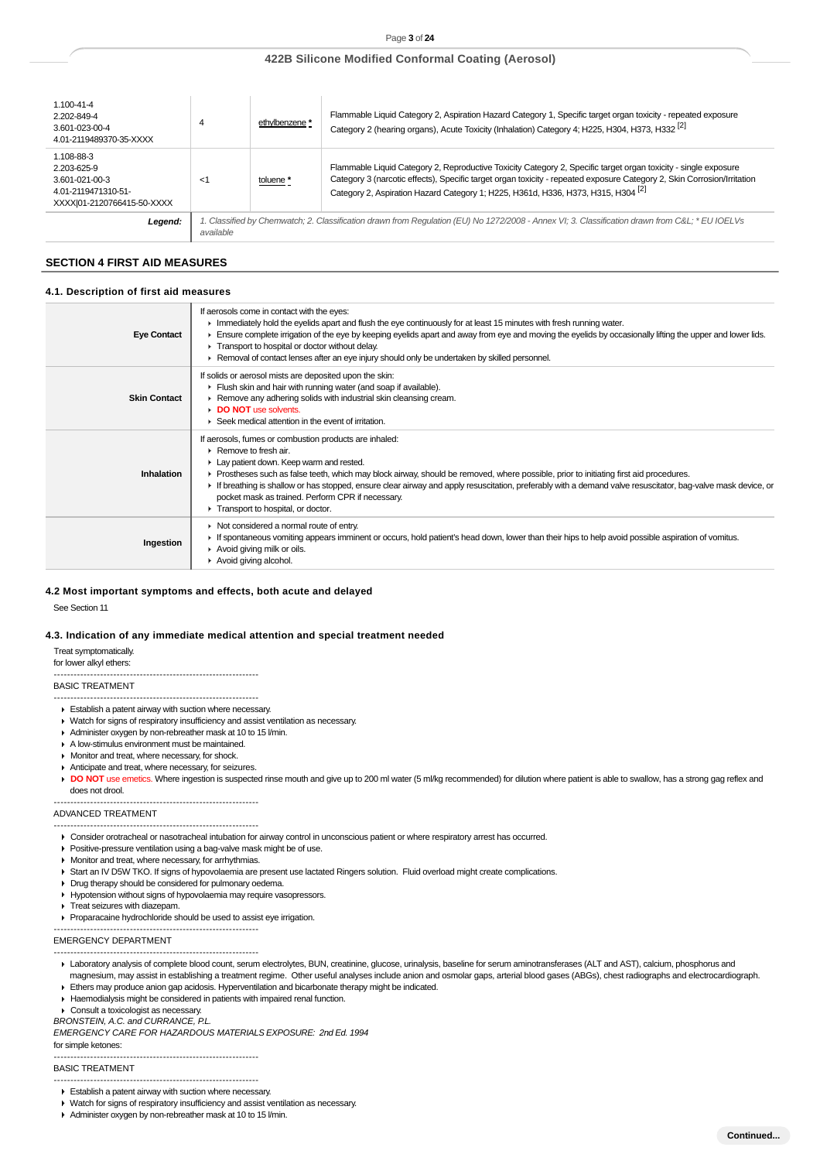| $1.100 - 41 - 4$<br>2.202-849-4<br>3.601-023-00-4<br>4.01-2119489370-35-XXXX                     | 4         | ethylbenzene *                                                                                                                                 | Flammable Liquid Category 2, Aspiration Hazard Category 1, Specific target organ toxicity - repeated exposure<br>Category 2 (hearing organs), Acute Toxicity (Inhalation) Category 4; H225, H304, H373, H332 <sup>[2]</sup>                                                                                                                |  |  |  |  |
|--------------------------------------------------------------------------------------------------|-----------|------------------------------------------------------------------------------------------------------------------------------------------------|--------------------------------------------------------------------------------------------------------------------------------------------------------------------------------------------------------------------------------------------------------------------------------------------------------------------------------------------|--|--|--|--|
| 1.108-88-3<br>2.203-625-9<br>3.601-021-00-3<br>4.01-2119471310-51-<br>XXXXI01-2120766415-50-XXXX | -1        | toluene *                                                                                                                                      | Flammable Liquid Category 2, Reproductive Toxicity Category 2, Specific target organ toxicity - single exposure<br>Category 3 (narcotic effects), Specific target organ toxicity - repeated exposure Category 2, Skin Corrosion/Irritation<br>Category 2, Aspiration Hazard Category 1; H225, H361d, H336, H373, H315, H304 <sup>[2]</sup> |  |  |  |  |
| Legend:                                                                                          | available | 1. Classified by Chemwatch; 2. Classification drawn from Regulation (EU) No 1272/2008 - Annex VI; 3. Classification drawn from C&L * EU IOELVs |                                                                                                                                                                                                                                                                                                                                            |  |  |  |  |

### **SECTION 4 FIRST AID MEASURES**

### **4.1. Description of first aid measures**

| <b>Eye Contact</b>  | If aerosols come in contact with the eyes:<br>Immediately hold the eyelids apart and flush the eye continuously for at least 15 minutes with fresh running water.<br>Ensure complete irrigation of the eye by keeping eyelids apart and away from eye and moving the eyelids by occasionally lifting the upper and lower lids.<br>Transport to hospital or doctor without delay.<br>► Removal of contact lenses after an eye injury should only be undertaken by skilled personnel.                                                           |
|---------------------|-----------------------------------------------------------------------------------------------------------------------------------------------------------------------------------------------------------------------------------------------------------------------------------------------------------------------------------------------------------------------------------------------------------------------------------------------------------------------------------------------------------------------------------------------|
| <b>Skin Contact</b> | If solids or aerosol mists are deposited upon the skin:<br>Flush skin and hair with running water (and soap if available).<br>▶ Remove any adhering solids with industrial skin cleansing cream.<br>DO NOT use solvents.<br>▶ Seek medical attention in the event of irritation.                                                                                                                                                                                                                                                              |
| Inhalation          | If aerosols, fumes or combustion products are inhaled:<br>$\triangleright$ Remove to fresh air.<br>Lay patient down. Keep warm and rested.<br>► Prostheses such as false teeth, which may block airway, should be removed, where possible, prior to initiating first aid procedures.<br>If breathing is shallow or has stopped, ensure clear airway and apply resuscitation, preferably with a demand valve resuscitator, bag-valve mask device, or<br>pocket mask as trained. Perform CPR if necessary.<br>Transport to hospital, or doctor. |
| Ingestion           | • Not considered a normal route of entry.<br>If spontaneous vomiting appears imminent or occurs, hold patient's head down, lower than their hips to help avoid possible aspiration of vomitus.<br>Avoid giving milk or oils.<br>Avoid giving alcohol.                                                                                                                                                                                                                                                                                         |

#### **4.2 Most important symptoms and effects, both acute and delayed**

See Section 11

#### **4.3. Indication of any immediate medical attention and special treatment needed**

Treat symptomatically.

for lower alkyl ethers: --------------------------------------------------------------

### BASIC TREATMENT

- --------------------------------------------------------------
- Establish a patent airway with suction where necessary.
- ► Watch for signs of respiratory insufficiency and assist ventilation as necessary.
- Administer oxygen by non-rebreather mask at 10 to 15 l/min.
- A low-stimulus environment must be maintained.
- **Monitor and treat, where necessary, for shock.**
- Anticipate and treat, where necessary, for seizures.
- DO NOT use emetics. Where ingestion is suspected rinse mouth and give up to 200 ml water (5 ml/kg recommended) for dilution where patient is able to swallow, has a strong gag reflex and does not drool.

#### --------------------------------------------------------------

ADVANCED TREATMENT

-------------------------------------------------------------- Consider orotracheal or nasotracheal intubation for airway control in unconscious patient or where respiratory arrest has occurred.

- Positive-pressure ventilation using a bag-valve mask might be of use.
- **Monitor and treat, where necessary, for arrhythmias.**
- Start an IV D5W TKO. If signs of hypovolaemia are present use lactated Ringers solution. Fluid overload might create complications.
- Drug therapy should be considered for pulmonary oedema.
- Hypotension without signs of hypovolaemia may require vasopressors.
- **Treat seizures with diazepam.**
- Proparacaine hydrochloride should be used to assist eye irrigation.

EMERGENCY DEPARTMENT

- -------------------------------------------------------------- ▶ Laboratory analysis of complete blood count, serum electrolytes, BUN, creatinine, glucose, urinalysis, baseline for serum aminotransferases (ALT and AST), calcium, phosphorus and
- magnesium, may assist in establishing a treatment regime. Other useful analyses include anion and osmolar gaps, arterial blood gases (ABGs), chest radiographs and electrocardiograph. Ethers may produce anion gap acidosis. Hyperventilation and bicarbonate therapy might be indicated.
- Haemodialysis might be considered in patients with impaired renal function.

--------------------------------------------------------------

▶ Consult a toxicologist as necessary.

BRONSTEIN, A.C. and CURRANCE, P.L.

EMERGENCY CARE FOR HAZARDOUS MATERIALS EXPOSURE: 2nd Ed. 1994

for simple ketones: --------------------------------------------------------------

BASIC TREATMENT

- --------------------------------------------------------------
- Establish a patent airway with suction where necessary.
- Watch for signs of respiratory insufficiency and assist ventilation as necessary.
- Administer oxygen by non-rebreather mask at 10 to 15 l/min.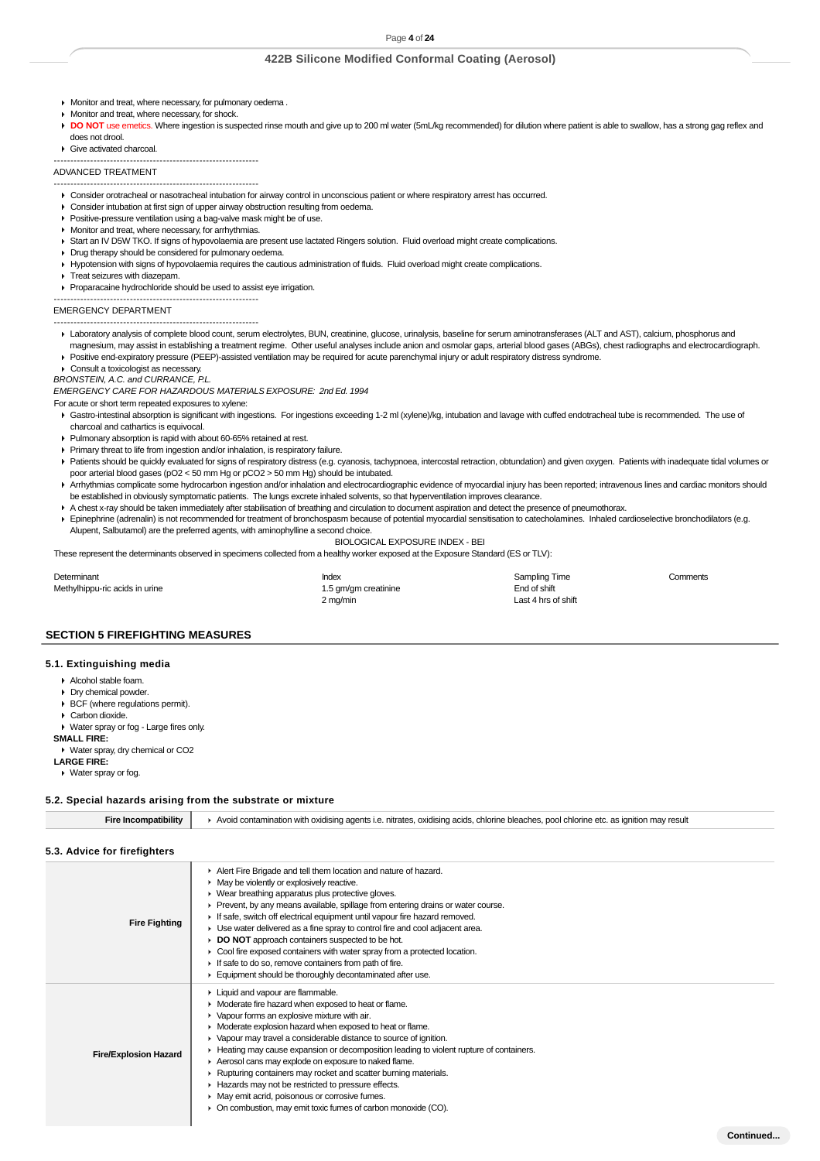- Monitor and treat, where necessary, for pulmonary oedema .
- Monitor and treat, where necessary, for shock.
- DO NOT use emetics. Where ingestion is suspected rinse mouth and give up to 200 ml water (5mL/kg recommended) for dilution where patient is able to swallow, has a strong gag reflex and does not drool.
- Give activated charcoal.

-------------------------------------------------------------- ADVANCED TREATMENT

- --------------------------------------------------------------
- Consider orotracheal or nasotracheal intubation for airway control in unconscious patient or where respiratory arrest has occurred.
- ▶ Consider intubation at first sign of upper airway obstruction resulting from oedema
- **Positive-pressure ventilation using a bag-valve mask might be of use.**
- **Monitor and treat, where necessary, for arrhythmias.**
- Start an IV D5W TKO. If signs of hypovolaemia are present use lactated Ringers solution. Fluid overload might create complications.
- Drug therapy should be considered for pulmonary oedema.
- Hypotension with signs of hypovolaemia requires the cautious administration of fluids. Fluid overload might create complications.
- **F** Treat seizures with diazepam.
- Proparacaine hydrochloride should be used to assist eye irrigation.

EMERGENCY DEPARTMENT

- -------------------------------------------------------------- --------------------------------------------------------------
- Laboratory analysis of complete blood count, serum electrolytes, BUN, creatinine, glucose, urinalysis, baseline for serum aminotransferases (ALT and AST), calcium, phosphorus and magnesium, may assist in establishing a treatment regime. Other useful analyses include anion and osmolar gaps, arterial blood gases (ABGs), chest radiographs and electrocardiograph.

Positive end-expiratory pressure (PEEP)-assisted ventilation may be required for acute parenchymal injury or adult respiratory distress syndrome.

- Consult a toxicologist as necessary
- BRONSTEIN, A.C. and CURRANCE, P.L.

EMERGENCY CARE FOR HAZARDOUS MATERIALS EXPOSURE: 2nd Ed. 1994

For acute or short term repeated exposures to xylene:

- Gastro-intestinal absorption is significant with ingestions. For ingestions exceeding 1-2 ml (xylene)/kg, intubation and lavage with cuffed endotracheal tube is recommended. The use of charcoal and cathartics is equivocal.
- Pulmonary absorption is rapid with about 60-65% retained at rest.
- Primary threat to life from ingestion and/or inhalation, is respiratory failure.
- Patients should be quickly evaluated for signs of respiratory distress (e.g. cyanosis, tachypnoea, intercostal retraction, obtundation) and given oxygen. Patients with inadequate tidal volumes or poor arterial blood gases (pO2 < 50 mm Hg or pCO2 > 50 mm Hg) should be intubated.
- ▶ Arrhythmias complicate some hydrocarbon ingestion and/or inhalation and electrocardiographic evidence of myocardial injury has been reported; intravenous lines and cardiac monitors should be established in obviously symptomatic patients. The lungs excrete inhaled solvents, so that hyperventilation improves clearance.
- A chest x-ray should be taken immediately after stabilisation of breathing and circulation to document aspiration and detect the presence of pneumothorax.
- Epinephrine (adrenalin) is not recommended for treatment of bronchospasm because of potential myocardial sensitisation to catecholamines. Inhaled cardioselective bronchodilators (e.g. Alupent, Salbutamol) are the preferred agents, with aminophylline a second choice.
	- BIOLOGICAL EXPOSURE INDEX BEI

These represent the determinants observed in specimens collected from a healthy worker exposed at the Exposure Standard (ES or TLV):

Determinant Comments Comments Comments Comments Comments Comments Comments Comments Comments Comments Comments Methylhippu-ric acids in urine 1.5 gm/gm creatinine 1.5 gm/gm creatinine End of shift 2 mg/min Last 4 hrs of shift

### **SECTION 5 FIREFIGHTING MEASURES**

#### **5.1. Extinguishing media**

- Alcohol stable foam.
- Dry chemical powder
- BCF (where regulations permit).
- Carbon dioxide.
- Water spray or fog Large fires only. **SMALL FIRE:**
- Water spray, dry chemical or CO2
- **LARGE FIRE:**
- Water spray or fog.

### **5.2. Special hazards arising from the substrate or mixture**

| <b>Fire Incompatibility</b>  | ▶ Avoid contamination with oxidising agents i.e. nitrates, oxidising acids, chlorine bleaches, pool chlorine etc. as ignition may result                                                                                                                                                                                                                                                                                                                                                                                                                                                                                                                                             |
|------------------------------|--------------------------------------------------------------------------------------------------------------------------------------------------------------------------------------------------------------------------------------------------------------------------------------------------------------------------------------------------------------------------------------------------------------------------------------------------------------------------------------------------------------------------------------------------------------------------------------------------------------------------------------------------------------------------------------|
| 5.3. Advice for firefighters |                                                                                                                                                                                                                                                                                                                                                                                                                                                                                                                                                                                                                                                                                      |
| <b>Fire Fighting</b>         | Alert Fire Brigade and tell them location and nature of hazard.<br>May be violently or explosively reactive.<br>• Wear breathing apparatus plus protective gloves.<br>► Prevent, by any means available, spillage from entering drains or water course.<br>If safe, switch off electrical equipment until vapour fire hazard removed.<br>► Use water delivered as a fine spray to control fire and cool adjacent area.<br><b>DO NOT</b> approach containers suspected to be hot.<br>• Cool fire exposed containers with water spray from a protected location.<br>If safe to do so, remove containers from path of fire.<br>Equipment should be thoroughly decontaminated after use. |

- Liquid and vapour are flammable.
- **Moderate fire hazard when exposed to heat or flame.** 
	- Vapour forms an explosive mixture with air. ¥.
	- Moderate explosion hazard when exposed to heat or flame.
	- Vapour may travel a considerable distance to source of ignition.
	- Heating may cause expansion or decomposition leading to violent rupture of containers.
- **Fire/Explosion Hazard** Aerosol cans may explode on exposure to naked flame.
	- Rupturing containers may rocket and scatter burning materials.
		- Hazards may not be restricted to pressure effects.
		- $\blacktriangleright$  May emit acrid, poisonous or corrosive fumes.
		- ▶ On combustion, may emit toxic fumes of carbon monoxide (CO).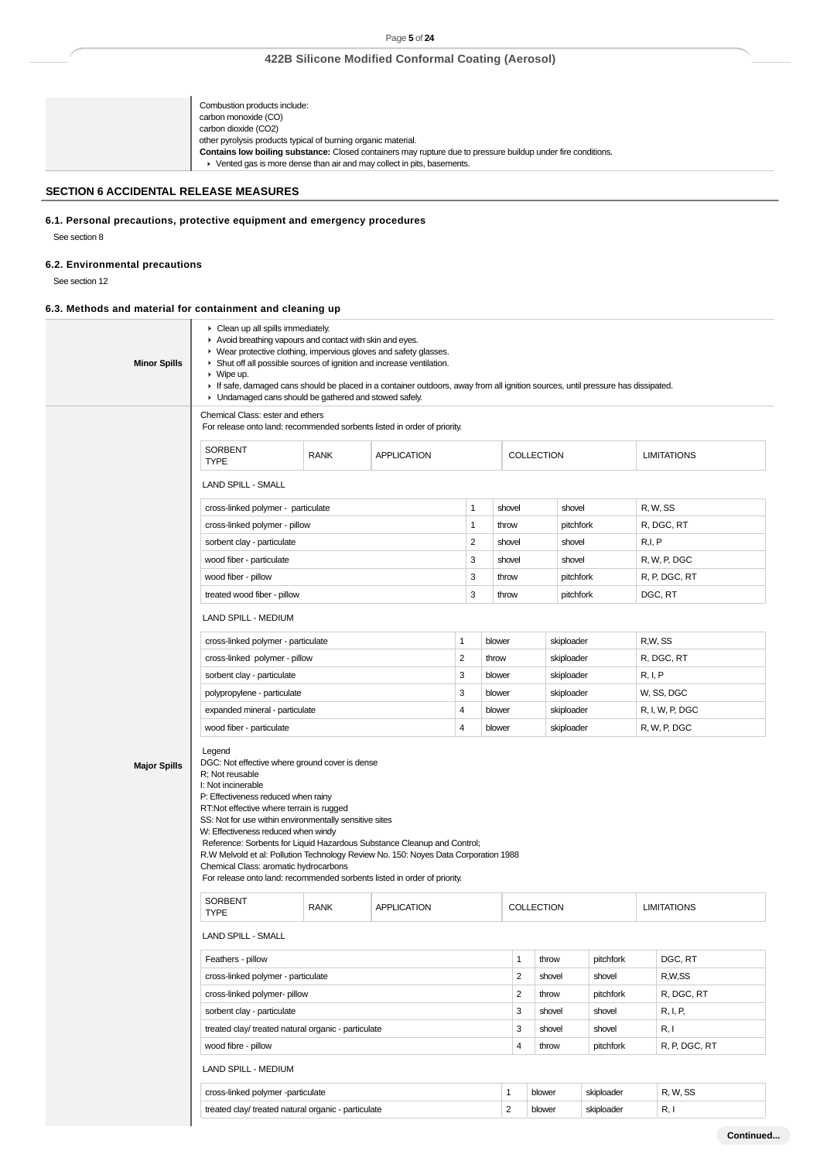## Page **5** of **24**

# **422B Silicone Modified Conformal Coating (Aerosol)**

| Combustion products include:                                                                                 |
|--------------------------------------------------------------------------------------------------------------|
| carbon monoxide (CO)                                                                                         |
| carbon dioxide (CO2)                                                                                         |
| other pyrolysis products typical of burning organic material.                                                |
| Contains low boiling substance: Closed containers may rupture due to pressure buildup under fire conditions. |
| Vented gas is more dense than air and may collect in pits, basements.                                        |

# **SECTION 6 ACCIDENTAL RELEASE MEASURES**

**6.1. Personal precautions, protective equipment and emergency procedures**

# **6.2. Environmental precautions**

See section 12

See section 8

# **6.3. Methods and material for containment and cleaning up**

| <b>Minor Spills</b> | • Clean up all spills immediately.<br>Avoid breathing vapours and contact with skin and eyes.<br>• Wear protective clothing, impervious gloves and safety glasses.<br>• Shut off all possible sources of ignition and increase ventilation.<br>$\triangleright$ Wipe up.<br>If safe, damaged cans should be placed in a container outdoors, away from all ignition sources, until pressure has dissipated.<br>• Undamaged cans should be gathered and stowed safely.                                                                                                         |                                   |                    |                |                                       |                |            |               |                    |                    |
|---------------------|------------------------------------------------------------------------------------------------------------------------------------------------------------------------------------------------------------------------------------------------------------------------------------------------------------------------------------------------------------------------------------------------------------------------------------------------------------------------------------------------------------------------------------------------------------------------------|-----------------------------------|--------------------|----------------|---------------------------------------|----------------|------------|---------------|--------------------|--------------------|
|                     | Chemical Class: ester and ethers<br>For release onto land: recommended sorbents listed in order of priority.                                                                                                                                                                                                                                                                                                                                                                                                                                                                 |                                   |                    |                |                                       |                |            |               |                    |                    |
|                     | <b>SORBENT</b><br><b>TYPE</b>                                                                                                                                                                                                                                                                                                                                                                                                                                                                                                                                                | <b>RANK</b><br><b>APPLICATION</b> |                    |                |                                       | COLLECTION     |            |               |                    | <b>LIMITATIONS</b> |
|                     | LAND SPILL - SMALL                                                                                                                                                                                                                                                                                                                                                                                                                                                                                                                                                           |                                   |                    |                |                                       |                |            |               |                    |                    |
|                     | cross-linked polymer - particulate                                                                                                                                                                                                                                                                                                                                                                                                                                                                                                                                           |                                   |                    | 1              | shovel                                |                | shovel     |               |                    | R, W, SS           |
|                     | cross-linked polymer - pillow                                                                                                                                                                                                                                                                                                                                                                                                                                                                                                                                                |                                   |                    | 1              | throw                                 |                | pitchfork  |               |                    | R, DGC, RT         |
|                     | sorbent clay - particulate                                                                                                                                                                                                                                                                                                                                                                                                                                                                                                                                                   |                                   |                    | $\overline{c}$ | shovel                                |                | shovel     |               | R,I, P             |                    |
|                     | wood fiber - particulate                                                                                                                                                                                                                                                                                                                                                                                                                                                                                                                                                     |                                   |                    | 3              | shovel                                |                | shovel     |               |                    | R, W, P, DGC       |
|                     | wood fiber - pillow                                                                                                                                                                                                                                                                                                                                                                                                                                                                                                                                                          |                                   |                    | 3              | throw                                 |                | pitchfork  |               |                    | R, P, DGC, RT      |
|                     | treated wood fiber - pillow                                                                                                                                                                                                                                                                                                                                                                                                                                                                                                                                                  |                                   |                    | 3              | throw                                 |                | pitchfork  |               |                    | DGC, RT            |
|                     | LAND SPILL - MEDIUM                                                                                                                                                                                                                                                                                                                                                                                                                                                                                                                                                          |                                   |                    |                |                                       |                |            |               |                    |                    |
|                     | cross-linked polymer - particulate                                                                                                                                                                                                                                                                                                                                                                                                                                                                                                                                           |                                   |                    | 1              | blower                                |                | skiploader |               |                    | R,W, SS            |
|                     | cross-linked polymer - pillow                                                                                                                                                                                                                                                                                                                                                                                                                                                                                                                                                |                                   |                    | $\overline{2}$ | throw                                 |                | skiploader |               |                    | R, DGC, RT         |
|                     | sorbent clay - particulate                                                                                                                                                                                                                                                                                                                                                                                                                                                                                                                                                   |                                   |                    | 3              | blower                                |                | skiploader |               | R, I, P            |                    |
|                     | polypropylene - particulate                                                                                                                                                                                                                                                                                                                                                                                                                                                                                                                                                  |                                   |                    | 3              | blower                                |                | skiploader |               |                    | W, SS, DGC         |
|                     | expanded mineral - particulate                                                                                                                                                                                                                                                                                                                                                                                                                                                                                                                                               |                                   |                    | 4              | blower                                |                | skiploader |               |                    | R, I, W, P, DGC    |
|                     | wood fiber - particulate                                                                                                                                                                                                                                                                                                                                                                                                                                                                                                                                                     |                                   |                    |                | blower                                |                | skiploader |               |                    | R, W, P, DGC       |
| <b>Major Spills</b> | Legend<br>DGC: Not effective where ground cover is dense<br>R; Not reusable<br>I: Not incinerable<br>P: Effectiveness reduced when rainy<br>RT:Not effective where terrain is rugged<br>SS: Not for use within environmentally sensitive sites<br>W: Effectiveness reduced when windy<br>Reference: Sorbents for Liquid Hazardous Substance Cleanup and Control;<br>R.W Melvold et al: Pollution Technology Review No. 150: Noyes Data Corporation 1988<br>Chemical Class: aromatic hydrocarbons<br>For release onto land: recommended sorbents listed in order of priority. |                                   |                    |                |                                       |                |            |               |                    |                    |
|                     | <b>SORBENT</b><br><b>TYPE</b>                                                                                                                                                                                                                                                                                                                                                                                                                                                                                                                                                | <b>RANK</b>                       | <b>APPLICATION</b> |                |                                       | COLLECTION     |            |               | <b>LIMITATIONS</b> |                    |
|                     | <b>LAND SPILL - SMALL</b>                                                                                                                                                                                                                                                                                                                                                                                                                                                                                                                                                    |                                   |                    |                |                                       |                |            |               |                    |                    |
|                     | Feathers - pillow                                                                                                                                                                                                                                                                                                                                                                                                                                                                                                                                                            |                                   |                    |                |                                       | 1              | throw      | pitchfork     |                    | DGC, RT            |
|                     | cross-linked polymer - particulate                                                                                                                                                                                                                                                                                                                                                                                                                                                                                                                                           |                                   |                    |                |                                       | $\overline{2}$ | shovel     | shovel        |                    | R,W,SS             |
|                     | cross-linked polymer- pillow                                                                                                                                                                                                                                                                                                                                                                                                                                                                                                                                                 |                                   |                    |                |                                       | $\overline{2}$ | throw      | pitchfork     |                    | R, DGC, RT         |
|                     | sorbent clay - particulate                                                                                                                                                                                                                                                                                                                                                                                                                                                                                                                                                   |                                   |                    |                |                                       | 3              | shovel     | shovel        |                    | R, I, P,           |
|                     | treated clay/ treated natural organic - particulate<br>wood fibre - pillow                                                                                                                                                                                                                                                                                                                                                                                                                                                                                                   |                                   |                    |                |                                       | 3              | shovel     | shovel        |                    | R, I               |
|                     |                                                                                                                                                                                                                                                                                                                                                                                                                                                                                                                                                                              |                                   |                    | 4              | throw                                 | pitchfork      |            | R, P, DGC, RT |                    |                    |
|                     | LAND SPILL - MEDIUM                                                                                                                                                                                                                                                                                                                                                                                                                                                                                                                                                          |                                   |                    |                |                                       |                |            |               |                    |                    |
|                     | cross-linked polymer -particulate                                                                                                                                                                                                                                                                                                                                                                                                                                                                                                                                            |                                   |                    |                | R, W, SS<br>1<br>blower<br>skiploader |                |            |               |                    |                    |
|                     | treated clay/ treated natural organic - particulate                                                                                                                                                                                                                                                                                                                                                                                                                                                                                                                          |                                   |                    |                | $\overline{2}$                        |                | blower     | skiploader    |                    | R, I               |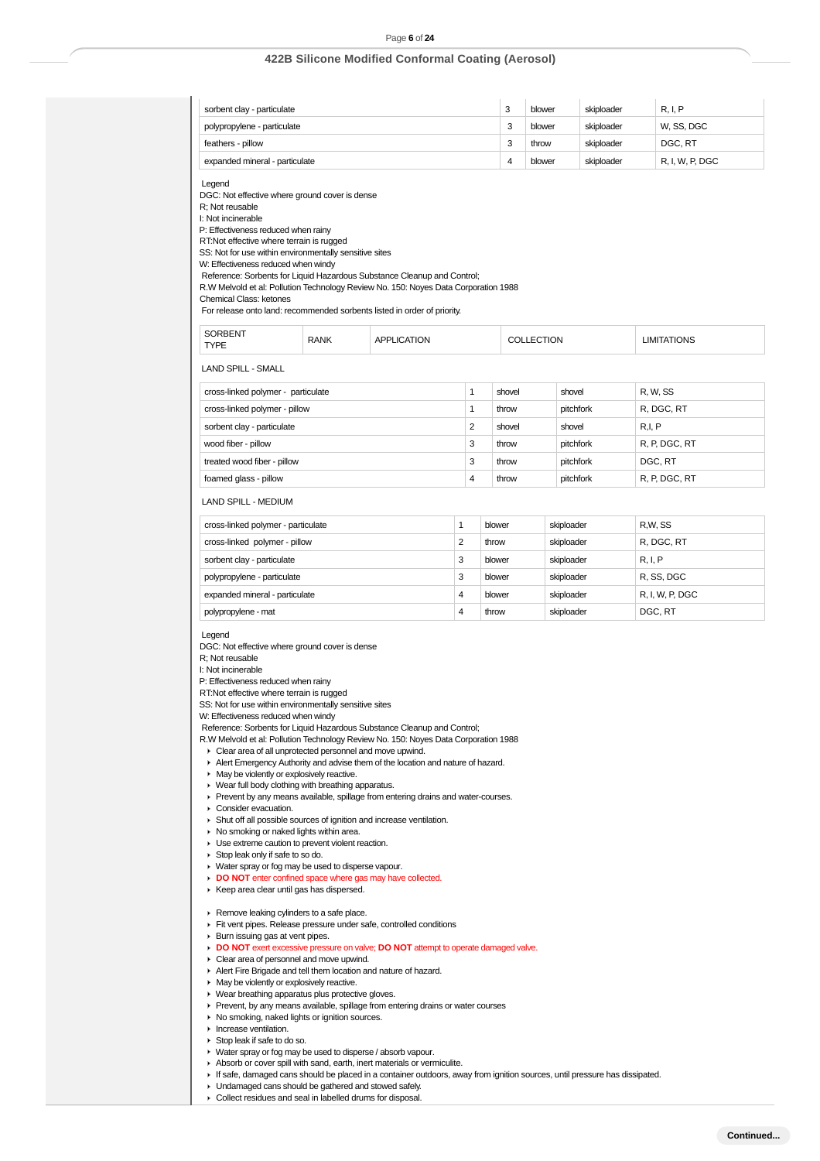### Page **6** of **24**

# **422B Silicone Modified Conformal Coating (Aerosol)**

| sorbent clay - particulate     | o | blower | skiploader | R, I, P         |
|--------------------------------|---|--------|------------|-----------------|
| polypropylene - particulate    |   | blower | skiploader | W. SS. DGC      |
| feathers - pillow              |   | throw  | skiploader | DGC, RT         |
| expanded mineral - particulate |   | blower | skiploader | R. I. W. P. DGC |

Legend

DGC: Not effective where ground cover is dense

R; Not reusable

I: Not incinerable

P: Effectiveness reduced when rainy RT:Not effective where terrain is rugged

SS: Not for use within environmentally sensitive sites

W: Effectiveness reduced when windy

Reference: Sorbents for Liquid Hazardous Substance Cleanup and Control;

R.W Melvold et al: Pollution Technology Review No. 150: Noyes Data Corporation 1988

Chemical Class: ketones

For release onto land: recommended sorbents listed in order of priority.

| . .<br><b>TYPE</b> | <b>RANK</b> | ורו<br>ы | ON | MS. |
|--------------------|-------------|----------|----|-----|
|--------------------|-------------|----------|----|-----|

LAND SPILL - SMALL

| cross-linked polymer - particulate |   | shovel | shovel    | R, W, SS      |
|------------------------------------|---|--------|-----------|---------------|
| cross-linked polymer - pillow      |   | throw  | pitchfork | R, DGC, RT    |
| sorbent clay - particulate         | 2 | shovel | shovel    | R.I. P        |
| wood fiber - pillow                | 3 | throw  | pitchfork | R, P, DGC, RT |
| treated wood fiber - pillow        | 3 | throw  | pitchfork | DGC, RT       |
| foamed glass - pillow              | 4 | throw  | pitchfork | R, P, DGC, RT |

LAND SPILL - MEDIUM

| cross-linked polymer - particulate |   | blower | skiploader | R.W.SS          |
|------------------------------------|---|--------|------------|-----------------|
| cross-linked polymer - pillow      | 2 | throw  | skiploader | R. DGC. RT      |
| sorbent clay - particulate         | 3 | blower | skiploader | R, I, P         |
| polypropylene - particulate        | 3 | blower | skiploader | R, SS, DGC      |
| expanded mineral - particulate     | 4 | blower | skiploader | R, I, W, P, DGC |
| polypropylene - mat                | 4 | throw  | skiploader | DGC, RT         |

### Legend

DGC: Not effective where ground cover is dense

R; Not reusable

I: Not incinerable

P: Effectiveness reduced when rainy

RT:Not effective where terrain is rugged

SS: Not for use within environmentally sensitive sites

W: Effectiveness reduced when windy

Reference: Sorbents for Liquid Hazardous Substance Cleanup and Control;

R.W Melvold et al: Pollution Technology Review No. 150: Noyes Data Corporation 1988

Clear area of all unprotected personnel and move upwind.

Alert Emergency Authority and advise them of the location and nature of hazard.

**May be violently or explosively reactive.** 

▶ Wear full body clothing with breathing apparatus.

Prevent by any means available, spillage from entering drains and water-courses.

▶ Consider evacuation.

Shut off all possible sources of ignition and increase ventilation.

- $\triangleright$  No smoking or naked lights within area.
- **Use extreme caution to prevent violent reaction.**
- Stop leak only if safe to so do.
- ▶ Water spray or fog may be used to disperse vapour.
- **DO NOT** enter confined space where gas may have collected.
- Keep area clear until gas has dispersed.

**Remove leaking cylinders to a safe place.** 

- Fit vent pipes. Release pressure under safe, controlled conditions
- $\blacktriangleright$  Burn issuing gas at vent pipes.
- **DO NOT** exert excessive pressure on valve; **DO NOT** attempt to operate damaged valve.
- ▶ Clear area of personnel and move upwind. Alert Fire Brigade and tell them location and nature of hazard.
- **May be violently or explosively reactive.**
- ▶ Wear breathing apparatus plus protective gloves.
- Prevent, by any means available, spillage from entering drains or water courses
- $\triangleright$  No smoking, naked lights or ignition sources.
- $\blacksquare$  Increase ventilation.
- Stop leak if safe to do so.
- Water spray or fog may be used to disperse / absorb vapour.
- Absorb or cover spill with sand, earth, inert materials or vermiculite.
- If safe, damaged cans should be placed in a container outdoors, away from ignition sources, until pressure has dissipated.
- **I** Undamaged cans should be gathered and stowed safely.
- Collect residues and seal in labelled drums for disposal.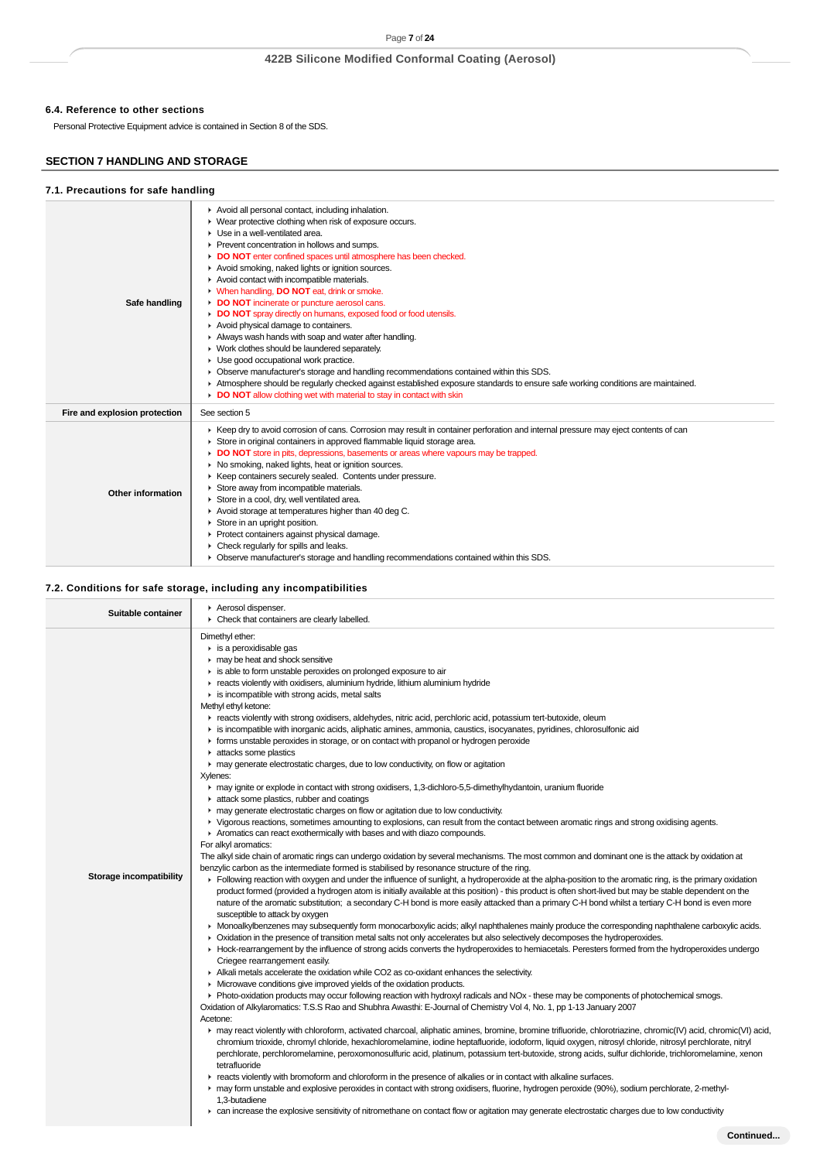# **6.4. Reference to other sections**

Personal Protective Equipment advice is contained in Section 8 of the SDS.

# **SECTION 7 HANDLING AND STORAGE**

### **7.1. Precautions for safe handling**

| Safe handling                 | Avoid all personal contact, including inhalation.<br>▶ Wear protective clothing when risk of exposure occurs.<br>Use in a well-ventilated area.<br>Prevent concentration in hollows and sumps.<br>DO NOT enter confined spaces until atmosphere has been checked.<br>Avoid smoking, naked lights or ignition sources.<br>Avoid contact with incompatible materials.<br>V When handling, DO NOT eat, drink or smoke.<br>DO NOT incinerate or puncture aerosol cans.<br>DO NOT spray directly on humans, exposed food or food utensils.<br>Avoid physical damage to containers.<br>Always wash hands with soap and water after handling.<br>• Work clothes should be laundered separately.<br>Use good occupational work practice.<br>• Observe manufacturer's storage and handling recommendations contained within this SDS.<br>Atmosphere should be regularly checked against established exposure standards to ensure safe working conditions are maintained.<br>DO NOT allow clothing wet with material to stay in contact with skin |
|-------------------------------|-----------------------------------------------------------------------------------------------------------------------------------------------------------------------------------------------------------------------------------------------------------------------------------------------------------------------------------------------------------------------------------------------------------------------------------------------------------------------------------------------------------------------------------------------------------------------------------------------------------------------------------------------------------------------------------------------------------------------------------------------------------------------------------------------------------------------------------------------------------------------------------------------------------------------------------------------------------------------------------------------------------------------------------------|
| Fire and explosion protection | See section 5                                                                                                                                                                                                                                                                                                                                                                                                                                                                                                                                                                                                                                                                                                                                                                                                                                                                                                                                                                                                                           |
| Other information             | ► Keep dry to avoid corrosion of cans. Corrosion may result in container perforation and internal pressure may eject contents of can<br>Store in original containers in approved flammable liquid storage area.<br>DO NOT store in pits, depressions, basements or areas where vapours may be trapped.<br>• No smoking, naked lights, heat or ignition sources.<br>▶ Keep containers securely sealed. Contents under pressure.<br>Store away from incompatible materials.<br>Store in a cool, dry, well ventilated area.<br>Avoid storage at temperatures higher than 40 deg C.<br>Store in an upright position.<br>▶ Protect containers against physical damage.<br>$\triangleright$ Check regularly for spills and leaks.<br>• Observe manufacturer's storage and handling recommendations contained within this SDS.                                                                                                                                                                                                                 |

## **7.2. Conditions for safe storage, including any incompatibilities**

| Aerosol dispenser.<br>Suitable container<br>• Check that containers are clearly labelled.                                                                                                                                                                                                                                                                                                                                                                                                                                                                                                                                                                                                                                                                                                                                                                                                                                                                                                                                                                                                                                                                                                                                                                                                                                                                                                                                                                                                                                                                                                                                                                                                                                                                                                                                                                                                                                                                                                                                                                                                                                                                                                                                                                                                                                                                                                                                                                                                                                                                                                                                                                                                                                                                                                                                                                                                                                                                                                                                                                                                                                                                                                                                                                                                                                                                                                                                                                                                                                                                                                                                                                                                                                                                                                                                                                                                                                                                                                                                         |  |
|-----------------------------------------------------------------------------------------------------------------------------------------------------------------------------------------------------------------------------------------------------------------------------------------------------------------------------------------------------------------------------------------------------------------------------------------------------------------------------------------------------------------------------------------------------------------------------------------------------------------------------------------------------------------------------------------------------------------------------------------------------------------------------------------------------------------------------------------------------------------------------------------------------------------------------------------------------------------------------------------------------------------------------------------------------------------------------------------------------------------------------------------------------------------------------------------------------------------------------------------------------------------------------------------------------------------------------------------------------------------------------------------------------------------------------------------------------------------------------------------------------------------------------------------------------------------------------------------------------------------------------------------------------------------------------------------------------------------------------------------------------------------------------------------------------------------------------------------------------------------------------------------------------------------------------------------------------------------------------------------------------------------------------------------------------------------------------------------------------------------------------------------------------------------------------------------------------------------------------------------------------------------------------------------------------------------------------------------------------------------------------------------------------------------------------------------------------------------------------------------------------------------------------------------------------------------------------------------------------------------------------------------------------------------------------------------------------------------------------------------------------------------------------------------------------------------------------------------------------------------------------------------------------------------------------------------------------------------------------------------------------------------------------------------------------------------------------------------------------------------------------------------------------------------------------------------------------------------------------------------------------------------------------------------------------------------------------------------------------------------------------------------------------------------------------------------------------------------------------------------------------------------------------------------------------------------------------------------------------------------------------------------------------------------------------------------------------------------------------------------------------------------------------------------------------------------------------------------------------------------------------------------------------------------------------------------------------------------------------------------------------------------------------------|--|
| Dimethyl ether:<br>$\blacktriangleright$ is a peroxidisable gas<br>may be heat and shock sensitive<br>is able to form unstable peroxides on prolonged exposure to air<br>reacts violently with oxidisers, aluminium hydride, lithium aluminium hydride<br>$\blacktriangleright$ is incompatible with strong acids, metal salts<br>Methyl ethyl ketone:<br>F reacts violently with strong oxidisers, aldehydes, nitric acid, perchloric acid, potassium tert-butoxide, oleum<br>is incompatible with inorganic acids, aliphatic amines, ammonia, caustics, isocyanates, pyridines, chlorosulfonic aid<br>▶ forms unstable peroxides in storage, or on contact with propanol or hydrogen peroxide<br>A attacks some plastics<br>• may generate electrostatic charges, due to low conductivity, on flow or agitation<br>Xylenes:<br>may ignite or explode in contact with strong oxidisers, 1,3-dichloro-5,5-dimethylhydantoin, uranium fluoride<br>in attack some plastics, rubber and coatings<br>may generate electrostatic charges on flow or agitation due to low conductivity.<br>▶ Vigorous reactions, sometimes amounting to explosions, can result from the contact between aromatic rings and strong oxidising agents.<br>Aromatics can react exothermically with bases and with diazo compounds.<br>For alkyl aromatics:<br>The alkyl side chain of aromatic rings can undergo oxidation by several mechanisms. The most common and dominant one is the attack by oxidation at<br>benzylic carbon as the intermediate formed is stabilised by resonance structure of the ring.<br><b>Storage incompatibility</b><br>Following reaction with oxygen and under the influence of sunlight, a hydroperoxide at the alpha-position to the aromatic ring, is the primary oxidation<br>product formed (provided a hydrogen atom is initially available at this position) - this product is often short-lived but may be stable dependent on the<br>nature of the aromatic substitution; a secondary C-H bond is more easily attacked than a primary C-H bond whilst a tertiary C-H bond is even more<br>susceptible to attack by oxygen<br>• Monoalkylbenzenes may subsequently form monocarboxylic acids; alkyl naphthalenes mainly produce the corresponding naphthalene carboxylic acids.<br>• Oxidation in the presence of transition metal salts not only accelerates but also selectively decomposes the hydroperoxides.<br>▶ Hock-rearrangement by the influence of strong acids converts the hydroperoxides to hemiacetals. Peresters formed from the hydroperoxides undergo<br>Criegee rearrangement easily.<br>Alkali metals accelerate the oxidation while CO2 as co-oxidant enhances the selectivity.<br>• Microwave conditions give improved yields of the oxidation products.<br>▶ Photo-oxidation products may occur following reaction with hydroxyl radicals and NOx - these may be components of photochemical smogs.<br>Oxidation of Alkylaromatics: T.S.S Rao and Shubhra Awasthi: E-Journal of Chemistry Vol 4, No. 1, pp 1-13 January 2007<br>Acetone:<br>► may react violently with chloroform, activated charcoal, aliphatic amines, bromine, bromine trifluoride, chlorotriazine, chromic(IV) acid, chromic(VI) acid,<br>chromium trioxide, chromyl chloride, hexachloromelamine, iodine heptafluoride, iodoform, liquid oxygen, nitrosyl chloride, nitrosyl perchlorate, nitryl<br>perchlorate, perchloromelamine, peroxomonosulfuric acid, platinum, potassium tert-butoxide, strong acids, sulfur dichloride, trichloromelamine, xenon<br>tetrafluoride<br>F reacts violently with bromoform and chloroform in the presence of alkalies or in contact with alkaline surfaces.<br>► may form unstable and explosive peroxides in contact with strong oxidisers, fluorine, hydrogen peroxide (90%), sodium perchlorate, 2-methyl-<br>1,3-butadiene<br>► can increase the explosive sensitivity of nitromethane on contact flow or agitation may generate electrostatic charges due to low conductivity |  |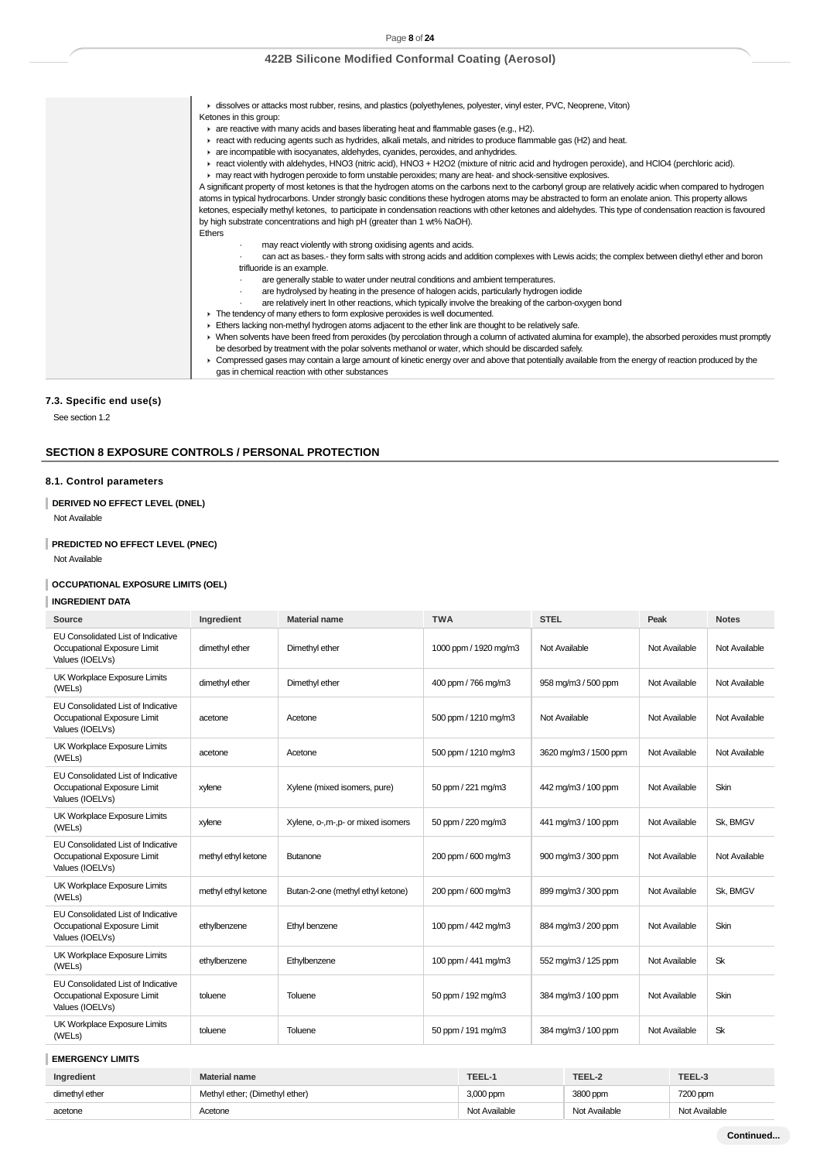| A dissolves or attacks most rubber, resins, and plastics (polyethylenes, polyester, vinyl ester, PVC, Neoprene, Viton)<br>Ketones in this group:<br>$\triangleright$ are reactive with many acids and bases liberating heat and flammable gases (e.g., H2).<br>F react with reducing agents such as hydrides, alkali metals, and nitrides to produce flammable gas (H2) and heat.<br>are incompatible with isocyanates, aldehydes, cyanides, peroxides, and anhydrides.<br>F react violently with aldehydes, HNO3 (nitric acid), HNO3 + H2O2 (mixture of nitric acid and hydrogen peroxide), and HClO4 (perchloric acid).<br>may react with hydrogen peroxide to form unstable peroxides; many are heat- and shock-sensitive explosives.<br>A significant property of most ketones is that the hydrogen atoms on the carbons next to the carbonyl group are relatively acidic when compared to hydrogen<br>atoms in typical hydrocarbons. Under strongly basic conditions these hydrogen atoms may be abstracted to form an enolate anion. This property allows<br>ketones, especially methyl ketones, to participate in condensation reactions with other ketones and aldehydes. This type of condensation reaction is favoured<br>by high substrate concentrations and high pH (greater than 1 wt% NaOH).<br><b>Ethers</b><br>may react violently with strong oxidising agents and acids.<br>$\cdot$<br>can act as bases.- they form salts with strong acids and addition complexes with Lewis acids; the complex between diethyl ether and boron<br>trifluoride is an example.<br>are generally stable to water under neutral conditions and ambient temperatures.<br>are hydrolysed by heating in the presence of halogen acids, particularly hydrogen iodide<br>are relatively inert In other reactions, which typically involve the breaking of the carbon-oxygen bond<br>The tendency of many ethers to form explosive peroxides is well documented.<br>Ethers lacking non-methyl hydrogen atoms adjacent to the ether link are thought to be relatively safe. |
|-----------------------------------------------------------------------------------------------------------------------------------------------------------------------------------------------------------------------------------------------------------------------------------------------------------------------------------------------------------------------------------------------------------------------------------------------------------------------------------------------------------------------------------------------------------------------------------------------------------------------------------------------------------------------------------------------------------------------------------------------------------------------------------------------------------------------------------------------------------------------------------------------------------------------------------------------------------------------------------------------------------------------------------------------------------------------------------------------------------------------------------------------------------------------------------------------------------------------------------------------------------------------------------------------------------------------------------------------------------------------------------------------------------------------------------------------------------------------------------------------------------------------------------------------------------------------------------------------------------------------------------------------------------------------------------------------------------------------------------------------------------------------------------------------------------------------------------------------------------------------------------------------------------------------------------------------------------------------------------------------------------------------------------------------------------------------|
| ▶ When solvents have been freed from peroxides (by percolation through a column of activated alumina for example), the absorbed peroxides must promptly<br>be desorbed by treatment with the polar solvents methanol or water, which should be discarded safely.<br>▶ Compressed gases may contain a large amount of kinetic energy over and above that potentially available from the energy of reaction produced by the<br>gas in chemical reaction with other substances                                                                                                                                                                                                                                                                                                                                                                                                                                                                                                                                                                                                                                                                                                                                                                                                                                                                                                                                                                                                                                                                                                                                                                                                                                                                                                                                                                                                                                                                                                                                                                                           |

# **7.3. Specific end use(s)**

See section 1.2

# **SECTION 8 EXPOSURE CONTROLS / PERSONAL PROTECTION**

# **8.1. Control parameters**

# **DERIVED NO EFFECT LEVEL (DNEL)**

Not Available

# **PREDICTED NO EFFECT LEVEL (PNEC)**

Not Available

## **OCCUPATIONAL EXPOSURE LIMITS (OEL)**

## **INGREDIENT DATA**

| Source                                                                               | Ingredient          | <b>Material name</b>                | <b>TWA</b>            | <b>STEL</b>           | Peak          | <b>Notes</b>  |
|--------------------------------------------------------------------------------------|---------------------|-------------------------------------|-----------------------|-----------------------|---------------|---------------|
| EU Consolidated List of Indicative<br>Occupational Exposure Limit<br>Values (IOELVs) | dimethyl ether      | Dimethyl ether                      | 1000 ppm / 1920 mg/m3 | Not Available         | Not Available | Not Available |
| UK Workplace Exposure Limits<br>(WELs)                                               | dimethyl ether      | Dimethyl ether                      | 400 ppm / 766 mg/m3   | 958 mg/m3 / 500 ppm   | Not Available | Not Available |
| EU Consolidated List of Indicative<br>Occupational Exposure Limit<br>Values (IOELVs) | acetone             | Acetone                             | 500 ppm / 1210 mg/m3  | Not Available         | Not Available | Not Available |
| UK Workplace Exposure Limits<br>(WELs)                                               | acetone             | Acetone                             | 500 ppm / 1210 mg/m3  | 3620 mg/m3 / 1500 ppm | Not Available | Not Available |
| EU Consolidated List of Indicative<br>Occupational Exposure Limit<br>Values (IOELVs) | xylene              | Xylene (mixed isomers, pure)        | 50 ppm / 221 mg/m3    | 442 mg/m3 / 100 ppm   | Not Available | Skin          |
| UK Workplace Exposure Limits<br>(WELs)                                               | xylene              | Xylene, o-, m-, p- or mixed isomers | 50 ppm / 220 mg/m3    | 441 mg/m3 / 100 ppm   | Not Available | Sk. BMGV      |
| EU Consolidated List of Indicative<br>Occupational Exposure Limit<br>Values (IOELVs) | methyl ethyl ketone | <b>Butanone</b>                     | 200 ppm / 600 mg/m3   | 900 mg/m3 / 300 ppm   | Not Available | Not Available |
| UK Workplace Exposure Limits<br>(WELs)                                               | methyl ethyl ketone | Butan-2-one (methyl ethyl ketone)   | 200 ppm / 600 mg/m3   | 899 mg/m3 / 300 ppm   | Not Available | Sk. BMGV      |
| EU Consolidated List of Indicative<br>Occupational Exposure Limit<br>Values (IOELVs) | ethylbenzene        | Ethyl benzene                       | 100 ppm / 442 mg/m3   | 884 mg/m3 / 200 ppm   | Not Available | Skin          |
| UK Workplace Exposure Limits<br>(WELs)                                               | ethylbenzene        | Ethylbenzene                        | 100 ppm / 441 mg/m3   | 552 mg/m3 / 125 ppm   | Not Available | Sk            |
| EU Consolidated List of Indicative<br>Occupational Exposure Limit<br>Values (IOELVs) | toluene             | Toluene                             | 50 ppm / 192 mg/m3    | 384 mg/m3 / 100 ppm   | Not Available | Skin          |
| UK Workplace Exposure Limits<br>(WELs)                                               | toluene             | Toluene                             | 50 ppm / 191 mg/m3    | 384 mg/m3 / 100 ppm   | Not Available | <b>Sk</b>     |
| <b>EMERGENCY LIMITS</b>                                                              |                     |                                     |                       |                       |               |               |

# **Ingredient Material name TEEL-1 TEEL-2 TEEL-3** dimethyl ether Methyl ether; (Dimethyl ether) 3,000 ppm 3800 ppm 3800 ppm 3800 ppm acetone Acetone Not Available Not Available Not Available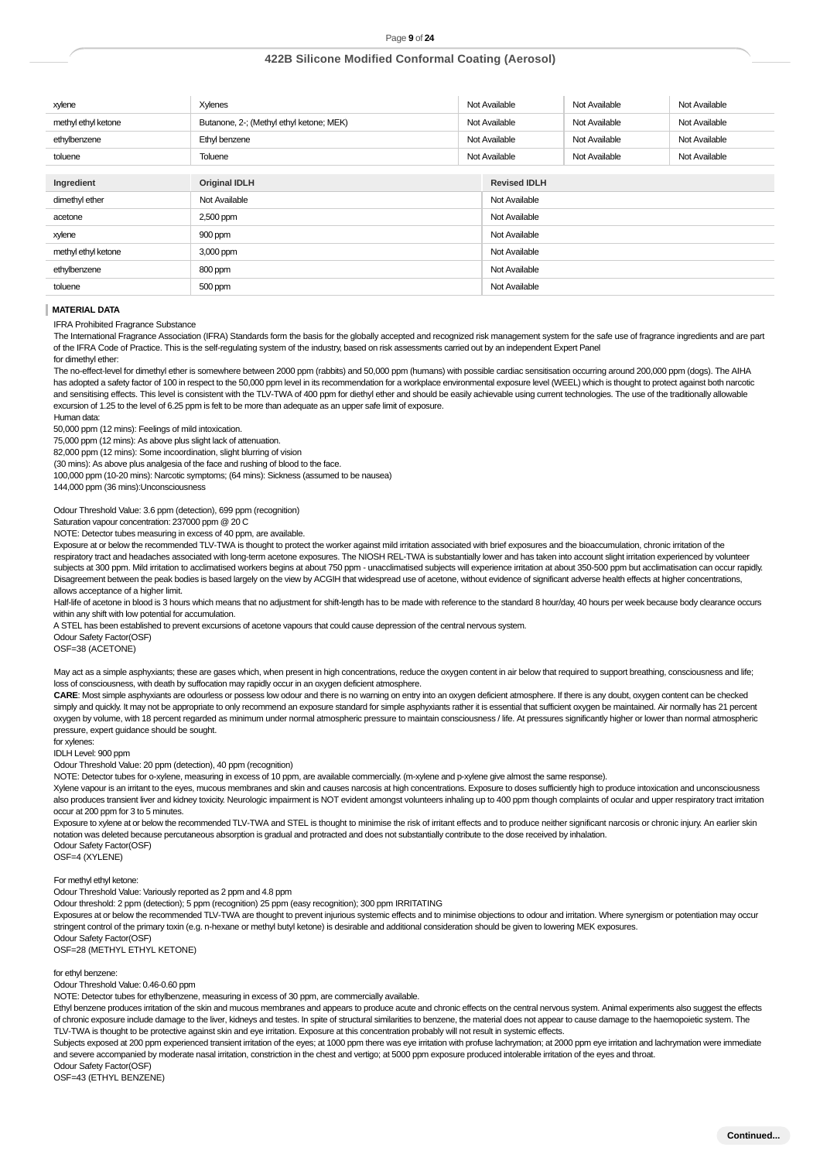| xylene              | Xylenes                                  |               | Not Available       | Not Available | Not Available |
|---------------------|------------------------------------------|---------------|---------------------|---------------|---------------|
| methyl ethyl ketone | Butanone, 2-; (Methyl ethyl ketone; MEK) |               | Not Available       | Not Available | Not Available |
| ethylbenzene        | Ethyl benzene                            | Not Available |                     | Not Available | Not Available |
| toluene             | Toluene                                  | Not Available |                     | Not Available | Not Available |
|                     |                                          |               |                     |               |               |
| Ingredient          | <b>Original IDLH</b>                     |               | <b>Revised IDLH</b> |               |               |
| dimethyl ether      | Not Available                            |               | Not Available       |               |               |
| acetone             | 2,500 ppm                                |               | Not Available       |               |               |
| xylene              | 900 ppm                                  |               | Not Available       |               |               |
| methyl ethyl ketone | 3,000 ppm                                |               | Not Available       |               |               |
| ethylbenzene        | 800 ppm                                  |               | Not Available       |               |               |
| toluene             | 500 ppm                                  |               | Not Available       |               |               |

#### **MATERIAL DATA**

IFRA Prohibited Fragrance Substance

The International Fragrance Association (IFRA) Standards form the basis for the globally accepted and recognized risk management system for the safe use of fragrance ingredients and are part of the IFRA Code of Practice. This is the self-regulating system of the industry, based on risk assessments carried out by an independent Expert Panel for dimethyl ether:

The no-effect-level for dimethyl ether is somewhere between 2000 ppm (rabbits) and 50,000 ppm (humans) with possible cardiac sensitisation occurring around 200,000 ppm (dogs). The AIHA has adopted a safety factor of 100 in respect to the 50,000 ppm level in its recommendation for a workplace environmental exposure level (WEEL) which is thought to protect against both narcotic and sensitising effects. This level is consistent with the TLV-TWA of 400 ppm for diethyl ether and should be easily achievable using current technologies. The use of the traditionally allowable excursion of 1.25 to the level of 6.25 ppm is felt to be more than adequate as an upper safe limit of exposure.

Human data: 50,000 ppm (12 mins): Feelings of mild intoxication.

75,000 ppm (12 mins): As above plus slight lack of attenuation.

82,000 ppm (12 mins): Some incoordination, slight blurring of vision

(30 mins): As above plus analgesia of the face and rushing of blood to the face.

100,000 ppm (10-20 mins): Narcotic symptoms; (64 mins): Sickness (assumed to be nausea)

144,000 ppm (36 mins):Unconsciousness

Odour Threshold Value: 3.6 ppm (detection), 699 ppm (recognition)

Saturation vapour concentration: 237000 ppm @ 20 C

NOTE: Detector tubes measuring in excess of 40 ppm, are available.

Exposure at or below the recommended TLV-TWA is thought to protect the worker against mild irritation associated with brief exposures and the bioaccumulation, chronic irritation of the respiratory tract and headaches associated with long-term acetone exposures. The NIOSH REL-TWA is substantially lower and has taken into account slight irritation experienced by volunteer subjects at 300 ppm. Mild irritation to acclimatised workers begins at about 750 ppm - unacclimatised subjects will experience irritation at about 350-500 ppm but acclimatisation can occur rapidly. Disagreement between the peak bodies is based largely on the view by ACGIH that widespread use of acetone, without evidence of significant adverse health effects at higher concentrations, allows acceptance of a higher limit.

Half-life of acetone in blood is 3 hours which means that no adjustment for shift-length has to be made with reference to the standard 8 hour/day, 40 hours per week because body clearance occurs within any shift with low potential for accumulation.

A STEL has been established to prevent excursions of acetone vapours that could cause depression of the central nervous system.

Odour Safety Factor(OSF)

OSF=38 (ACETONE)

May act as a simple asphyxiants; these are gases which, when present in high concentrations, reduce the oxygen content in air below that required to support breathing, consciousness and life; loss of consciousness, with death by suffocation may rapidly occur in an oxygen deficient atmosphere.

**CARE**: Most simple asphyxiants are odourless or possess low odour and there is no warning on entry into an oxygen deficient atmosphere. If there is any doubt, oxygen content can be checked simply and quickly. It may not be appropriate to only recommend an exposure standard for simple asphyxiants rather it is essential that sufficient oxygen be maintained. Air normally has 21 percent oxygen by volume, with 18 percent regarded as minimum under normal atmospheric pressure to maintain consciousness / life. At pressures significantly higher or lower than normal atmospheric pressure, expert guidance should be sought.

for xylenes:

IDLH Level: 900 ppm

Odour Threshold Value: 20 ppm (detection), 40 ppm (recognition)

NOTE: Detector tubes for o-xylene, measuring in excess of 10 ppm, are available commercially. (m-xylene and p-xylene give almost the same response).

Xylene vapour is an irritant to the eyes, mucous membranes and skin and causes narcosis at high concentrations. Exposure to doses sufficiently high to produce intoxication and unconsciousness also produces transient liver and kidney toxicity. Neurologic impairment is NOT evident amongst volunteers inhaling up to 400 ppm though complaints of ocular and upper respiratory tract irritation occur at 200 ppm for 3 to 5 minutes.

Exposure to xylene at or below the recommended TLV-TWA and STEL is thought to minimise the risk of irritant effects and to produce neither significant narcosis or chronic injury. An earlier skin notation was deleted because percutaneous absorption is gradual and protracted and does not substantially contribute to the dose received by inhalation. Odour Safety Factor(OSF)

OSF=4 (XYLENE)

For methyl ethyl ketone:

Odour Threshold Value: Variously reported as 2 ppm and 4.8 ppm

Odour threshold: 2 ppm (detection); 5 ppm (recognition) 25 ppm (easy recognition); 300 ppm IRRITATING

Exposures at or below the recommended TLV-TWA are thought to prevent injurious systemic effects and to minimise objections to odour and irritation. Where synergism or potentiation may occur stringent control of the primary toxin (e.g. n-hexane or methyl butyl ketone) is desirable and additional consideration should be given to lowering MEK exposures.

Odour Safety Factor(OSF) OSF=28 (METHYL ETHYL KETONE)

for ethyl benzene:

Odour Threshold Value: 0.46-0.60 ppm

NOTE: Detector tubes for ethylbenzene, measuring in excess of 30 ppm, are commercially available.

Ethyl benzene produces irritation of the skin and mucous membranes and appears to produce acute and chronic effects on the central nervous system. Animal experiments also suggest the effects of chronic exposure include damage to the liver, kidneys and testes. In spite of structural similarities to benzene, the material does not appear to cause damage to the haemopoietic system. The TLV-TWA is thought to be protective against skin and eye irritation. Exposure at this concentration probably will not result in systemic effects.

Subjects exposed at 200 ppm experienced transient irritation of the eyes; at 1000 ppm there was eye irritation with profuse lachrymation; at 2000 ppm eye irritation and lachrymation were immediate and severe accompanied by moderate nasal irritation, constriction in the chest and vertigo; at 5000 ppm exposure produced intolerable irritation of the eyes and throat. Odour Safety Factor(OSF)

OSF=43 (ETHYL BENZENE)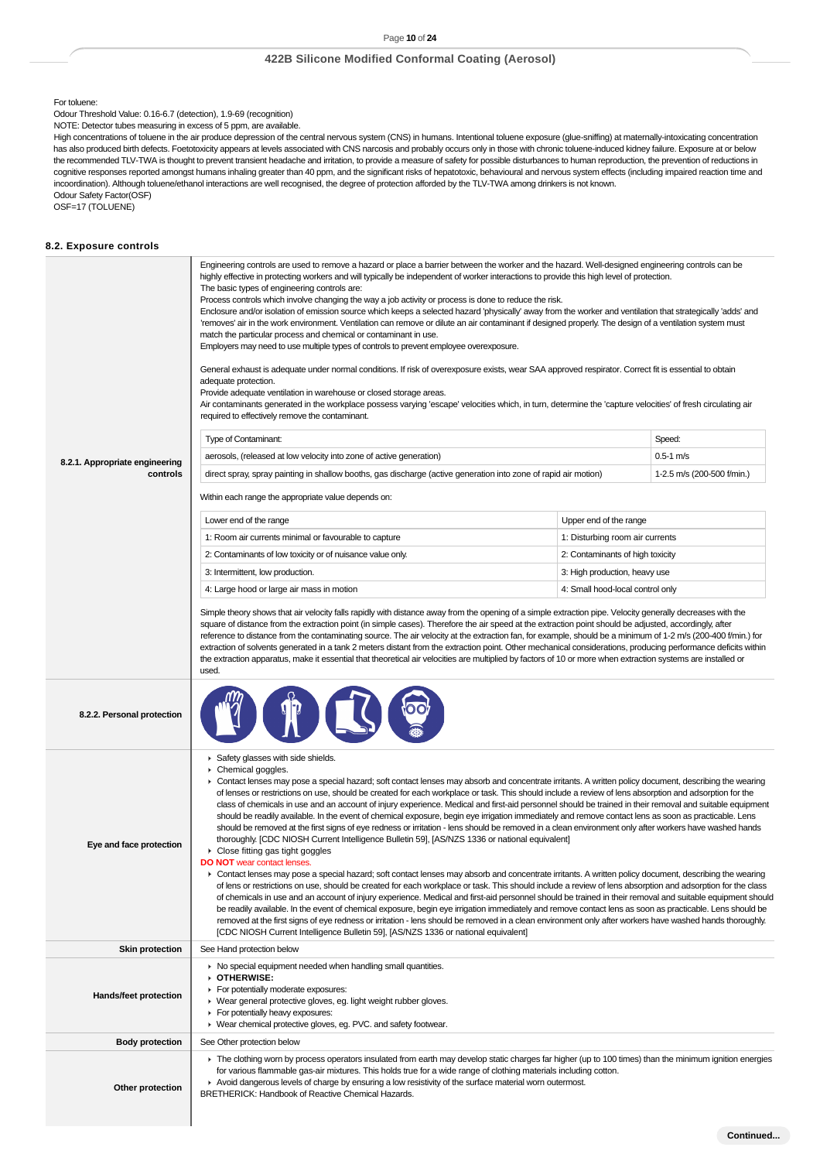#### For toluene:

Odour Threshold Value: 0.16-6.7 (detection), 1.9-69 (recognition)

NOTE: Detector tubes measuring in excess of 5 ppm, are available.

High concentrations of toluene in the air produce depression of the central nervous system (CNS) in humans. Intentional toluene exposure (glue-sniffing) at maternally-intoxicating concentration has also produced birth defects. Foetotoxicity appears at levels associated with CNS narcosis and probably occurs only in those with chronic toluene-induced kidney failure. Exposure at or below the recommended TLV-TWA is thought to prevent transient headache and irritation, to provide a measure of safety for possible disturbances to human reproduction, the prevention of reductions in cognitive responses reported amongst humans inhaling greater than 40 ppm, and the significant risks of hepatotoxic, behavioural and nervous system effects (including impaired reaction time and incoordination). Although toluene/ethanol interactions are well recognised, the degree of protection afforded by the TLV-TWA among drinkers is not known. Odour Safety Factor(OSF)

OSF=17 (TOLUENE)

### **8.2. Exposure controls**

|                                | Engineering controls are used to remove a hazard or place a barrier between the worker and the hazard. Well-designed engineering controls can be<br>highly effective in protecting workers and will typically be independent of worker interactions to provide this high level of protection.<br>The basic types of engineering controls are:<br>Process controls which involve changing the way a job activity or process is done to reduce the risk.<br>Enclosure and/or isolation of emission source which keeps a selected hazard 'physically' away from the worker and ventilation that strategically 'adds' and<br>'removes' air in the work environment. Ventilation can remove or dilute an air contaminant if designed properly. The design of a ventilation system must<br>match the particular process and chemical or contaminant in use.<br>Employers may need to use multiple types of controls to prevent employee overexposure.<br>General exhaust is adequate under normal conditions. If risk of overexposure exists, wear SAA approved respirator. Correct fit is essential to obtain<br>adequate protection.<br>Provide adequate ventilation in warehouse or closed storage areas.<br>Air contaminants generated in the workplace possess varying 'escape' velocities which, in turn, determine the 'capture velocities' of fresh circulating air<br>required to effectively remove the contaminant.                                                                                                                                                                                                                                                                                                                                                                                                                                                                                                                    |                                  |                            |
|--------------------------------|---------------------------------------------------------------------------------------------------------------------------------------------------------------------------------------------------------------------------------------------------------------------------------------------------------------------------------------------------------------------------------------------------------------------------------------------------------------------------------------------------------------------------------------------------------------------------------------------------------------------------------------------------------------------------------------------------------------------------------------------------------------------------------------------------------------------------------------------------------------------------------------------------------------------------------------------------------------------------------------------------------------------------------------------------------------------------------------------------------------------------------------------------------------------------------------------------------------------------------------------------------------------------------------------------------------------------------------------------------------------------------------------------------------------------------------------------------------------------------------------------------------------------------------------------------------------------------------------------------------------------------------------------------------------------------------------------------------------------------------------------------------------------------------------------------------------------------------------------------------------------------------------------------------------------------------------|----------------------------------|----------------------------|
|                                | Type of Contaminant:                                                                                                                                                                                                                                                                                                                                                                                                                                                                                                                                                                                                                                                                                                                                                                                                                                                                                                                                                                                                                                                                                                                                                                                                                                                                                                                                                                                                                                                                                                                                                                                                                                                                                                                                                                                                                                                                                                                        |                                  | Speed:                     |
| 8.2.1. Appropriate engineering | aerosols, (released at low velocity into zone of active generation)                                                                                                                                                                                                                                                                                                                                                                                                                                                                                                                                                                                                                                                                                                                                                                                                                                                                                                                                                                                                                                                                                                                                                                                                                                                                                                                                                                                                                                                                                                                                                                                                                                                                                                                                                                                                                                                                         |                                  | $0.5 - 1$ m/s              |
| controls                       | direct spray, spray painting in shallow booths, gas discharge (active generation into zone of rapid air motion)                                                                                                                                                                                                                                                                                                                                                                                                                                                                                                                                                                                                                                                                                                                                                                                                                                                                                                                                                                                                                                                                                                                                                                                                                                                                                                                                                                                                                                                                                                                                                                                                                                                                                                                                                                                                                             |                                  | 1-2.5 m/s (200-500 f/min.) |
|                                | Within each range the appropriate value depends on:                                                                                                                                                                                                                                                                                                                                                                                                                                                                                                                                                                                                                                                                                                                                                                                                                                                                                                                                                                                                                                                                                                                                                                                                                                                                                                                                                                                                                                                                                                                                                                                                                                                                                                                                                                                                                                                                                         |                                  |                            |
|                                | Lower end of the range                                                                                                                                                                                                                                                                                                                                                                                                                                                                                                                                                                                                                                                                                                                                                                                                                                                                                                                                                                                                                                                                                                                                                                                                                                                                                                                                                                                                                                                                                                                                                                                                                                                                                                                                                                                                                                                                                                                      | Upper end of the range           |                            |
|                                | 1: Room air currents minimal or favourable to capture                                                                                                                                                                                                                                                                                                                                                                                                                                                                                                                                                                                                                                                                                                                                                                                                                                                                                                                                                                                                                                                                                                                                                                                                                                                                                                                                                                                                                                                                                                                                                                                                                                                                                                                                                                                                                                                                                       | 1: Disturbing room air currents  |                            |
|                                | 2: Contaminants of low toxicity or of nuisance value only.                                                                                                                                                                                                                                                                                                                                                                                                                                                                                                                                                                                                                                                                                                                                                                                                                                                                                                                                                                                                                                                                                                                                                                                                                                                                                                                                                                                                                                                                                                                                                                                                                                                                                                                                                                                                                                                                                  | 2: Contaminants of high toxicity |                            |
|                                | 3: Intermittent, low production.                                                                                                                                                                                                                                                                                                                                                                                                                                                                                                                                                                                                                                                                                                                                                                                                                                                                                                                                                                                                                                                                                                                                                                                                                                                                                                                                                                                                                                                                                                                                                                                                                                                                                                                                                                                                                                                                                                            | 3: High production, heavy use    |                            |
|                                | 4: Large hood or large air mass in motion                                                                                                                                                                                                                                                                                                                                                                                                                                                                                                                                                                                                                                                                                                                                                                                                                                                                                                                                                                                                                                                                                                                                                                                                                                                                                                                                                                                                                                                                                                                                                                                                                                                                                                                                                                                                                                                                                                   | 4: Small hood-local control only |                            |
|                                | square of distance from the extraction point (in simple cases). Therefore the air speed at the extraction point should be adjusted, accordingly, after<br>reference to distance from the contaminating source. The air velocity at the extraction fan, for example, should be a minimum of 1-2 m/s (200-400 f/min.) for<br>extraction of solvents generated in a tank 2 meters distant from the extraction point. Other mechanical considerations, producing performance deficits within<br>the extraction apparatus, make it essential that theoretical air velocities are multiplied by factors of 10 or more when extraction systems are installed or<br>used.                                                                                                                                                                                                                                                                                                                                                                                                                                                                                                                                                                                                                                                                                                                                                                                                                                                                                                                                                                                                                                                                                                                                                                                                                                                                           |                                  |                            |
| 8.2.2. Personal protection     |                                                                                                                                                                                                                                                                                                                                                                                                                                                                                                                                                                                                                                                                                                                                                                                                                                                                                                                                                                                                                                                                                                                                                                                                                                                                                                                                                                                                                                                                                                                                                                                                                                                                                                                                                                                                                                                                                                                                             |                                  |                            |
| Eye and face protection        | Safety glasses with side shields.<br>Chemical goggles.<br>▶ Contact lenses may pose a special hazard; soft contact lenses may absorb and concentrate irritants. A written policy document, describing the wearing<br>of lenses or restrictions on use, should be created for each workplace or task. This should include a review of lens absorption and adsorption for the<br>class of chemicals in use and an account of injury experience. Medical and first-aid personnel should be trained in their removal and suitable equipment<br>should be readily available. In the event of chemical exposure, begin eye irrigation immediately and remove contact lens as soon as practicable. Lens<br>should be removed at the first signs of eye redness or irritation - lens should be removed in a clean environment only after workers have washed hands<br>thoroughly. [CDC NIOSH Current Intelligence Bulletin 59], [AS/NZS 1336 or national equivalent]<br>▶ Close fitting gas tight goggles<br><b>DO NOT</b> wear contact lenses.<br>▶ Contact lenses may pose a special hazard; soft contact lenses may absorb and concentrate irritants. A written policy document, describing the wearing<br>of lens or restrictions on use, should be created for each workplace or task. This should include a review of lens absorption and adsorption for the class<br>of chemicals in use and an account of injury experience. Medical and first-aid personnel should be trained in their removal and suitable equipment should<br>be readily available. In the event of chemical exposure, begin eye irrigation immediately and remove contact lens as soon as practicable. Lens should be<br>removed at the first signs of eye redness or irritation - lens should be removed in a clean environment only after workers have washed hands thoroughly.<br>[CDC NIOSH Current Intelligence Bulletin 59], [AS/NZS 1336 or national equivalent] |                                  |                            |
| <b>Skin protection</b>         | See Hand protection below                                                                                                                                                                                                                                                                                                                                                                                                                                                                                                                                                                                                                                                                                                                                                                                                                                                                                                                                                                                                                                                                                                                                                                                                                                                                                                                                                                                                                                                                                                                                                                                                                                                                                                                                                                                                                                                                                                                   |                                  |                            |
| Hands/feet protection          | • No special equipment needed when handling small quantities.<br>OTHERWISE:<br>For potentially moderate exposures:<br>▶ Wear general protective gloves, eg. light weight rubber gloves.<br>For potentially heavy exposures:<br>▶ Wear chemical protective gloves, eg. PVC. and safety footwear.                                                                                                                                                                                                                                                                                                                                                                                                                                                                                                                                                                                                                                                                                                                                                                                                                                                                                                                                                                                                                                                                                                                                                                                                                                                                                                                                                                                                                                                                                                                                                                                                                                             |                                  |                            |
| <b>Body protection</b>         | See Other protection below                                                                                                                                                                                                                                                                                                                                                                                                                                                                                                                                                                                                                                                                                                                                                                                                                                                                                                                                                                                                                                                                                                                                                                                                                                                                                                                                                                                                                                                                                                                                                                                                                                                                                                                                                                                                                                                                                                                  |                                  |                            |
| Other protection               | ► The clothing worn by process operators insulated from earth may develop static charges far higher (up to 100 times) than the minimum ignition energies<br>for various flammable gas-air mixtures. This holds true for a wide range of clothing materials including cotton.<br>Avoid dangerous levels of charge by ensuring a low resistivity of the surface material worn outermost.<br>BRETHERICK: Handbook of Reactive Chemical Hazards.                                                                                                                                                                                                                                                                                                                                                                                                                                                                                                                                                                                                                                                                                                                                                                                                                                                                                                                                                                                                                                                                                                                                                                                                                                                                                                                                                                                                                                                                                                |                                  |                            |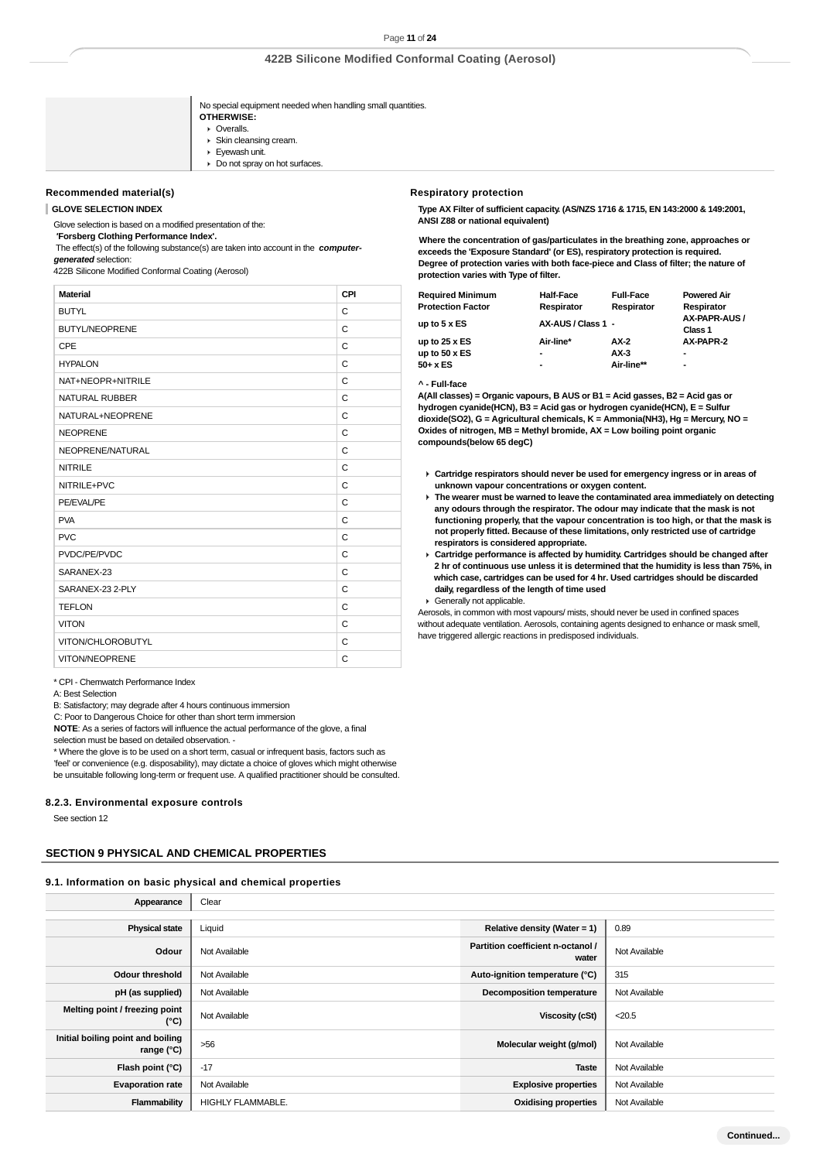No special equipment needed when handling small quantities.

- **OTHERWISE:** Overalls.
- Skin cleansing cream.
- ▶ Evewash unit.
- $\triangleright$  Do not spray on hot surfaces.

#### **Recommended material(s)**

**GLOVE SELECTION INDEX**

Glove selection is based on a modified presentation of the:

 **'Forsberg Clothing Performance Index'.**

 The effect(s) of the following substance(s) are taken into account in the **computergenerated** selection:

422B Silicone Modified Conformal Coating (Aerosol)

| <b>Material</b>       | CPI |
|-----------------------|-----|
| <b>BUTYL</b>          | C   |
| <b>BUTYL/NEOPRENE</b> | C   |
| <b>CPE</b>            | C   |
| <b>HYPALON</b>        | C   |
| NAT+NEOPR+NITRILE     | C   |
| <b>NATURAL RUBBER</b> | C   |
| NATURAL+NEOPRENE      | C   |
| <b>NEOPRENE</b>       | C   |
| NEOPRENE/NATURAL      | C   |
| <b>NITRILE</b>        | C   |
| NITRILE+PVC           | C   |
| PE/EVAL/PE            | C   |
| <b>PVA</b>            | C   |
| <b>PVC</b>            | C   |
| PVDC/PE/PVDC          | C   |
| SARANEX-23            | C   |
| SARANEX-23 2-PLY      | C   |
| <b>TEFLON</b>         | C   |
| <b>VITON</b>          | C   |
| VITON/CHLOROBUTYL     | C   |
| VITON/NEOPRENE        | C   |

\* CPI - Chemwatch Performance Index

A: Best Selection

B: Satisfactory; may degrade after 4 hours continuous immersion

C: Poor to Dangerous Choice for other than short term immersion

**NOTE**: As a series of factors will influence the actual performance of the glove, a final selection must be based on detailed observation. -

\* Where the glove is to be used on a short term, casual or infrequent basis, factors such as

'feel' or convenience (e.g. disposability), may dictate a choice of gloves which might otherwise be unsuitable following long-term or frequent use. A qualified practitioner should be consulted.

#### **8.2.3. Environmental exposure controls**

See section 12

### **SECTION 9 PHYSICAL AND CHEMICAL PROPERTIES**

### **9.1. Information on basic physical and chemical properties**

| Appearance                                               | Clear                    |                                            |               |
|----------------------------------------------------------|--------------------------|--------------------------------------------|---------------|
|                                                          |                          |                                            |               |
| <b>Physical state</b>                                    | Liquid                   | Relative density (Water = $1$ )            | 0.89          |
| Odour                                                    | Not Available            | Partition coefficient n-octanol /<br>water | Not Available |
| Odour threshold                                          | Not Available            | Auto-ignition temperature (°C)             | 315           |
| pH (as supplied)                                         | Not Available            | <b>Decomposition temperature</b>           | Not Available |
| Melting point / freezing point<br>(°C)                   | Not Available            | <b>Viscosity (cSt)</b>                     | < 20.5        |
| Initial boiling point and boiling<br>range $(^{\circ}C)$ | $>56$                    | Molecular weight (g/mol)                   | Not Available |
| Flash point (°C)                                         | $-17$                    | <b>Taste</b>                               | Not Available |
| <b>Evaporation rate</b>                                  | Not Available            | <b>Explosive properties</b>                | Not Available |
| Flammability                                             | <b>HIGHLY FLAMMABLE.</b> | <b>Oxidising properties</b>                | Not Available |

### **Respiratory protection**

**Type AX Filter of sufficient capacity. (AS/NZS 1716 & 1715, EN 143:2000 & 149:2001, ANSI Z88 or national equivalent)**

**Where the concentration of gas/particulates in the breathing zone, approaches or exceeds the 'Exposure Standard' (or ES), respiratory protection is required. Degree of protection varies with both face-piece and Class of filter; the nature of protection varies with Type of filter.**

| <b>Required Minimum</b>  | <b>Half-Face</b>   | <b>Full-Face</b> | <b>Powered Air</b>       |
|--------------------------|--------------------|------------------|--------------------------|
| <b>Protection Factor</b> | Respirator         | Respirator       | Respirator               |
| up to 5 x ES             | AX-AUS / Class 1 - |                  | AX-PAPR-AUS /<br>Class 1 |
| up to $25 \times ES$     | Air-line*          | AX-2             | AX-PAPR-2                |
| up to $50 \times ES$     | ۰                  | $AX-3$           | $\blacksquare$           |
| 50+ x ES                 | $\blacksquare$     | Air-line**       | $\blacksquare$           |
|                          |                    |                  |                          |

**^ - Full-face**

**A(All classes) = Organic vapours, B AUS or B1 = Acid gasses, B2 = Acid gas or hydrogen cyanide(HCN), B3 = Acid gas or hydrogen cyanide(HCN), E = Sulfur dioxide(SO2), G = Agricultural chemicals, K = Ammonia(NH3), Hg = Mercury, NO = Oxides of nitrogen, MB = Methyl bromide, AX = Low boiling point organic compounds(below 65 degC)**

- **Cartridge respirators should never be used for emergency ingress or in areas of unknown vapour concentrations or oxygen content.**
- **The wearer must be warned to leave the contaminated area immediately on detecting any odours through the respirator. The odour may indicate that the mask is not functioning properly, that the vapour concentration is too high, or that the mask is not properly fitted. Because of these limitations, only restricted use of cartridge respirators is considered appropriate.**
- **Cartridge performance is affected by humidity. Cartridges should be changed after 2 hr of continuous use unless it is determined that the humidity is less than 75%, in which case, cartridges can be used for 4 hr. Used cartridges should be discarded daily, regardless of the length of time used**

Generally not applicable.

Aerosols, in common with most vapours/ mists, should never be used in confined spaces without adequate ventilation. Aerosols, containing agents designed to enhance or mask smell, have triggered allergic reactions in predisposed individuals.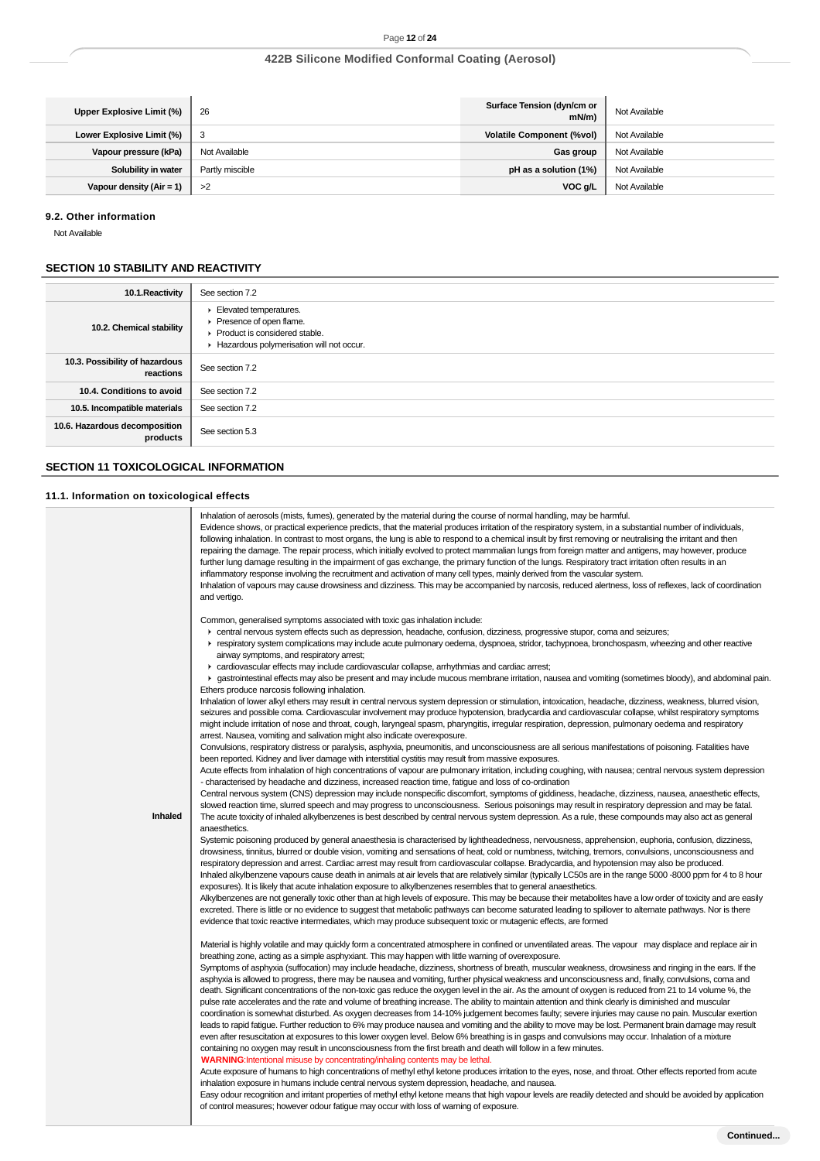| Upper Explosive Limit (%)  | 26              | Surface Tension (dyn/cm or<br>$mN/m$ ) | Not Available |
|----------------------------|-----------------|----------------------------------------|---------------|
| Lower Explosive Limit (%)  | 3               | <b>Volatile Component (%vol)</b>       | Not Available |
| Vapour pressure (kPa)      | Not Available   | Gas group                              | Not Available |
| Solubility in water        | Partly miscible | pH as a solution (1%)                  | Not Available |
| Vapour density $(Air = 1)$ | >2              | VOC g/L                                | Not Available |

### **9.2. Other information**

Not Available

# **SECTION 10 STABILITY AND REACTIVITY**

| 10.1. Reactivity                            | See section 7.2                                                                                                                  |
|---------------------------------------------|----------------------------------------------------------------------------------------------------------------------------------|
| 10.2. Chemical stability                    | Elevated temperatures.<br>Presence of open flame.<br>▶ Product is considered stable.<br>Hazardous polymerisation will not occur. |
| 10.3. Possibility of hazardous<br>reactions | See section 7.2                                                                                                                  |
| 10.4. Conditions to avoid                   | See section 7.2                                                                                                                  |
| 10.5. Incompatible materials                | See section 7.2                                                                                                                  |
| 10.6. Hazardous decomposition<br>products   | See section 5.3                                                                                                                  |

# **SECTION 11 TOXICOLOGICAL INFORMATION**

# **11.1. Information on toxicological effects**

| mormanon on toxicological cricets                                                                                                                                                                                                                                                                                                                                                                                                                                                                                                                                                                                                                                                                                                                                                                                                                                                                                                                                                                                                                                                                                                                                                                                                                                                                                                                                                                                                                                                                                                                                                                                                                                                                                                                                                                                                                                                                                                                                                                                                                                                                                                                                                                                                                                                                                                                                                                                                                                                                                                                                                                                                                                                                                                                                                                                                                                                                                                                                                                                                                                                                                                                                                                                                                                                                                                                                                                                                                                                                                                                                                                                                                                                                                                                                                                                                                                                                                                                                                                                                                                                                                                                                                                                                                                                                                                                                                                                                                                                                                                                                                                                                                                                                                                                                                                                                                                                                                                                                                                                                                                                                                                                                                                                                                                                                                                                                                                                                                                                                                                                                                                                                                                                                                                                                                                                                                                                                                                                                                                 |
|---------------------------------------------------------------------------------------------------------------------------------------------------------------------------------------------------------------------------------------------------------------------------------------------------------------------------------------------------------------------------------------------------------------------------------------------------------------------------------------------------------------------------------------------------------------------------------------------------------------------------------------------------------------------------------------------------------------------------------------------------------------------------------------------------------------------------------------------------------------------------------------------------------------------------------------------------------------------------------------------------------------------------------------------------------------------------------------------------------------------------------------------------------------------------------------------------------------------------------------------------------------------------------------------------------------------------------------------------------------------------------------------------------------------------------------------------------------------------------------------------------------------------------------------------------------------------------------------------------------------------------------------------------------------------------------------------------------------------------------------------------------------------------------------------------------------------------------------------------------------------------------------------------------------------------------------------------------------------------------------------------------------------------------------------------------------------------------------------------------------------------------------------------------------------------------------------------------------------------------------------------------------------------------------------------------------------------------------------------------------------------------------------------------------------------------------------------------------------------------------------------------------------------------------------------------------------------------------------------------------------------------------------------------------------------------------------------------------------------------------------------------------------------------------------------------------------------------------------------------------------------------------------------------------------------------------------------------------------------------------------------------------------------------------------------------------------------------------------------------------------------------------------------------------------------------------------------------------------------------------------------------------------------------------------------------------------------------------------------------------------------------------------------------------------------------------------------------------------------------------------------------------------------------------------------------------------------------------------------------------------------------------------------------------------------------------------------------------------------------------------------------------------------------------------------------------------------------------------------------------------------------------------------------------------------------------------------------------------------------------------------------------------------------------------------------------------------------------------------------------------------------------------------------------------------------------------------------------------------------------------------------------------------------------------------------------------------------------------------------------------------------------------------------------------------------------------------------------------------------------------------------------------------------------------------------------------------------------------------------------------------------------------------------------------------------------------------------------------------------------------------------------------------------------------------------------------------------------------------------------------------------------------------------------------------------------------------------------------------------------------------------------------------------------------------------------------------------------------------------------------------------------------------------------------------------------------------------------------------------------------------------------------------------------------------------------------------------------------------------------------------------------------------------------------------------------------------------------------------------------------------------------------------------------------------------------------------------------------------------------------------------------------------------------------------------------------------------------------------------------------------------------------------------------------------------------------------------------------------------------------------------------------------------------------------------------------------------------------------------------------|
| Inhalation of aerosols (mists, fumes), generated by the material during the course of normal handling, may be harmful.<br>Evidence shows, or practical experience predicts, that the material produces irritation of the respiratory system, in a substantial number of individuals,<br>following inhalation. In contrast to most organs, the lung is able to respond to a chemical insult by first removing or neutralising the irritant and then<br>repairing the damage. The repair process, which initially evolved to protect mammalian lungs from foreign matter and antigens, may however, produce<br>further lung damage resulting in the impairment of gas exchange, the primary function of the lungs. Respiratory tract irritation often results in an<br>inflammatory response involving the recruitment and activation of many cell types, mainly derived from the vascular system.<br>Inhalation of vapours may cause drowsiness and dizziness. This may be accompanied by narcosis, reduced alertness, loss of reflexes, lack of coordination<br>and vertigo.<br>Common, generalised symptoms associated with toxic gas inhalation include:<br>F central nervous system effects such as depression, headache, confusion, dizziness, progressive stupor, coma and seizures;<br>respiratory system complications may include acute pulmonary oedema, dyspnoea, stridor, tachypnoea, bronchospasm, wheezing and other reactive<br>airway symptoms, and respiratory arrest;<br>• cardiovascular effects may include cardiovascular collapse, arrhythmias and cardiac arrest;<br>► gastrointestinal effects may also be present and may include mucous membrane irritation, nausea and vomiting (sometimes bloody), and abdominal pain.<br>Ethers produce narcosis following inhalation.<br>Inhalation of lower alkyl ethers may result in central nervous system depression or stimulation, intoxication, headache, dizziness, weakness, blurred vision,<br>seizures and possible coma. Cardiovascular involvement may produce hypotension, bradycardia and cardiovascular collapse, whilst respiratory symptoms<br>might include irritation of nose and throat, cough, laryngeal spasm, pharyngitis, irregular respiration, depression, pulmonary oedema and respiratory<br>arrest. Nausea, vomiting and salivation might also indicate overexposure.<br>Convulsions, respiratory distress or paralysis, asphyxia, pneumonitis, and unconsciousness are all serious manifestations of poisoning. Fatalities have<br>been reported. Kidney and liver damage with interstitial cystitis may result from massive exposures.<br>Acute effects from inhalation of high concentrations of vapour are pulmonary irritation, including coughing, with nausea; central nervous system depression<br>- characterised by headache and dizziness, increased reaction time, fatigue and loss of co-ordination<br>Central nervous system (CNS) depression may include nonspecific discomfort, symptoms of giddiness, headache, dizziness, nausea, anaesthetic effects,<br>slowed reaction time, slurred speech and may progress to unconsciousness. Serious poisonings may result in respiratory depression and may be fatal.<br>The acute toxicity of inhaled alkylbenzenes is best described by central nervous system depression. As a rule, these compounds may also act as general<br>anaesthetics.<br>Systemic poisoning produced by general anaesthesia is characterised by lightheadedness, nervousness, apprehension, euphoria, confusion, dizziness,<br>drowsiness, tinnitus, blurred or double vision, vomiting and sensations of heat, cold or numbness, twitching, tremors, convulsions, unconsciousness and<br>respiratory depression and arrest. Cardiac arrest may result from cardiovascular collapse. Bradycardia, and hypotension may also be produced.<br>Inhaled alkylbenzene vapours cause death in animals at air levels that are relatively similar (typically LC50s are in the range 5000 -8000 ppm for 4 to 8 hour<br>exposures). It is likely that acute inhalation exposure to alkylbenzenes resembles that to general anaesthetics.<br>Alkylbenzenes are not generally toxic other than at high levels of exposure. This may be because their metabolites have a low order of toxicity and are easily<br>excreted. There is little or no evidence to suggest that metabolic pathways can become saturated leading to spillover to alternate pathways. Nor is there<br>evidence that toxic reactive intermediates, which may produce subsequent toxic or mutagenic effects, are formed<br>Material is highly volatile and may quickly form a concentrated atmosphere in confined or unventilated areas. The vapour may displace and replace air in<br>breathing zone, acting as a simple asphyxiant. This may happen with little warning of overexposure.<br>Symptoms of asphyxia (suffocation) may include headache, dizziness, shortness of breath, muscular weakness, drowsiness and ringing in the ears. If the<br>asphyxia is allowed to progress, there may be nausea and vomiting, further physical weakness and unconsciousness and, finally, convulsions, coma and<br>death. Significant concentrations of the non-toxic gas reduce the oxygen level in the air. As the amount of oxygen is reduced from 21 to 14 volume %, the<br>pulse rate accelerates and the rate and volume of breathing increase. The ability to maintain attention and think clearly is diminished and muscular<br>coordination is somewhat disturbed. As oxygen decreases from 14-10% judgement becomes faulty; severe injuries may cause no pain. Muscular exertion<br>leads to rapid fatigue. Further reduction to 6% may produce nausea and vomiting and the ability to move may be lost. Permanent brain damage may result<br>even after resuscitation at exposures to this lower oxygen level. Below 6% breathing is in gasps and convulsions may occur. Inhalation of a mixture |
| containing no oxygen may result in unconsciousness from the first breath and death will follow in a few minutes.<br><b>WARNING:</b> Intentional misuse by concentrating/inhaling contents may be lethal.<br>Acute exposure of humans to high concentrations of methyl ethyl ketone produces irritation to the eyes, nose, and throat. Other effects reported from acute<br>inhalation exposure in humans include central nervous system depression, headache, and nausea.<br>Easy odour recognition and irritant properties of methyl ethyl ketone means that high vapour levels are readily detected and should be avoided by application<br>of control measures; however odour fatigue may occur with loss of warning of exposure.                                                                                                                                                                                                                                                                                                                                                                                                                                                                                                                                                                                                                                                                                                                                                                                                                                                                                                                                                                                                                                                                                                                                                                                                                                                                                                                                                                                                                                                                                                                                                                                                                                                                                                                                                                                                                                                                                                                                                                                                                                                                                                                                                                                                                                                                                                                                                                                                                                                                                                                                                                                                                                                                                                                                                                                                                                                                                                                                                                                                                                                                                                                                                                                                                                                                                                                                                                                                                                                                                                                                                                                                                                                                                                                                                                                                                                                                                                                                                                                                                                                                                                                                                                                                                                                                                                                                                                                                                                                                                                                                                                                                                                                                                                                                                                                                                                                                                                                                                                                                                                                                                                                                                                                                                                                              |
|                                                                                                                                                                                                                                                                                                                                                                                                                                                                                                                                                                                                                                                                                                                                                                                                                                                                                                                                                                                                                                                                                                                                                                                                                                                                                                                                                                                                                                                                                                                                                                                                                                                                                                                                                                                                                                                                                                                                                                                                                                                                                                                                                                                                                                                                                                                                                                                                                                                                                                                                                                                                                                                                                                                                                                                                                                                                                                                                                                                                                                                                                                                                                                                                                                                                                                                                                                                                                                                                                                                                                                                                                                                                                                                                                                                                                                                                                                                                                                                                                                                                                                                                                                                                                                                                                                                                                                                                                                                                                                                                                                                                                                                                                                                                                                                                                                                                                                                                                                                                                                                                                                                                                                                                                                                                                                                                                                                                                                                                                                                                                                                                                                                                                                                                                                                                                                                                                                                                                                                                   |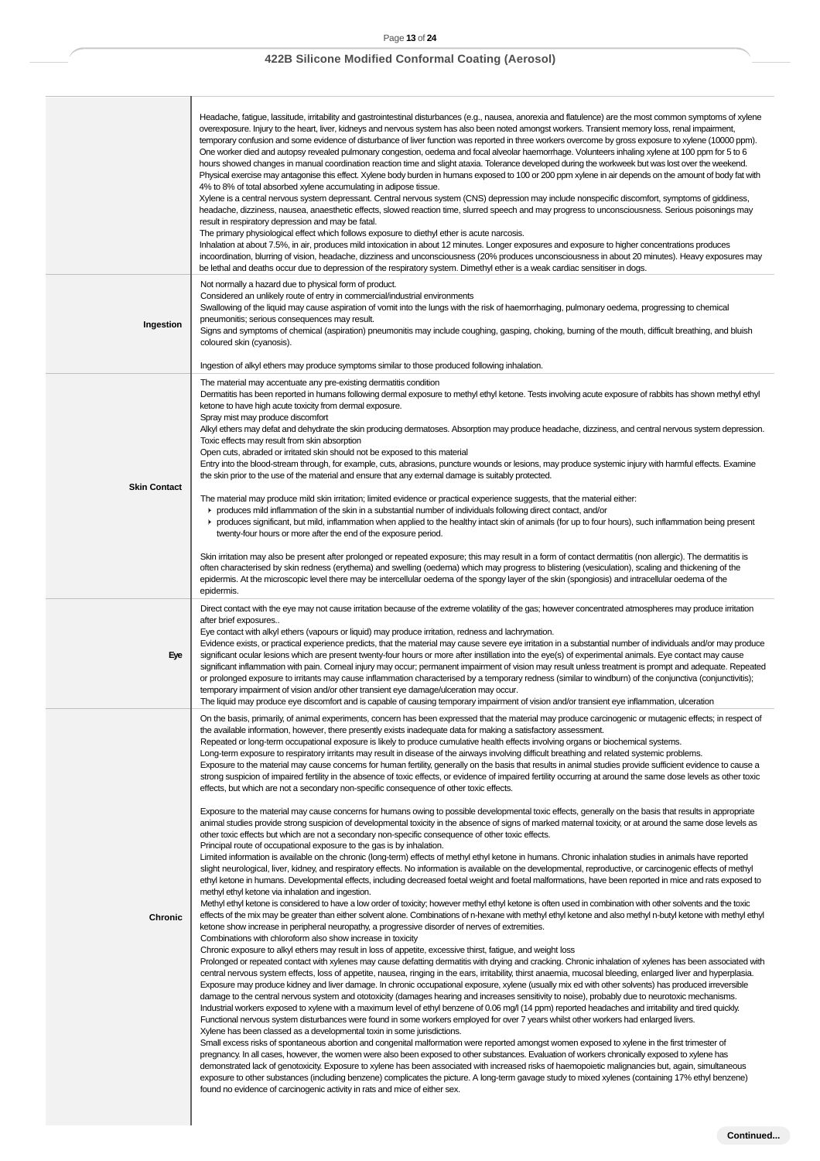## Page **13** of **24**

# **422B Silicone Modified Conformal Coating (Aerosol)**

h

|                     | Headache, fatigue, lassitude, irritability and gastrointestinal disturbances (e.g., nausea, anorexia and flatulence) are the most common symptoms of xylene<br>overexposure. Injury to the heart, liver, kidneys and nervous system has also been noted amongst workers. Transient memory loss, renal impairment,<br>temporary confusion and some evidence of disturbance of liver function was reported in three workers overcome by gross exposure to xylene (10000 ppm).<br>One worker died and autopsy revealed pulmonary congestion, oedema and focal alveolar haemorrhage. Volunteers inhaling xylene at 100 ppm for 5 to 6<br>hours showed changes in manual coordination reaction time and slight ataxia. Tolerance developed during the workweek but was lost over the weekend.<br>Physical exercise may antagonise this effect. Xylene body burden in humans exposed to 100 or 200 ppm xylene in air depends on the amount of body fat with<br>4% to 8% of total absorbed xylene accumulating in adipose tissue.<br>Xylene is a central nervous system depressant. Central nervous system (CNS) depression may include nonspecific discomfort, symptoms of giddiness,<br>headache, dizziness, nausea, anaesthetic effects, slowed reaction time, slurred speech and may progress to unconsciousness. Serious poisonings may<br>result in respiratory depression and may be fatal.<br>The primary physiological effect which follows exposure to diethyl ether is acute narcosis.<br>Inhalation at about 7.5%, in air, produces mild intoxication in about 12 minutes. Longer exposures and exposure to higher concentrations produces<br>incoordination, blurring of vision, headache, dizziness and unconsciousness (20% produces unconsciousness in about 20 minutes). Heavy exposures may<br>be lethal and deaths occur due to depression of the respiratory system. Dimethyl ether is a weak cardiac sensitiser in dogs.                                                                                                                                                                                                                                                                                                                                                                                                                                                                                                                                                                                                                                                                                                                                                                                                                                                                                                                                                                                                                                                                                                                                                                                                                                                                                                                                                                                                                                                                                                                                                                                                                                                                                                                                                                                                                                                                                                                                                                                                                                                                                                                                                                                                                                                                                                                                                                                                                                                                               |
|---------------------|----------------------------------------------------------------------------------------------------------------------------------------------------------------------------------------------------------------------------------------------------------------------------------------------------------------------------------------------------------------------------------------------------------------------------------------------------------------------------------------------------------------------------------------------------------------------------------------------------------------------------------------------------------------------------------------------------------------------------------------------------------------------------------------------------------------------------------------------------------------------------------------------------------------------------------------------------------------------------------------------------------------------------------------------------------------------------------------------------------------------------------------------------------------------------------------------------------------------------------------------------------------------------------------------------------------------------------------------------------------------------------------------------------------------------------------------------------------------------------------------------------------------------------------------------------------------------------------------------------------------------------------------------------------------------------------------------------------------------------------------------------------------------------------------------------------------------------------------------------------------------------------------------------------------------------------------------------------------------------------------------------------------------------------------------------------------------------------------------------------------------------------------------------------------------------------------------------------------------------------------------------------------------------------------------------------------------------------------------------------------------------------------------------------------------------------------------------------------------------------------------------------------------------------------------------------------------------------------------------------------------------------------------------------------------------------------------------------------------------------------------------------------------------------------------------------------------------------------------------------------------------------------------------------------------------------------------------------------------------------------------------------------------------------------------------------------------------------------------------------------------------------------------------------------------------------------------------------------------------------------------------------------------------------------------------------------------------------------------------------------------------------------------------------------------------------------------------------------------------------------------------------------------------------------------------------------------------------------------------------------------------------------------------------------------------------------------------------------------------------------------------------------------------------------------------------------------------------------------------------------------------------------------------------------------------------------------------------------------------------------------------------------------------------------------------------------------------------------------------------------------------------------------------------------------------------------------------------------------------------------------------------------------------------------------------------------------------------------------------------------------------------------------------------------|
| Ingestion           | Not normally a hazard due to physical form of product.<br>Considered an unlikely route of entry in commercial/industrial environments<br>Swallowing of the liquid may cause aspiration of vomit into the lungs with the risk of haemorrhaging, pulmonary oedema, progressing to chemical<br>pneumonitis; serious consequences may result.<br>Signs and symptoms of chemical (aspiration) pneumonitis may include coughing, gasping, choking, burning of the mouth, difficult breathing, and bluish<br>coloured skin (cyanosis).                                                                                                                                                                                                                                                                                                                                                                                                                                                                                                                                                                                                                                                                                                                                                                                                                                                                                                                                                                                                                                                                                                                                                                                                                                                                                                                                                                                                                                                                                                                                                                                                                                                                                                                                                                                                                                                                                                                                                                                                                                                                                                                                                                                                                                                                                                                                                                                                                                                                                                                                                                                                                                                                                                                                                                                                                                                                                                                                                                                                                                                                                                                                                                                                                                                                                                                                                                                                                                                                                                                                                                                                                                                                                                                                                                                                                                                                                      |
| <b>Skin Contact</b> | Ingestion of alkyl ethers may produce symptoms similar to those produced following inhalation.<br>The material may accentuate any pre-existing dermatitis condition<br>Dermatitis has been reported in humans following dermal exposure to methyl ethyl ketone. Tests involving acute exposure of rabbits has shown methyl ethyl<br>ketone to have high acute toxicity from dermal exposure.<br>Spray mist may produce discomfort<br>Alkyl ethers may defat and dehydrate the skin producing dermatoses. Absorption may produce headache, dizziness, and central nervous system depression.<br>Toxic effects may result from skin absorption<br>Open cuts, abraded or irritated skin should not be exposed to this material<br>Entry into the blood-stream through, for example, cuts, abrasions, puncture wounds or lesions, may produce systemic injury with harmful effects. Examine<br>the skin prior to the use of the material and ensure that any external damage is suitably protected.<br>The material may produce mild skin irritation; limited evidence or practical experience suggests, that the material either:<br>reproduces mild inflammation of the skin in a substantial number of individuals following direct contact, and/or<br>r produces significant, but mild, inflammation when applied to the healthy intact skin of animals (for up to four hours), such inflammation being present<br>twenty-four hours or more after the end of the exposure period.<br>Skin irritation may also be present after prolonged or repeated exposure; this may result in a form of contact dermatitis (non allergic). The dermatitis is<br>often characterised by skin redness (erythema) and swelling (oedema) which may progress to blistering (vesiculation), scaling and thickening of the<br>epidermis. At the microscopic level there may be intercellular oedema of the spongy layer of the skin (spongiosis) and intracellular oedema of the<br>epidermis.                                                                                                                                                                                                                                                                                                                                                                                                                                                                                                                                                                                                                                                                                                                                                                                                                                                                                                                                                                                                                                                                                                                                                                                                                                                                                                                                                                                                                                                                                                                                                                                                                                                                                                                                                                                                                                                                                                                                                                                                                                                                                                                                                                                                                                                                                                                                                                                                                                         |
| Eye                 | Direct contact with the eye may not cause irritation because of the extreme volatility of the gas; however concentrated atmospheres may produce irritation<br>after brief exposures<br>Eye contact with alkyl ethers (vapours or liquid) may produce irritation, redness and lachrymation.<br>Evidence exists, or practical experience predicts, that the material may cause severe eye irritation in a substantial number of individuals and/or may produce<br>significant ocular lesions which are present twenty-four hours or more after instillation into the eye(s) of experimental animals. Eye contact may cause<br>significant inflammation with pain. Corneal injury may occur; permanent impairment of vision may result unless treatment is prompt and adequate. Repeated<br>or prolonged exposure to irritants may cause inflammation characterised by a temporary redness (similar to windbum) of the conjunctivity (conjunctivitis);<br>temporary impairment of vision and/or other transient eye damage/ulceration may occur.<br>The liquid may produce eye discomfort and is capable of causing temporary impairment of vision and/or transient eye inflammation, ulceration                                                                                                                                                                                                                                                                                                                                                                                                                                                                                                                                                                                                                                                                                                                                                                                                                                                                                                                                                                                                                                                                                                                                                                                                                                                                                                                                                                                                                                                                                                                                                                                                                                                                                                                                                                                                                                                                                                                                                                                                                                                                                                                                                                                                                                                                                                                                                                                                                                                                                                                                                                                                                                                                                                                                                                                                                                                                                                                                                                                                                                                                                                                                                                                                                        |
| Chronic             | On the basis, primarily, of animal experiments, concern has been expressed that the material may produce carcinogenic or mutagenic effects; in respect of<br>the available information, however, there presently exists inadequate data for making a satisfactory assessment.<br>Repeated or long-term occupational exposure is likely to produce cumulative health effects involving organs or biochemical systems.<br>Long-term exposure to respiratory irritants may result in disease of the airways involving difficult breathing and related systemic problems.<br>Exposure to the material may cause concerns for human fertility, generally on the basis that results in animal studies provide sufficient evidence to cause a<br>strong suspicion of impaired fertility in the absence of toxic effects, or evidence of impaired fertility occurring at around the same dose levels as other toxic<br>effects, but which are not a secondary non-specific consequence of other toxic effects.<br>Exposure to the material may cause concerns for humans owing to possible developmental toxic effects, generally on the basis that results in appropriate<br>animal studies provide strong suspicion of developmental toxicity in the absence of signs of marked maternal toxicity, or at around the same dose levels as<br>other toxic effects but which are not a secondary non-specific consequence of other toxic effects.<br>Principal route of occupational exposure to the gas is by inhalation.<br>Limited information is available on the chronic (long-term) effects of methyl ethyl ketone in humans. Chronic inhalation studies in animals have reported<br>slight neurological, liver, kidney, and respiratory effects. No information is available on the developmental, reproductive, or carcinogenic effects of methyl<br>ethyl ketone in humans. Developmental effects, including decreased foetal weight and foetal malformations, have been reported in mice and rats exposed to<br>methyl ethyl ketone via inhalation and ingestion.<br>Methyl ethyl ketone is considered to have a low order of toxicity; however methyl ethyl ketone is often used in combination with other solvents and the toxic<br>effects of the mix may be greater than either solvent alone. Combinations of n-hexane with methyl ethyl ketone and also methyl n-butyl ketone with methyl ethyl<br>ketone show increase in peripheral neuropathy, a progressive disorder of nerves of extremities.<br>Combinations with chloroform also show increase in toxicity<br>Chronic exposure to alkyl ethers may result in loss of appetite, excessive thirst, fatigue, and weight loss<br>Prolonged or repeated contact with xylenes may cause defatting dermatitis with drying and cracking. Chronic inhalation of xylenes has been associated with<br>central nervous system effects, loss of appetite, nausea, ringing in the ears, irritability, thirst anaemia, mucosal bleeding, enlarged liver and hyperplasia.<br>Exposure may produce kidney and liver damage. In chronic occupational exposure, xylene (usually mix ed with other solvents) has produced irreversible<br>damage to the central nervous system and ototoxicity (damages hearing and increases sensitivity to noise), probably due to neurotoxic mechanisms.<br>Industrial workers exposed to xylene with a maximum level of ethyl benzene of 0.06 mg/l (14 ppm) reported headaches and irritability and tired quickly.<br>Functional nervous system disturbances were found in some workers employed for over 7 years whilst other workers had enlarged livers.<br>Xylene has been classed as a developmental toxin in some jurisdictions.<br>Small excess risks of spontaneous abortion and congenital malformation were reported amongst women exposed to xylene in the first trimester of<br>pregnancy. In all cases, however, the women were also been exposed to other substances. Evaluation of workers chronically exposed to xylene has<br>demonstrated lack of genotoxicity. Exposure to xylene has been associated with increased risks of haemopoietic malignancies but, again, simultaneous<br>exposure to other substances (including benzene) complicates the picture. A long-term gavage study to mixed xylenes (containing 17% ethyl benzene)<br>found no evidence of carcinogenic activity in rats and mice of either sex. |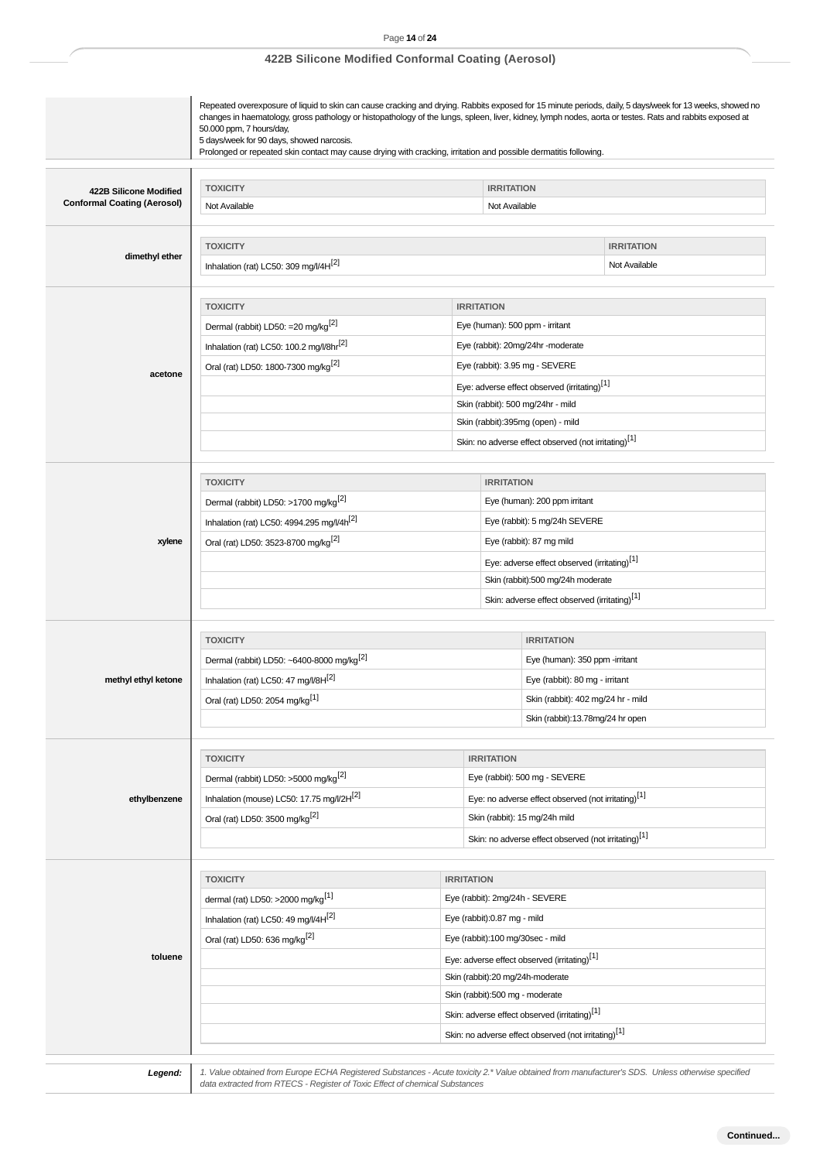|                                    | Repeated overexposure of liquid to skin can cause cracking and drying. Rabbits exposed for 15 minute periods, daily, 5 days/week for 13 weeks, showed no<br>changes in haematology, gross pathology or histopathology of the lungs, spleen, liver, kidney, lymph nodes, aorta or testes. Rats and rabbits exposed at<br>50.000 ppm, 7 hours/day,<br>5 days/week for 90 days, showed narcosis.<br>Prolonged or repeated skin contact may cause drying with cracking, irritation and possible dermatitis following. |                                  |                                                                 |                                                                        |                   |  |
|------------------------------------|-------------------------------------------------------------------------------------------------------------------------------------------------------------------------------------------------------------------------------------------------------------------------------------------------------------------------------------------------------------------------------------------------------------------------------------------------------------------------------------------------------------------|----------------------------------|-----------------------------------------------------------------|------------------------------------------------------------------------|-------------------|--|
|                                    |                                                                                                                                                                                                                                                                                                                                                                                                                                                                                                                   |                                  |                                                                 |                                                                        |                   |  |
| 422B Silicone Modified             | <b>TOXICITY</b><br><b>IRRITATION</b>                                                                                                                                                                                                                                                                                                                                                                                                                                                                              |                                  |                                                                 |                                                                        |                   |  |
| <b>Conformal Coating (Aerosol)</b> | Not Available                                                                                                                                                                                                                                                                                                                                                                                                                                                                                                     |                                  | Not Available                                                   |                                                                        |                   |  |
|                                    |                                                                                                                                                                                                                                                                                                                                                                                                                                                                                                                   |                                  |                                                                 |                                                                        |                   |  |
| dimethyl ether                     | <b>TOXICITY</b>                                                                                                                                                                                                                                                                                                                                                                                                                                                                                                   |                                  |                                                                 |                                                                        | <b>IRRITATION</b> |  |
|                                    | Inhalation (rat) LC50: 309 mg/l/4H[2]                                                                                                                                                                                                                                                                                                                                                                                                                                                                             |                                  |                                                                 |                                                                        | Not Available     |  |
|                                    |                                                                                                                                                                                                                                                                                                                                                                                                                                                                                                                   |                                  |                                                                 |                                                                        |                   |  |
|                                    | <b>TOXICITY</b>                                                                                                                                                                                                                                                                                                                                                                                                                                                                                                   | <b>IRRITATION</b>                |                                                                 |                                                                        |                   |  |
|                                    | Dermal (rabbit) LD50: =20 mg/kg <sup>[2]</sup>                                                                                                                                                                                                                                                                                                                                                                                                                                                                    |                                  |                                                                 | Eye (human): 500 ppm - irritant                                        |                   |  |
|                                    | Inhalation (rat) LC50: 100.2 mg/l/8hr <sup>[2]</sup>                                                                                                                                                                                                                                                                                                                                                                                                                                                              |                                  |                                                                 | Eye (rabbit): 20mg/24hr -moderate                                      |                   |  |
| acetone                            | Oral (rat) LD50: 1800-7300 mg/kg <sup>[2]</sup>                                                                                                                                                                                                                                                                                                                                                                                                                                                                   |                                  |                                                                 | Eye (rabbit): 3.95 mg - SEVERE                                         |                   |  |
|                                    |                                                                                                                                                                                                                                                                                                                                                                                                                                                                                                                   |                                  |                                                                 | Eye: adverse effect observed (irritating)[1]                           |                   |  |
|                                    |                                                                                                                                                                                                                                                                                                                                                                                                                                                                                                                   |                                  |                                                                 | Skin (rabbit): 500 mg/24hr - mild<br>Skin (rabbit):395mg (open) - mild |                   |  |
|                                    |                                                                                                                                                                                                                                                                                                                                                                                                                                                                                                                   |                                  |                                                                 | Skin: no adverse effect observed (not irritating)[1]                   |                   |  |
|                                    |                                                                                                                                                                                                                                                                                                                                                                                                                                                                                                                   |                                  |                                                                 |                                                                        |                   |  |
|                                    | <b>TOXICITY</b>                                                                                                                                                                                                                                                                                                                                                                                                                                                                                                   |                                  | <b>IRRITATION</b>                                               |                                                                        |                   |  |
|                                    | Dermal (rabbit) LD50: >1700 mg/kg <sup>[2]</sup>                                                                                                                                                                                                                                                                                                                                                                                                                                                                  |                                  |                                                                 |                                                                        |                   |  |
|                                    | Inhalation (rat) LC50: 4994.295 mg/l/4h <sup>[2]</sup>                                                                                                                                                                                                                                                                                                                                                                                                                                                            |                                  |                                                                 | Eye (human): 200 ppm irritant<br>Eye (rabbit): 5 mg/24h SEVERE         |                   |  |
| xylene                             | Oral (rat) LD50: 3523-8700 mg/kg <sup>[2]</sup>                                                                                                                                                                                                                                                                                                                                                                                                                                                                   |                                  |                                                                 | Eye (rabbit): 87 mg mild                                               |                   |  |
|                                    |                                                                                                                                                                                                                                                                                                                                                                                                                                                                                                                   |                                  | Eye: adverse effect observed (irritating) <sup>[1]</sup>        |                                                                        |                   |  |
|                                    | Skin (rabbit):500 mg/24h moderate                                                                                                                                                                                                                                                                                                                                                                                                                                                                                 |                                  |                                                                 |                                                                        |                   |  |
|                                    | Skin: adverse effect observed (irritating)[1]                                                                                                                                                                                                                                                                                                                                                                                                                                                                     |                                  |                                                                 |                                                                        |                   |  |
|                                    |                                                                                                                                                                                                                                                                                                                                                                                                                                                                                                                   |                                  |                                                                 |                                                                        |                   |  |
|                                    | <b>TOXICITY</b>                                                                                                                                                                                                                                                                                                                                                                                                                                                                                                   |                                  |                                                                 | <b>IRRITATION</b>                                                      |                   |  |
|                                    | Dermal (rabbit) LD50: ~6400-8000 mg/kg <sup>[2]</sup>                                                                                                                                                                                                                                                                                                                                                                                                                                                             |                                  |                                                                 | Eye (human): 350 ppm -irritant                                         |                   |  |
| methyl ethyl ketone                | Inhalation (rat) LC50: 47 mg/l/8H[2]                                                                                                                                                                                                                                                                                                                                                                                                                                                                              |                                  |                                                                 | Eye (rabbit): 80 mg - irritant                                         |                   |  |
|                                    | Oral (rat) LD50: 2054 mg/kg <sup>[1]</sup>                                                                                                                                                                                                                                                                                                                                                                                                                                                                        |                                  |                                                                 | Skin (rabbit): 402 mg/24 hr - mild                                     |                   |  |
|                                    |                                                                                                                                                                                                                                                                                                                                                                                                                                                                                                                   |                                  |                                                                 | Skin (rabbit):13.78mg/24 hr open                                       |                   |  |
|                                    |                                                                                                                                                                                                                                                                                                                                                                                                                                                                                                                   |                                  |                                                                 |                                                                        |                   |  |
|                                    | <b>TOXICITY</b>                                                                                                                                                                                                                                                                                                                                                                                                                                                                                                   |                                  | <b>IRRITATION</b>                                               |                                                                        |                   |  |
|                                    | Dermal (rabbit) LD50: >5000 mg/kg <sup>[2]</sup>                                                                                                                                                                                                                                                                                                                                                                                                                                                                  |                                  | Eye (rabbit): 500 mg - SEVERE                                   |                                                                        |                   |  |
| ethylbenzene                       | Inhalation (mouse) LC50: 17.75 mg/l/2H <sup>[2]</sup>                                                                                                                                                                                                                                                                                                                                                                                                                                                             |                                  | Eye: no adverse effect observed (not irritating) <sup>[1]</sup> |                                                                        |                   |  |
|                                    | Oral (rat) LD50: 3500 mg/kg <sup>[2]</sup>                                                                                                                                                                                                                                                                                                                                                                                                                                                                        |                                  | Skin (rabbit): 15 mg/24h mild                                   |                                                                        |                   |  |
|                                    |                                                                                                                                                                                                                                                                                                                                                                                                                                                                                                                   |                                  |                                                                 | Skin: no adverse effect observed (not irritating)[1]                   |                   |  |
|                                    |                                                                                                                                                                                                                                                                                                                                                                                                                                                                                                                   |                                  |                                                                 |                                                                        |                   |  |
|                                    | <b>TOXICITY</b><br><b>IRRITATION</b>                                                                                                                                                                                                                                                                                                                                                                                                                                                                              |                                  |                                                                 |                                                                        |                   |  |
|                                    | dermal (rat) LD50: >2000 mg/kg <sup>[1]</sup>                                                                                                                                                                                                                                                                                                                                                                                                                                                                     |                                  |                                                                 | Eye (rabbit): 2mg/24h - SEVERE                                         |                   |  |
|                                    | Inhalation (rat) LC50: 49 mg/l/4H <sup>[2]</sup>                                                                                                                                                                                                                                                                                                                                                                                                                                                                  | Eye (rabbit):0.87 mg - mild      |                                                                 |                                                                        |                   |  |
|                                    | Oral (rat) LD50: 636 mg/kg <sup>[2]</sup>                                                                                                                                                                                                                                                                                                                                                                                                                                                                         | Eye (rabbit):100 mg/30sec - mild |                                                                 |                                                                        |                   |  |
| toluene                            |                                                                                                                                                                                                                                                                                                                                                                                                                                                                                                                   |                                  |                                                                 | Eye: adverse effect observed (irritating)[1]                           |                   |  |
|                                    |                                                                                                                                                                                                                                                                                                                                                                                                                                                                                                                   |                                  |                                                                 | Skin (rabbit):20 mg/24h-moderate                                       |                   |  |
|                                    |                                                                                                                                                                                                                                                                                                                                                                                                                                                                                                                   |                                  |                                                                 | Skin (rabbit):500 mg - moderate                                        |                   |  |
|                                    |                                                                                                                                                                                                                                                                                                                                                                                                                                                                                                                   |                                  |                                                                 | Skin: adverse effect observed (irritating) <sup>[1]</sup>              |                   |  |
|                                    |                                                                                                                                                                                                                                                                                                                                                                                                                                                                                                                   |                                  |                                                                 | Skin: no adverse effect observed (not irritating) <sup>[1]</sup>       |                   |  |

Legend: 1. Value obtained from Europe ECHA Registered Substances - Acute toxicity 2.\* Value obtained from manufacturer's SDS. Unless otherwise specified<br>| data extracted from RTECS - Register of Toxic Effect of chemical Su

# Page **14** of **24 422B Silicone Modified Conformal Coating (Aerosol)**

**Continued...**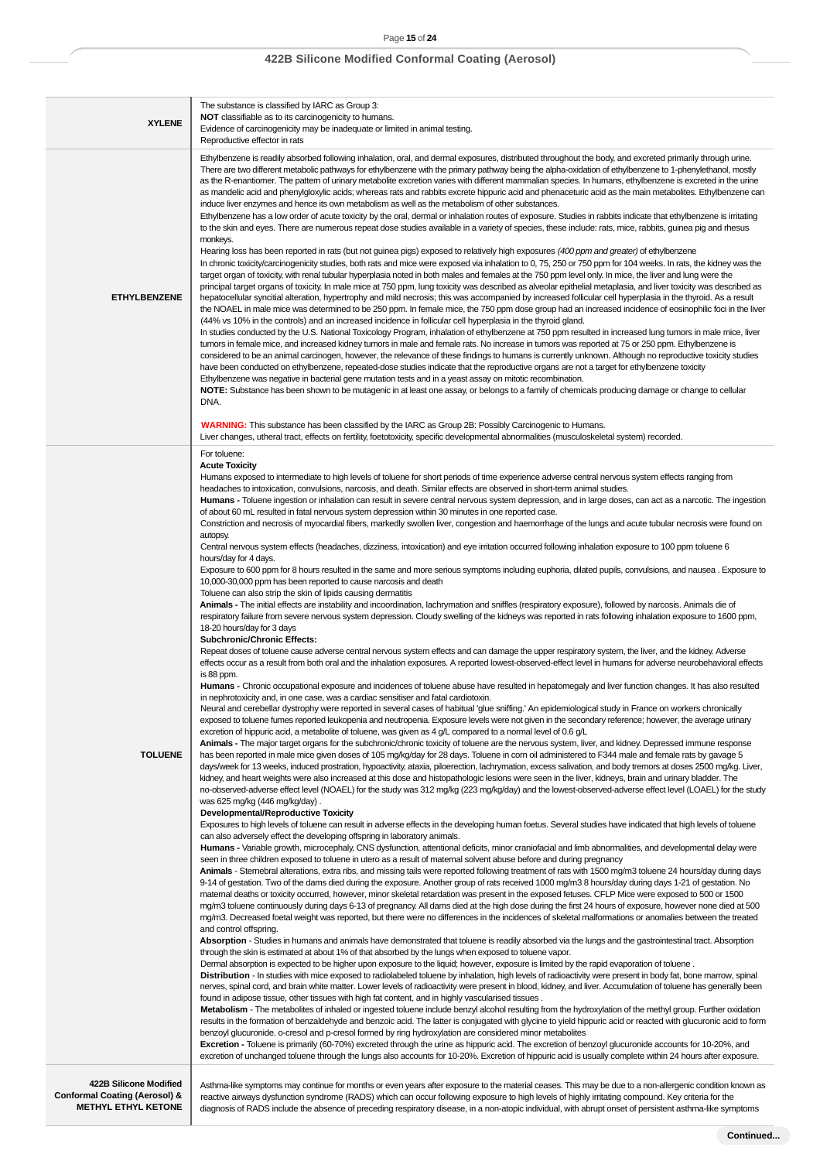| The substance is classified by IARC as Group 3:<br>NOT classifiable as to its carcinogenicity to humans.<br><b>XYLENE</b><br>Evidence of carcinogenicity may be inadequate or limited in animal testing.<br>Reproductive effector in rats<br>Ethylbenzene is readily absorbed following inhalation, oral, and dermal exposures, distributed throughout the body, and excreted primarily through urine.<br>There are two different metabolic pathways for ethylbenzene with the primary pathway being the alpha-oxidation of ethylbenzene to 1-phenylethanol, mostly<br>as the R-enantiomer. The pattern of urinary metabolite excretion varies with different mammalian species. In humans, ethylbenzene is excreted in the urine<br>induce liver enzymes and hence its own metabolism as well as the metabolism of other substances.<br>Ethylbenzene has a low order of acute toxicity by the oral, dermal or inhalation routes of exposure. Studies in rabbits indicate that ethylbenzene is irritating<br>to the skin and eyes. There are numerous repeat dose studies available in a variety of species, these include: rats, mice, rabbits, guinea pig and rhesus<br>monkeys.<br>Hearing loss has been reported in rats (but not guinea pigs) exposed to relatively high exposures (400 ppm and greater) of ethylbenzene<br>In chronic toxicity/carcinogenicity studies, both rats and mice were exposed via inhalation to 0, 75, 250 or 750 ppm for 104 weeks. In rats, the kidney was the<br>target organ of toxicity, with renal tubular hyperplasia noted in both males and females at the 750 ppm level only. In mice, the liver and lung were the<br>principal target organs of toxicity. In male mice at 750 ppm, lung toxicity was described as alveolar epithelial metaplasia, and liver toxicity was described as<br><b>ETHYLBENZENE</b><br>hepatocellular syncitial alteration, hypertrophy and mild necrosis; this was accompanied by increased follicular cell hyperplasia in the thyroid. As a result<br>(44% vs 10% in the controls) and an increased incidence in follicular cell hyperplasia in the thyroid gland.<br>In studies conducted by the U.S. National Toxicology Program, inhalation of ethylbenzene at 750 ppm resulted in increased lung tumors in male mice, liver<br>tumors in female mice, and increased kidney tumors in male and female rats. No increase in tumors was reported at 75 or 250 ppm. Ethylbenzene is<br>considered to be an animal carcinogen, however, the relevance of these findings to humans is currently unknown. Although no reproductive toxicity studies<br>have been conducted on ethylbenzene, repeated-dose studies indicate that the reproductive organs are not a target for ethylbenzene toxicity<br>Ethylbenzene was negative in bacterial gene mutation tests and in a yeast assay on mitotic recombination.<br>NOTE: Substance has been shown to be mutagenic in at least one assay, or belongs to a family of chemicals producing damage or change to cellular<br>DNA.<br>WARNING: This substance has been classified by the IARC as Group 2B: Possibly Carcinogenic to Humans.<br>Liver changes, utheral tract, effects on fertility, foetotoxicity, specific developmental abnormalities (musculoskeletal system) recorded.<br>For toluene:<br><b>Acute Toxicity</b><br>Humans exposed to intermediate to high levels of toluene for short periods of time experience adverse central nervous system effects ranging from<br>headaches to intoxication, convulsions, narcosis, and death. Similar effects are observed in short-term animal studies.<br>of about 60 mL resulted in fatal nervous system depression within 30 minutes in one reported case.<br>Constriction and necrosis of myocardial fibers, markedly swollen liver, congestion and haemorrhage of the lungs and acute tubular necrosis were found on<br>autopsy.<br>Central nervous system effects (headaches, dizziness, intoxication) and eye irritation occurred following inhalation exposure to 100 ppm toluene 6<br>hours/day for 4 days.<br>10,000-30,000 ppm has been reported to cause narcosis and death<br>Toluene can also strip the skin of lipids causing dermatitis<br>Animals - The initial effects are instability and incoordination, lachrymation and sniffles (respiratory exposure), followed by narcosis. Animals die of<br>respiratory failure from severe nervous system depression. Cloudy swelling of the kidneys was reported in rats following inhalation exposure to 1600 ppm,<br>18-20 hours/day for 3 days<br><b>Subchronic/Chronic Effects:</b><br>Repeat doses of toluene cause adverse central nervous system effects and can damage the upper respiratory system, the liver, and the kidney. Adverse<br>is 88 ppm.<br>Humans - Chronic occupational exposure and incidences of toluene abuse have resulted in hepatomegaly and liver function changes. It has also resulted<br>in nephrotoxicity and, in one case, was a cardiac sensitiser and fatal cardiotoxin.<br>Neural and cerebellar dystrophy were reported in several cases of habitual 'glue sniffing.' An epidemiological study in France on workers chronically<br>exposed to toluene fumes reported leukopenia and neutropenia. Exposure levels were not given in the secondary reference; however, the average urinary<br>excretion of hippuric acid, a metabolite of toluene, was given as 4 g/L compared to a normal level of 0.6 g/L<br>Animals - The major target organs for the subchronic/chronic toxicity of toluene are the nervous system, liver, and kidney. Depressed immune response<br><b>TOLUENE</b><br>has been reported in male mice given doses of 105 mg/kg/day for 28 days. Toluene in corn oil administered to F344 male and female rats by gavage 5<br>days/week for 13 weeks, induced prostration, hypoactivity, ataxia, piloerection, lachrymation, excess salivation, and body tremors at doses 2500 mg/kg. Liver,<br>kidney, and heart weights were also increased at this dose and histopathologic lesions were seen in the liver, kidneys, brain and urinary bladder. The<br>was 625 mg/kg (446 mg/kg/day).<br>Developmental/Reproductive Toxicity<br>Exposures to high levels of toluene can result in adverse effects in the developing human foetus. Several studies have indicated that high levels of toluene<br>can also adversely effect the developing offspring in laboratory animals.<br>Humans - Variable growth, microcephaly, CNS dysfunction, attentional deficits, minor craniofacial and limb abnormalities, and developmental delay were<br>seen in three children exposed to toluene in utero as a result of maternal solvent abuse before and during pregnancy<br>Animals - Sternebral alterations, extra ribs, and missing tails were reported following treatment of rats with 1500 mg/m3 toluene 24 hours/day during days<br>9-14 of gestation. Two of the dams died during the exposure. Another group of rats received 1000 mg/m3 8 hours/day during days 1-21 of gestation. No<br>maternal deaths or toxicity occurred, however, minor skeletal retardation was present in the exposed fetuses. CFLP Mice were exposed to 500 or 1500<br>mg/m3 toluene continuously during days 6-13 of pregnancy. All dams died at the high dose during the first 24 hours of exposure, however none died at 500<br>mg/m3. Decreased foetal weight was reported, but there were no differences in the incidences of skeletal malformations or anomalies between the treated<br>and control offspring.<br>Absorption - Studies in humans and animals have demonstrated that toluene is readily absorbed via the lungs and the gastrointestinal tract. Absorption<br>through the skin is estimated at about 1% of that absorbed by the lungs when exposed to toluene vapor.<br>Dermal absorption is expected to be higher upon exposure to the liquid; however, exposure is limited by the rapid evaporation of toluene.<br>Distribution - In studies with mice exposed to radiolabeled toluene by inhalation, high levels of radioactivity were present in body fat, bone marrow, spinal<br>nerves, spinal cord, and brain white matter. Lower levels of radioactivity were present in blood, kidney, and liver. Accumulation of toluene has generally been<br>found in adipose tissue, other tissues with high fat content, and in highly vascularised tissues.<br>Metabolism - The metabolites of inhaled or ingested toluene include benzyl alcohol resulting from the hydroxylation of the methyl group. Further oxidation |                                                                                                                                                                                                                                                                                                                                                                                                                                                                                                                                                                                                                                                                                                                                                                                                                                                                                                                                |
|-----------------------------------------------------------------------------------------------------------------------------------------------------------------------------------------------------------------------------------------------------------------------------------------------------------------------------------------------------------------------------------------------------------------------------------------------------------------------------------------------------------------------------------------------------------------------------------------------------------------------------------------------------------------------------------------------------------------------------------------------------------------------------------------------------------------------------------------------------------------------------------------------------------------------------------------------------------------------------------------------------------------------------------------------------------------------------------------------------------------------------------------------------------------------------------------------------------------------------------------------------------------------------------------------------------------------------------------------------------------------------------------------------------------------------------------------------------------------------------------------------------------------------------------------------------------------------------------------------------------------------------------------------------------------------------------------------------------------------------------------------------------------------------------------------------------------------------------------------------------------------------------------------------------------------------------------------------------------------------------------------------------------------------------------------------------------------------------------------------------------------------------------------------------------------------------------------------------------------------------------------------------------------------------------------------------------------------------------------------------------------------------------------------------------------------------------------------------------------------------------------------------------------------------------------------------------------------------------------------------------------------------------------------------------------------------------------------------------------------------------------------------------------------------------------------------------------------------------------------------------------------------------------------------------------------------------------------------------------------------------------------------------------------------------------------------------------------------------------------------------------------------------------------------------------------------------------------------------------------------------------------------------------------------------------------------------------------------------------------------------------------------------------------------------------------------------------------------------------------------------------------------------------------------------------------------------------------------------------------------------------------------------------------------------------------------------------------------------------------------------------------------------------------------------------------------------------------------------------------------------------------------------------------------------------------------------------------------------------------------------------------------------------------------------------------------------------------------------------------------------------------------------------------------------------------------------------------------------------------------------------------------------------------------------------------------------------------------------------------------------------------------------------------------------------------------------------------------------------------------------------------------------------------------------------------------------------------------------------------------------------------------------------------------------------------------------------------------------------------------------------------------------------------------------------------------------------------------------------------------------------------------------------------------------------------------------------------------------------------------------------------------------------------------------------------------------------------------------------------------------------------------------------------------------------------------------------------------------------------------------------------------------------------------------------------------------------------------------------------------------------------------------------------------------------------------------------------------------------------------------------------------------------------------------------------------------------------------------------------------------------------------------------------------------------------------------------------------------------------------------------------------------------------------------------------------------------------------------------------------------------------------------------------------------------------------------------------------------------------------------------------------------------------------------------------------------------------------------------------------------------------------------------------------------------------------------------------------------------------------------------------------------------------------------------------------------------------------------------------------------------------------------------------------------------------------------------------------------------------------------------------------------------------------------------------------------------------------------------------------------------------------------------------------------------------------------------------------------------------------------------------------------------------------------------------------------------------------------------------------------------------------------------------------------------------------------------------------------------------------------------------------------------------------------------------------------------------------------------------------------------------------------------------------------------------------------------------------------------------------------------------------------------------------------------------------------------------------------------------------------------------------------------------------------------------------------------------------------------------------------------------------------------------------------------------------------------------------------------------------------------------------------------------------------------------------------------------------------------------------------------------------------------------------------------------------------------------------------------------------------------------------------------------------------------------------------------------------------------------------------------------------------------------------------------------------------------------------------------------------------------------------------------------------------------------------------------------------------------------------------------------------------------------------------------------------------------------------------------------------------------------------------------------------------------------------------------------------------------------------------------------------------------------------------------------------------------------------------------------------|--------------------------------------------------------------------------------------------------------------------------------------------------------------------------------------------------------------------------------------------------------------------------------------------------------------------------------------------------------------------------------------------------------------------------------------------------------------------------------------------------------------------------------------------------------------------------------------------------------------------------------------------------------------------------------------------------------------------------------------------------------------------------------------------------------------------------------------------------------------------------------------------------------------------------------|
|                                                                                                                                                                                                                                                                                                                                                                                                                                                                                                                                                                                                                                                                                                                                                                                                                                                                                                                                                                                                                                                                                                                                                                                                                                                                                                                                                                                                                                                                                                                                                                                                                                                                                                                                                                                                                                                                                                                                                                                                                                                                                                                                                                                                                                                                                                                                                                                                                                                                                                                                                                                                                                                                                                                                                                                                                                                                                                                                                                                                                                                                                                                                                                                                                                                                                                                                                                                                                                                                                                                                                                                                                                                                                                                                                                                                                                                                                                                                                                                                                                                                                                                                                                                                                                                                                                                                                                                                                                                                                                                                                                                                                                                                                                                                                                                                                                                                                                                                                                                                                                                                                                                                                                                                                                                                                                                                                                                                                                                                                                                                                                                                                                                                                                                                                                                                                                                                                                                                                                                                                                                                                                                                                                                                                                                                                                                                                                                                                                                                                                                                                                                                                                                                                                                                                                                                                                                                                                                                                                                                                                                                                                                                                                                                                                                                                                                                                                                                                                                                                                                                                                                                                                                                                                                                                                                                                                                                                                                                                                                                                                                                                                                                                                                                                                                                                                                                                                                                                                                                                                                                                                                                                 |                                                                                                                                                                                                                                                                                                                                                                                                                                                                                                                                                                                                                                                                                                                                                                                                                                                                                                                                |
|                                                                                                                                                                                                                                                                                                                                                                                                                                                                                                                                                                                                                                                                                                                                                                                                                                                                                                                                                                                                                                                                                                                                                                                                                                                                                                                                                                                                                                                                                                                                                                                                                                                                                                                                                                                                                                                                                                                                                                                                                                                                                                                                                                                                                                                                                                                                                                                                                                                                                                                                                                                                                                                                                                                                                                                                                                                                                                                                                                                                                                                                                                                                                                                                                                                                                                                                                                                                                                                                                                                                                                                                                                                                                                                                                                                                                                                                                                                                                                                                                                                                                                                                                                                                                                                                                                                                                                                                                                                                                                                                                                                                                                                                                                                                                                                                                                                                                                                                                                                                                                                                                                                                                                                                                                                                                                                                                                                                                                                                                                                                                                                                                                                                                                                                                                                                                                                                                                                                                                                                                                                                                                                                                                                                                                                                                                                                                                                                                                                                                                                                                                                                                                                                                                                                                                                                                                                                                                                                                                                                                                                                                                                                                                                                                                                                                                                                                                                                                                                                                                                                                                                                                                                                                                                                                                                                                                                                                                                                                                                                                                                                                                                                                                                                                                                                                                                                                                                                                                                                                                                                                                                                                 | as mandelic acid and phenylgloxylic acids; whereas rats and rabbits excrete hippuric acid and phenaceturic acid as the main metabolites. Ethylbenzene can<br>the NOAEL in male mice was determined to be 250 ppm. In female mice, the 750 ppm dose group had an increased incidence of eosinophilic foci in the liver                                                                                                                                                                                                                                                                                                                                                                                                                                                                                                                                                                                                          |
| Excretion - Toluene is primarily (60-70%) excreted through the urine as hippuric acid. The excretion of benzoyl glucuronide accounts for 10-20%, and<br>excretion of unchanged toluene through the lungs also accounts for 10-20%. Excretion of hippuric acid is usually complete within 24 hours after exposure.<br>422B Silicone Modified                                                                                                                                                                                                                                                                                                                                                                                                                                                                                                                                                                                                                                                                                                                                                                                                                                                                                                                                                                                                                                                                                                                                                                                                                                                                                                                                                                                                                                                                                                                                                                                                                                                                                                                                                                                                                                                                                                                                                                                                                                                                                                                                                                                                                                                                                                                                                                                                                                                                                                                                                                                                                                                                                                                                                                                                                                                                                                                                                                                                                                                                                                                                                                                                                                                                                                                                                                                                                                                                                                                                                                                                                                                                                                                                                                                                                                                                                                                                                                                                                                                                                                                                                                                                                                                                                                                                                                                                                                                                                                                                                                                                                                                                                                                                                                                                                                                                                                                                                                                                                                                                                                                                                                                                                                                                                                                                                                                                                                                                                                                                                                                                                                                                                                                                                                                                                                                                                                                                                                                                                                                                                                                                                                                                                                                                                                                                                                                                                                                                                                                                                                                                                                                                                                                                                                                                                                                                                                                                                                                                                                                                                                                                                                                                                                                                                                                                                                                                                                                                                                                                                                                                                                                                                                                                                                                                                                                                                                                                                                                                                                                                                                                                                                                                                                                                     | Humans - Toluene ingestion or inhalation can result in severe central nervous system depression, and in large doses, can act as a narcotic. The ingestion<br>Exposure to 600 ppm for 8 hours resulted in the same and more serious symptoms including euphoria, dilated pupils, convulsions, and nausea. Exposure to<br>effects occur as a result from both oral and the inhalation exposures. A reported lowest-observed-effect level in humans for adverse neurobehavioral effects<br>no-observed-adverse effect level (NOAEL) for the study was 312 mg/kg (223 mg/kg/day) and the lowest-observed-adverse effect level (LOAEL) for the study<br>results in the formation of benzaldehyde and benzoic acid. The latter is conjugated with glycine to yield hippuric acid or reacted with glucuronic acid to form<br>benzoyl glucuronide. o-cresol and p-cresol formed by ring hydroxylation are considered minor metabolites |

reactive airways dysfunction syndrome (RADS) which can occur following exposure to high levels of highly irritating compound. Key criteria for the diagnosis of RADS include the absence of preceding respiratory disease, in a non-atopic individual, with abrupt onset of persistent asthma-like symptoms

**Conformal Coating (Aerosol) & METHYL ETHYL KETONE**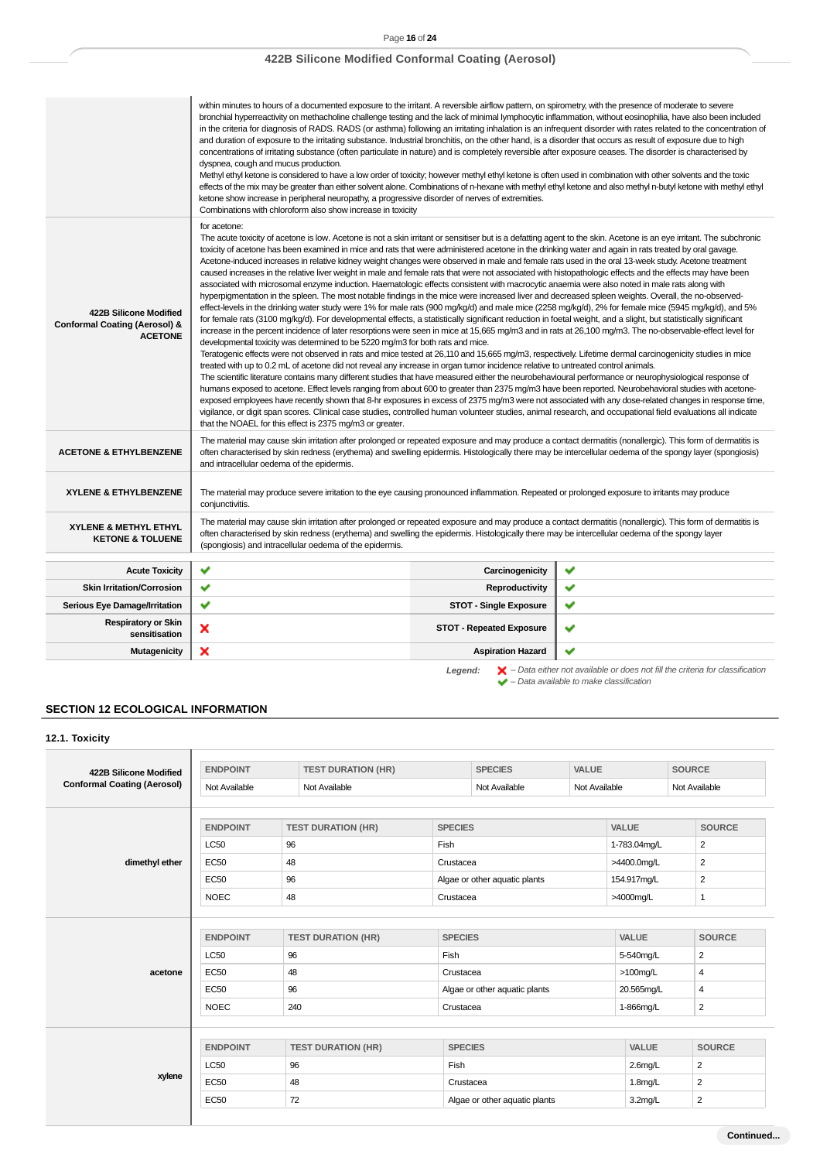|                                                                                      | within minutes to hours of a documented exposure to the irritant. A reversible airflow pattern, on spirometry, with the presence of moderate to severe<br>bronchial hyperreactivity on methacholine challenge testing and the lack of minimal lymphocytic inflammation, without eosinophilia, have also been included<br>in the criteria for diagnosis of RADS. RADS (or asthma) following an irritating inhalation is an infrequent disorder with rates related to the concentration of<br>and duration of exposure to the irritating substance. Industrial bronchitis, on the other hand, is a disorder that occurs as result of exposure due to high<br>concentrations of irritating substance (often particulate in nature) and is completely reversible after exposure ceases. The disorder is characterised by<br>dyspnea, cough and mucus production.<br>Methyl ethyl ketone is considered to have a low order of toxicity; however methyl ethyl ketone is often used in combination with other solvents and the toxic<br>effects of the mix may be greater than either solvent alone. Combinations of n-hexane with methyl ethyl ketone and also methyl n-butyl ketone with methyl ethyl<br>ketone show increase in peripheral neuropathy, a progressive disorder of nerves of extremities.<br>Combinations with chloroform also show increase in toxicity                                                                                                                                                                                                                                                                                                                                                                                                                                                                                                                                                                                                                                                                                                                                                                                                                                                                                                                                                                                                                                                                                                                         |                                 |   |  |  |  |
|--------------------------------------------------------------------------------------|--------------------------------------------------------------------------------------------------------------------------------------------------------------------------------------------------------------------------------------------------------------------------------------------------------------------------------------------------------------------------------------------------------------------------------------------------------------------------------------------------------------------------------------------------------------------------------------------------------------------------------------------------------------------------------------------------------------------------------------------------------------------------------------------------------------------------------------------------------------------------------------------------------------------------------------------------------------------------------------------------------------------------------------------------------------------------------------------------------------------------------------------------------------------------------------------------------------------------------------------------------------------------------------------------------------------------------------------------------------------------------------------------------------------------------------------------------------------------------------------------------------------------------------------------------------------------------------------------------------------------------------------------------------------------------------------------------------------------------------------------------------------------------------------------------------------------------------------------------------------------------------------------------------------------------------------------------------------------------------------------------------------------------------------------------------------------------------------------------------------------------------------------------------------------------------------------------------------------------------------------------------------------------------------------------------------------------------------------------------------------------------------------------------------------------------------------------------------------------------------|---------------------------------|---|--|--|--|
| 422B Silicone Modified<br><b>Conformal Coating (Aerosol) &amp;</b><br><b>ACETONE</b> | for acetone:<br>The acute toxicity of acetone is low. Acetone is not a skin irritant or sensitiser but is a defatting agent to the skin. Acetone is an eye irritant. The subchronic<br>toxicity of acetone has been examined in mice and rats that were administered acetone in the drinking water and again in rats treated by oral gavage.<br>Acetone-induced increases in relative kidney weight changes were observed in male and female rats used in the oral 13-week study. Acetone treatment<br>caused increases in the relative liver weight in male and female rats that were not associated with histopathologic effects and the effects may have been<br>associated with microsomal enzyme induction. Haematologic effects consistent with macrocytic anaemia were also noted in male rats along with<br>hyperpigmentation in the spleen. The most notable findings in the mice were increased liver and decreased spleen weights. Overall, the no-observed-<br>effect-levels in the drinking water study were 1% for male rats (900 mg/kg/d) and male mice (2258 mg/kg/d), 2% for female mice (5945 mg/kg/d), and 5%<br>for female rats (3100 mg/kg/d). For developmental effects, a statistically significant reduction in foetal weight, and a slight, but statistically significant<br>increase in the percent incidence of later resorptions were seen in mice at 15,665 mg/m3 and in rats at 26,100 mg/m3. The no-observable-effect level for<br>developmental toxicity was determined to be 5220 mg/m3 for both rats and mice.<br>Teratogenic effects were not observed in rats and mice tested at 26,110 and 15,665 mg/m3, respectively. Lifetime dermal carcinogenicity studies in mice<br>treated with up to 0.2 mL of acetone did not reveal any increase in organ tumor incidence relative to untreated control animals.<br>The scientific literature contains many different studies that have measured either the neurobehavioural performance or neurophysiological response of<br>humans exposed to acetone. Effect levels ranging from about 600 to greater than 2375 mg/m3 have been reported. Neurobehavioral studies with acetone-<br>exposed employees have recently shown that 8-hr exposures in excess of 2375 mg/m3 were not associated with any dose-related changes in response time,<br>vigilance, or digit span scores. Clinical case studies, controlled human volunteer studies, animal research, and occupational field evaluations all indicate |                                 |   |  |  |  |
| <b>ACETONE &amp; ETHYLBENZENE</b>                                                    | The material may cause skin irritation after prolonged or repeated exposure and may produce a contact dermatitis (nonallergic). This form of dermatitis is<br>often characterised by skin redness (erythema) and swelling epidermis. Histologically there may be intercellular oedema of the spongy layer (spongiosis)<br>and intracellular oedema of the epidermis.                                                                                                                                                                                                                                                                                                                                                                                                                                                                                                                                                                                                                                                                                                                                                                                                                                                                                                                                                                                                                                                                                                                                                                                                                                                                                                                                                                                                                                                                                                                                                                                                                                                                                                                                                                                                                                                                                                                                                                                                                                                                                                                       |                                 |   |  |  |  |
| <b>XYLENE &amp; ETHYLBENZENE</b>                                                     | The material may produce severe irritation to the eye causing pronounced inflammation. Repeated or prolonged exposure to irritants may produce<br>conjunctivitis.                                                                                                                                                                                                                                                                                                                                                                                                                                                                                                                                                                                                                                                                                                                                                                                                                                                                                                                                                                                                                                                                                                                                                                                                                                                                                                                                                                                                                                                                                                                                                                                                                                                                                                                                                                                                                                                                                                                                                                                                                                                                                                                                                                                                                                                                                                                          |                                 |   |  |  |  |
| XYLENE & METHYL ETHYL<br><b>KETONE &amp; TOLUENE</b>                                 | The material may cause skin irritation after prolonged or repeated exposure and may produce a contact dermatitis (nonallergic). This form of dermatitis is<br>often characterised by skin redness (erythema) and swelling the epidermis. Histologically there may be intercellular oedema of the spongy layer<br>(spongiosis) and intracellular oedema of the epidermis.                                                                                                                                                                                                                                                                                                                                                                                                                                                                                                                                                                                                                                                                                                                                                                                                                                                                                                                                                                                                                                                                                                                                                                                                                                                                                                                                                                                                                                                                                                                                                                                                                                                                                                                                                                                                                                                                                                                                                                                                                                                                                                                   |                                 |   |  |  |  |
| <b>Acute Toxicity</b>                                                                | ✔                                                                                                                                                                                                                                                                                                                                                                                                                                                                                                                                                                                                                                                                                                                                                                                                                                                                                                                                                                                                                                                                                                                                                                                                                                                                                                                                                                                                                                                                                                                                                                                                                                                                                                                                                                                                                                                                                                                                                                                                                                                                                                                                                                                                                                                                                                                                                                                                                                                                                          | Carcinogenicity                 | ✔ |  |  |  |
| <b>Skin Irritation/Corrosion</b>                                                     | ✔                                                                                                                                                                                                                                                                                                                                                                                                                                                                                                                                                                                                                                                                                                                                                                                                                                                                                                                                                                                                                                                                                                                                                                                                                                                                                                                                                                                                                                                                                                                                                                                                                                                                                                                                                                                                                                                                                                                                                                                                                                                                                                                                                                                                                                                                                                                                                                                                                                                                                          | Reproductivity                  | ✔ |  |  |  |
| Serious Eye Damage/Irritation                                                        | ✔                                                                                                                                                                                                                                                                                                                                                                                                                                                                                                                                                                                                                                                                                                                                                                                                                                                                                                                                                                                                                                                                                                                                                                                                                                                                                                                                                                                                                                                                                                                                                                                                                                                                                                                                                                                                                                                                                                                                                                                                                                                                                                                                                                                                                                                                                                                                                                                                                                                                                          | <b>STOT - Single Exposure</b>   | ✔ |  |  |  |
| <b>Respiratory or Skin</b><br>sensitisation                                          | ×                                                                                                                                                                                                                                                                                                                                                                                                                                                                                                                                                                                                                                                                                                                                                                                                                                                                                                                                                                                                                                                                                                                                                                                                                                                                                                                                                                                                                                                                                                                                                                                                                                                                                                                                                                                                                                                                                                                                                                                                                                                                                                                                                                                                                                                                                                                                                                                                                                                                                          | <b>STOT - Repeated Exposure</b> | ✔ |  |  |  |
| <b>Mutagenicity</b>                                                                  | ×                                                                                                                                                                                                                                                                                                                                                                                                                                                                                                                                                                                                                                                                                                                                                                                                                                                                                                                                                                                                                                                                                                                                                                                                                                                                                                                                                                                                                                                                                                                                                                                                                                                                                                                                                                                                                                                                                                                                                                                                                                                                                                                                                                                                                                                                                                                                                                                                                                                                                          | <b>Aspiration Hazard</b>        |   |  |  |  |

**Legend:**  $\mathbf{X}$  – Data either not available or does not fill the criteria for classification<br>  $\bullet$  – Data available to make classification

# **SECTION 12 ECOLOGICAL INFORMATION**

| 422B Silicone Modified             | <b>ENDPOINT</b> | <b>TEST DURATION (HR)</b> |                               | <b>SPECIES</b>                | VALUE         |                      | <b>SOURCE</b>  |
|------------------------------------|-----------------|---------------------------|-------------------------------|-------------------------------|---------------|----------------------|----------------|
| <b>Conformal Coating (Aerosol)</b> | Not Available   | Not Available             |                               | Not Available                 | Not Available |                      | Not Available  |
|                                    | <b>ENDPOINT</b> | <b>TEST DURATION (HR)</b> | <b>SPECIES</b>                |                               |               | <b>VALUE</b>         | <b>SOURCE</b>  |
|                                    | <b>LC50</b>     | 96                        | Fish                          |                               |               | 1-783.04mg/L         | $\overline{2}$ |
| dimethyl ether                     | <b>EC50</b>     | 48                        | Crustacea                     |                               |               | >4400.0mg/L          | $\overline{2}$ |
|                                    | <b>EC50</b>     | 96                        | Algae or other aquatic plants |                               | 154.917mg/L   | $\overline{2}$       |                |
|                                    | <b>NOEC</b>     | 48                        | Crustacea                     |                               |               | >4000mg/L            | 1              |
|                                    | <b>ENDPOINT</b> | <b>TEST DURATION (HR)</b> | <b>SPECIES</b>                |                               |               | <b>VALUE</b>         | <b>SOURCE</b>  |
|                                    | <b>LC50</b>     | 96                        | Fish                          |                               |               | 5-540mg/L            | 2              |
| acetone                            | <b>EC50</b>     | 48                        |                               | Crustacea                     |               | $>100$ mg/L          | $\overline{4}$ |
|                                    | <b>EC50</b>     | 96                        |                               | Algae or other aquatic plants |               | 20.565mg/L           | 4              |
|                                    | <b>NOEC</b>     | 240                       | Crustacea                     |                               |               | 1-866mg/L            | $\overline{2}$ |
|                                    | <b>ENDPOINT</b> | <b>TEST DURATION (HR)</b> | <b>SPECIES</b>                |                               |               | VALUE                | <b>SOURCE</b>  |
|                                    | <b>LC50</b>     | 96                        | Fish                          |                               |               | $2.6$ mg/L           | $\overline{2}$ |
| xylene                             | <b>EC50</b>     | 48                        |                               | Crustacea                     |               | 1.8 <sub>m</sub> g/L | $\overline{2}$ |
|                                    | <b>EC50</b>     | 72                        |                               | Algae or other aquatic plants |               | 3.2 <sub>mg</sub> /L | 2              |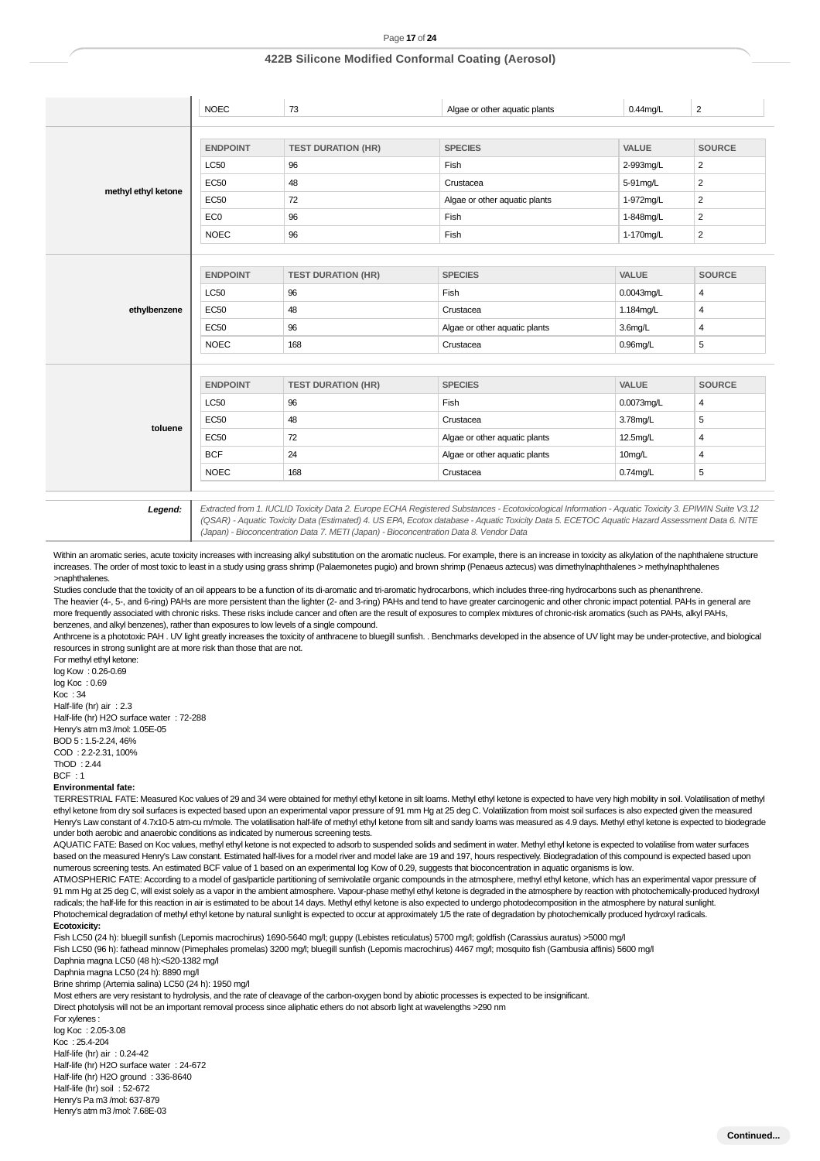|                     | <b>NOEC</b>     | 73                        | Algae or other aquatic plants | $0.44$ mg/L  | $\overline{2}$ |
|---------------------|-----------------|---------------------------|-------------------------------|--------------|----------------|
|                     |                 |                           |                               |              |                |
|                     | <b>ENDPOINT</b> | <b>TEST DURATION (HR)</b> | <b>SPECIES</b>                | <b>VALUE</b> | <b>SOURCE</b>  |
|                     | <b>LC50</b>     | 96                        | Fish                          | 2-993mg/L    | $\overline{2}$ |
|                     | <b>EC50</b>     | 48                        | Crustacea                     | 5-91mg/L     | $\overline{2}$ |
| methyl ethyl ketone | <b>EC50</b>     | 72                        | Algae or other aquatic plants | 1-972mg/L    | $\overline{2}$ |
|                     | EC <sub>0</sub> | 96                        | Fish                          | 1-848mg/L    | $\overline{2}$ |
|                     | <b>NOEC</b>     | 96                        | Fish                          | 1-170mg/L    | $\overline{2}$ |
|                     |                 |                           |                               |              |                |
|                     | <b>ENDPOINT</b> | <b>TEST DURATION (HR)</b> | <b>SPECIES</b>                | VALUE        | <b>SOURCE</b>  |
|                     | <b>LC50</b>     | 96                        | Fish                          | 0.0043mg/L   | 4              |
| ethylbenzene        | <b>EC50</b>     | 48                        | Crustacea                     | 1.184mg/L    | 4              |
|                     | <b>EC50</b>     | 96                        | Algae or other aquatic plants | $3.6$ mg/L   | 4              |
|                     | <b>NOEC</b>     | 168                       | Crustacea                     | $0.96$ mg/L  | 5              |
|                     |                 |                           |                               |              |                |
|                     | <b>ENDPOINT</b> | <b>TEST DURATION (HR)</b> | <b>SPECIES</b>                | VALUE        | <b>SOURCE</b>  |
|                     | <b>LC50</b>     | 96                        | Fish                          | 0.0073mg/L   | 4              |
|                     | <b>EC50</b>     | 48                        | Crustacea                     | 3.78mg/L     | 5              |
| toluene             | <b>EC50</b>     | 72                        | Algae or other aquatic plants | 12.5mg/L     | $\overline{4}$ |
|                     | <b>BCF</b>      | 24                        | Algae or other aquatic plants | 10mg/L       | $\overline{4}$ |
|                     | <b>NOEC</b>     | 168                       | Crustacea                     | $0.74$ mg/L  | 5              |

**Legend:** Extracted from 1. IUCLID Toxicity Data 2. Europe ECHA Registered Substances - Ecotoxicological Information - Aquatic Toxicity 3. EPIWIN Suite V3.12 (QSAR) - Aquatic Toxicity Data (Estimated) 4. US EPA, Ecotox database - Aquatic Toxicity Data 5. ECETOC Aquatic Hazard Assessment Data 6. NITE (Japan) - Bioconcentration Data 7. METI (Japan) - Bioconcentration Data 8. Vendor Data

Within an aromatic series, acute toxicity increases with increasing alkyl substitution on the aromatic nucleus. For example, there is an increase in toxicity as alkylation of the naphthalene structure increases. The order of most toxic to least in a study using grass shrimp (Palaemonetes pugio) and brown shrimp (Penaeus aztecus) was dimethylnaphthalenes > methylnaphthalenes >naphthalenes.

Studies conclude that the toxicity of an oil appears to be a function of its di-aromatic and tri-aromatic hydrocarbons, which includes three-ring hydrocarbons such as phenanthrene. The heavier (4-, 5-, and 6-ring) PAHs are more persistent than the lighter (2- and 3-ring) PAHs and tend to have greater carcinogenic and other chronic impact potential. PAHs in general are more frequently associated with chronic risks. These risks include cancer and often are the result of exposures to complex mixtures of chronic-risk aromatics (such as PAHs, alkyl PAHs, benzenes, and alkyl benzenes), rather than exposures to low levels of a single compound.

Anthrcene is a phototoxic PAH . UV light greatly increases the toxicity of anthracene to bluegill sunfish. . Benchmarks developed in the absence of UV light may be under-protective, and biological resources in strong sunlight are at more risk than those that are not.

For methyl ethyl ketone: log Kow : 0.26-0.69 log Koc : 0.69 Koc : 34 Half-life (hr) air : 2.3 Half-life (hr) H2O surface water : 72-288 Henry's atm m3 /mol: 1.05E-05 BOD 5 : 1.5-2.24, 46% COD : 2.2-2.31, 100% ThOD : 2.44  $BCF + 1$ 

#### **Environmental fate:**

TERRESTRIAL FATE: Measured Koc values of 29 and 34 were obtained for methyl ethyl ketone in silt loams. Methyl ethyl ketone is expected to have very high mobility in soil. Volatilisation of methyl ethyl ketone from dry soil surfaces is expected based upon an experimental vapor pressure of 91 mm Hg at 25 deg C. Volatilization from moist soil surfaces is also expected given the measured Henry's Law constant of 4.7x10-5 atm-cu m/mole. The volatilisation half-life of methyl ethyl ketone from silt and sandy loams was measured as 4.9 days. Methyl ethyl ketone is expected to biodegrade under both aerobic and anaerobic conditions as indicated by numerous screening tests.

AQUATIC FATE: Based on Koc values, methyl ethyl ketone is not expected to adsorb to suspended solids and sediment in water. Methyl ethyl ketone is expected to volatilise from water surfaces based on the measured Henry's Law constant. Estimated half-lives for a model river and model lake are 19 and 197, hours respectively. Biodegradation of this compound is expected based upon numerous screening tests. An estimated BCF value of 1 based on an experimental log Kow of 0.29, suggests that bioconcentration in aquatic organisms is low.

ATMOSPHERIC FATE: According to a model of gas/particle partitioning of semivolatile organic compounds in the atmosphere, methyl ethyl ketone, which has an experimental vapor pressure of 91 mm Hg at 25 deg C, will exist solely as a vapor in the ambient atmosphere. Vapour-phase methyl ethyl ketone is degraded in the atmosphere by reaction with photochemically-produced hydroxyl radicals; the half-life for this reaction in air is estimated to be about 14 days. Methyl ethyl ketone is also expected to undergo photodecomposition in the atmosphere by natural sunlight. Photochemical degradation of methyl ethyl ketone by natural sunlight is expected to occur at approximately 1/5 the rate of degradation by photochemically produced hydroxyl radicals. **Ecotoxicity:**

Fish LC50 (24 h): bluegill sunfish (Lepomis macrochirus) 1690-5640 mg/l; guppy (Lebistes reticulatus) 5700 mg/l; goldfish (Carassius auratus) >5000 mg/l Fish LC50 (96 h): fathead minnow (Pimephales promelas) 3200 mg/l; bluegill sunfish (Lepomis macrochirus) 4467 mg/l; mosquito fish (Gambusia affinis) 5600 mg/l

Daphnia magna LC50 (48 h):<520-1382 mg/l

Daphnia magna LC50 (24 h): 8890 mg/l

Brine shrimp (Artemia salina) LC50 (24 h): 1950 mg/l

Most ethers are very resistant to hydrolysis, and the rate of cleavage of the carbon-oxygen bond by abiotic processes is expected to be insignificant.

Direct photolysis will not be an important removal process since aliphatic ethers do not absorb light at wavelengths >290 nm

For xylenes : log Koc : 2.05-3.08 Koc : 25.4-204 Half-life (hr) air : 0.24-42 Half-life (hr) H2O surface water : 24-672 Half-life (hr) H2O ground : 336-8640 Half-life (hr) soil : 52-672 Henry's Pa m3 /mol: 637-879 Henry's atm m3 /mol: 7.68E-03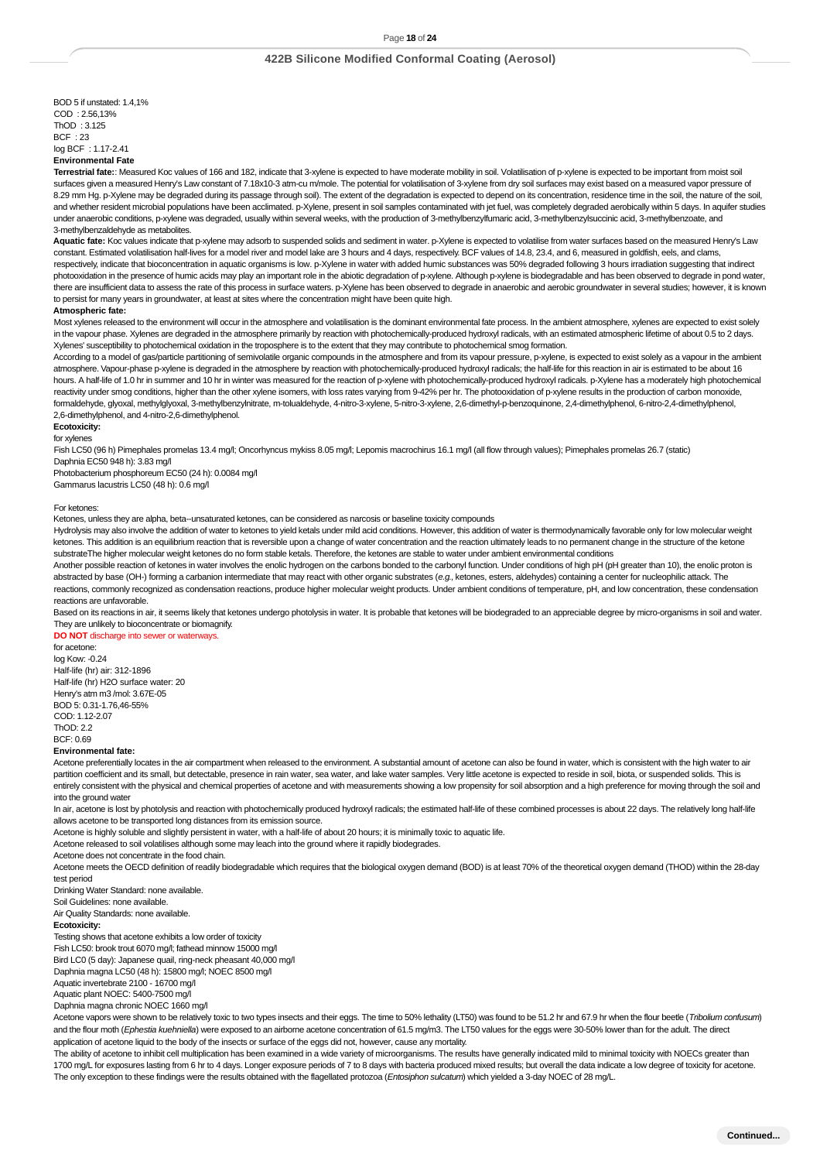BOD 5 if unstated: 1.4,1%  $COM + 2.56$  13% ThOD : 3.125  $BCF + 23$ log BCF : 1.17-2.41 **Environmental Fate**

**Terrestrial fate:**: Measured Koc values of 166 and 182, indicate that 3-xylene is expected to have moderate mobility in soil. Volatilisation of p-xylene is expected to be important from moist soil surfaces given a measured Henry's Law constant of 7.18x10-3 atm-cu m/mole. The potential for volatilisation of 3-xylene from dry soil surfaces may exist based on a measured vapor pressure of 8.29 mm Hg. p-Xylene may be degraded during its passage through soil). The extent of the degradation is expected to depend on its concentration, residence time in the soil, the nature of the soil, and whether resident microbial populations have been acclimated. p-Xylene, present in soil samples contaminated with jet fuel, was completely degraded aerobically within 5 days. In aquifer studies under anaerobic conditions, p-xylene was degraded, usually within several weeks, with the production of 3-methylbenzylfumaric acid, 3-methylbenzylsuccinic acid, 3-methylbenzoate, and 3-methylbenzaldehyde as metabolites.

Aquatic fate: Koc values indicate that p-xylene may adsorb to suspended solids and sediment in water. p-Xylene is expected to volatilise from water surfaces based on the measured Henry's Law constant. Estimated volatilisation half-lives for a model river and model lake are 3 hours and 4 days, respectively. BCF values of 14.8, 23.4, and 6, measured in goldfish, eels, and clams respectively, indicate that bioconcentration in aquatic organisms is low. p-Xylene in water with added humic substances was 50% degraded following 3 hours irradiation suggesting that indirect photooxidation in the presence of humic acids may play an important role in the abiotic degradation of p-xylene. Although p-xylene is biodegradable and has been observed to degrade in pond water, there are insufficient data to assess the rate of this process in surface waters. p-Xylene has been observed to degrade in anaerobic and aerobic groundwater in several studies; however, it is known to persist for many years in groundwater, at least at sites where the concentration might have been quite high.

#### **Atmospheric fate:**

Most xylenes released to the environment will occur in the atmosphere and volatilisation is the dominant environmental fate process. In the ambient atmosphere, xylenes are expected to exist solely in the vapour phase. Xylenes are degraded in the atmosphere primarily by reaction with photochemically-produced hydroxyl radicals, with an estimated atmospheric lifetime of about 0.5 to 2 days. Xylenes' susceptibility to photochemical oxidation in the troposphere is to the extent that they may contribute to photochemical smog formation.

According to a model of gas/particle partitioning of semivolatile organic compounds in the atmosphere and from its vapour pressure, p-xylene, is expected to exist solely as a vapour in the ambient atmosphere. Vapour-phase p-xylene is degraded in the atmosphere by reaction with photochemically-produced hydroxyl radicals; the half-life for this reaction in air is estimated to be about 16 hours. A half-life of 1.0 hr in summer and 10 hr in winter was measured for the reaction of p-xylene with photochemically-produced hydroxyl radicals. p-Xylene has a moderately high photochemical reactivity under smog conditions, higher than the other xylene isomers, with loss rates varying from 9-42% per hr. The photooxidation of p-xylene results in the production of carbon monoxide, formaldehyde, glyoxal, methylglyoxal, 3-methylbenzylnitrate, m-tolualdehyde, 4-nitro-3-xylene, 5-nitro-3-xylene, 2,6-dimethyl-p-benzoquinone, 2,4-dimethylphenol, 6-nitro-2,4-dimethylphenol, 2,6-dimethylphenol, and 4-nitro-2,6-dimethylphenol.

#### **Ecotoxicity:**

for xylenes

Fish LC50 (96 h) Pimephales promelas 13.4 mg/l; Oncorhyncus mykiss 8.05 mg/l; Lepomis macrochirus 16.1 mg/l (all flow through values); Pimephales promelas 26.7 (static) Daphnia EC50 948 h): 3.83 mg/l

Photobacterium phosphoreum EC50 (24 h): 0.0084 mg/l Gammarus lacustris LC50 (48 h): 0.6 mg/l

#### For ketones:

Ketones, unless they are alpha, beta--unsaturated ketones, can be considered as narcosis or baseline toxicity compounds

Hydrolysis may also involve the addition of water to ketones to yield ketals under mild acid conditions. However, this addition of water is thermodynamically favorable only for low molecular weight ketones. This addition is an equilibrium reaction that is reversible upon a change of water concentration and the reaction ultimately leads to no permanent change in the structure of the ketone substrateThe higher molecular weight ketones do no form stable ketals. Therefore, the ketones are stable to water under ambient environmental conditions

Another possible reaction of ketones in water involves the enolic hydrogen on the carbons bonded to the carbonyl function. Under conditions of high pH (pH greater than 10), the enolic proton is abstracted by base (OH-) forming a carbanion intermediate that may react with other organic substrates (e.g., ketones, esters, aldehydes) containing a center for nucleophilic attack. The reactions, commonly recognized as condensation reactions, produce higher molecular weight products. Under ambient conditions of temperature, pH, and low concentration, these condensation reactions are unfavorable.

Based on its reactions in air, it seems likely that ketones undergo photolysis in water. It is probable that ketones will be biodegraded to an appreciable degree by micro-organisms in soil and water. They are unlikely to bioconcentrate or biomagnify.

**DO NOT** discharge into sewer or waterways.

for acetone: log Kow: -0.24 Half-life (hr) air: 312-1896 Half-life (hr) H2O surface water: 20 Henry's atm m3 /mol: 3.67E-05 BOD 5: 0.31-1.76,46-55% COD: 1.12-2.07  $ThOD: 2.2$ BCF: 0.69

#### **Environmental fate:**

Acetone preferentially locates in the air compartment when released to the environment. A substantial amount of acetone can also be found in water, which is consistent with the high water to air partition coefficient and its small, but detectable, presence in rain water, sea water, and lake water samples. Very little acetone is expected to reside in soil, biota, or suspended solids. This is entirely consistent with the physical and chemical properties of acetone and with measurements showing a low propensity for soil absorption and a high preference for moving through the soil and into the ground water

In air, acetone is lost by photolysis and reaction with photochemically produced hydroxyl radicals; the estimated half-life of these combined processes is about 22 days. The relatively long half-life allows acetone to be transported long distances from its emission source.

Acetone is highly soluble and slightly persistent in water, with a half-life of about 20 hours; it is minimally toxic to aquatic life.

Acetone released to soil volatilises although some may leach into the ground where it rapidly biodegrades.

Acetone does not concentrate in the food chain.

Acetone meets the OECD definition of readily biodegradable which requires that the biological oxygen demand (BOD) is at least 70% of the theoretical oxygen demand (THOD) within the 28-day test period

Drinking Water Standard: none available.

Soil Guidelines: none available.

# Air Quality Standards: none available.

### **Ecotoxicity:**

Testing shows that acetone exhibits a low order of toxicity

Fish LC50: brook trout 6070 mg/l; fathead minnow 15000 mg/l

Bird LC0 (5 day): Japanese quail, ring-neck pheasant 40,000 mg/l

Daphnia magna LC50 (48 h): 15800 mg/l; NOEC 8500 mg/l

Aquatic invertebrate 2100 - 16700 mg/l

Aquatic plant NOEC: 5400-7500 mg/l

Daphnia magna chronic NOEC 1660 mg/l

Acetone vapors were shown to be relatively toxic to two types insects and their eggs. The time to 50% lethality (LT50) was found to be 51.2 hr and 67.9 hr when the flour beetle (Tribolium confusum) and the flour moth (Ephestia kuehniella) were exposed to an airborne acetone concentration of 61.5 mg/m3. The LT50 values for the eggs were 30-50% lower than for the adult. The direct application of acetone liquid to the body of the insects or surface of the eggs did not, however, cause any mortality.

The ability of acetone to inhibit cell multiplication has been examined in a wide variety of microorganisms. The results have generally indicated mild to minimal toxicity with NOECs greater than 1700 mg/L for exposures lasting from 6 hr to 4 days. Longer exposure periods of 7 to 8 days with bacteria produced mixed results; but overall the data indicate a low degree of toxicity for acetone. The only exception to these findings were the results obtained with the flagellated protozoa (Entosiphon sulcatum) which yielded a 3-day NOEC of 28 mg/L.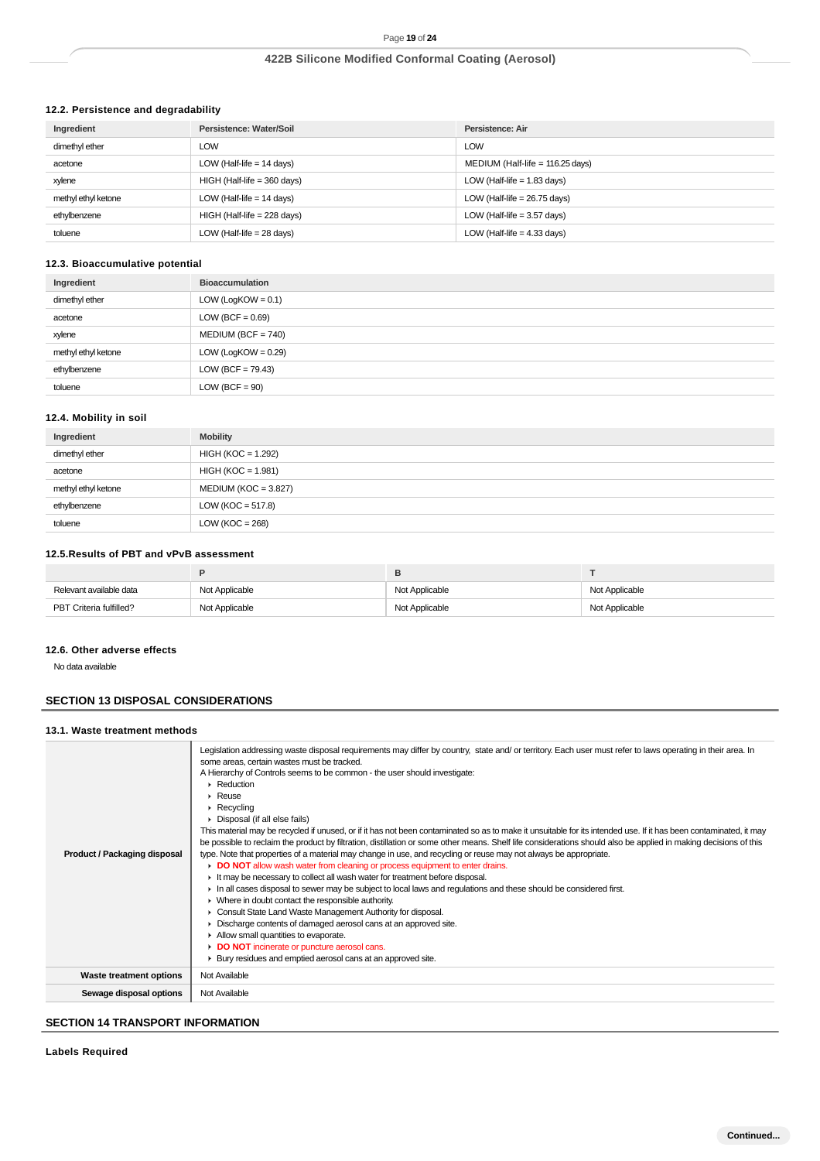# **12.2. Persistence and degradability**

| Ingredient          | Persistence: Water/Soil       | Persistence: Air                   |
|---------------------|-------------------------------|------------------------------------|
| dimethyl ether      | LOW                           | LOW                                |
| acetone             | LOW (Half-life $= 14$ days)   | MEDIUM (Half-life = $116.25$ days) |
| xylene              | $HIGH$ (Half-life = 360 days) | LOW (Half-life $= 1.83$ days)      |
| methyl ethyl ketone | LOW (Half-life $= 14$ days)   | LOW (Half-life = $26.75$ days)     |
| ethylbenzene        | $HIGH$ (Half-life = 228 days) | LOW (Half-life $=$ 3.57 days)      |
| toluene             | LOW (Half-life $= 28$ days)   | LOW (Half-life $=$ 4.33 days)      |

# **12.3. Bioaccumulative potential**

| Ingredient          | <b>Bioaccumulation</b> |
|---------------------|------------------------|
| dimethyl ether      | LOW (LogKOW = $0.1$ )  |
| acetone             | LOW (BCF = $0.69$ )    |
| xylene              | $MEDIUM (BCF = 740)$   |
| methyl ethyl ketone | LOW (LogKOW = $0.29$ ) |
| ethylbenzene        | LOW (BCF = $79.43$ )   |
| toluene             | $LOW (BCF = 90)$       |

## **12.4. Mobility in soil**

| Ingredient          | <b>Mobility</b>        |
|---------------------|------------------------|
| dimethyl ether      | $HIGH (KOC = 1.292)$   |
| acetone             | $HIGH (KOC = 1.981)$   |
| methyl ethyl ketone | $MEDIUM (KOC = 3.827)$ |
| ethylbenzene        | LOW ( $KOC = 517.8$ )  |
| toluene             | LOW ( $KOC = 268$ )    |

# **12.5.Results of PBT and vPvB assessment**

|                         |                | в              |                |
|-------------------------|----------------|----------------|----------------|
| Relevant available data | Not Applicable | Not Applicable | Not Applicable |
| PBT Criteria fulfilled? | Not Applicable | Not Applicable | Not Applicable |

### **12.6. Other adverse effects**

No data available

# **SECTION 13 DISPOSAL CONSIDERATIONS**

## **13.1. Waste treatment methods**

| <b>Product / Packaging disposal</b> | Legislation addressing waste disposal requirements may differ by country, state and/ or territory. Each user must refer to laws operating in their area. In<br>some areas, certain wastes must be tracked.<br>A Hierarchy of Controls seems to be common - the user should investigate:<br>$\blacktriangleright$ Reduction<br>$\triangleright$ Reuse<br>$\triangleright$ Recycling<br>Disposal (if all else fails)<br>This material may be recycled if unused, or if it has not been contaminated so as to make it unsuitable for its intended use. If it has been contaminated, it may<br>be possible to reclaim the product by filtration, distillation or some other means. Shelf life considerations should also be applied in making decisions of this<br>type. Note that properties of a material may change in use, and recycling or reuse may not always be appropriate.<br>DO NOT allow wash water from cleaning or process equipment to enter drains.<br>If It may be necessary to collect all wash water for treatment before disposal.<br>In all cases disposal to sewer may be subject to local laws and regulations and these should be considered first.<br>• Where in doubt contact the responsible authority.<br>Consult State Land Waste Management Authority for disposal.<br>Discharge contents of damaged aerosol cans at an approved site.<br>Allow small quantities to evaporate.<br>DO NOT incinerate or puncture aerosol cans.<br>▶ Bury residues and emptied aerosol cans at an approved site. |
|-------------------------------------|--------------------------------------------------------------------------------------------------------------------------------------------------------------------------------------------------------------------------------------------------------------------------------------------------------------------------------------------------------------------------------------------------------------------------------------------------------------------------------------------------------------------------------------------------------------------------------------------------------------------------------------------------------------------------------------------------------------------------------------------------------------------------------------------------------------------------------------------------------------------------------------------------------------------------------------------------------------------------------------------------------------------------------------------------------------------------------------------------------------------------------------------------------------------------------------------------------------------------------------------------------------------------------------------------------------------------------------------------------------------------------------------------------------------------------------------------------------------------------------------------------------------------|
| Waste treatment options             | Not Available                                                                                                                                                                                                                                                                                                                                                                                                                                                                                                                                                                                                                                                                                                                                                                                                                                                                                                                                                                                                                                                                                                                                                                                                                                                                                                                                                                                                                                                                                                            |
| Sewage disposal options             | Not Available                                                                                                                                                                                                                                                                                                                                                                                                                                                                                                                                                                                                                                                                                                                                                                                                                                                                                                                                                                                                                                                                                                                                                                                                                                                                                                                                                                                                                                                                                                            |

# **SECTION 14 TRANSPORT INFORMATION**

**Labels Required**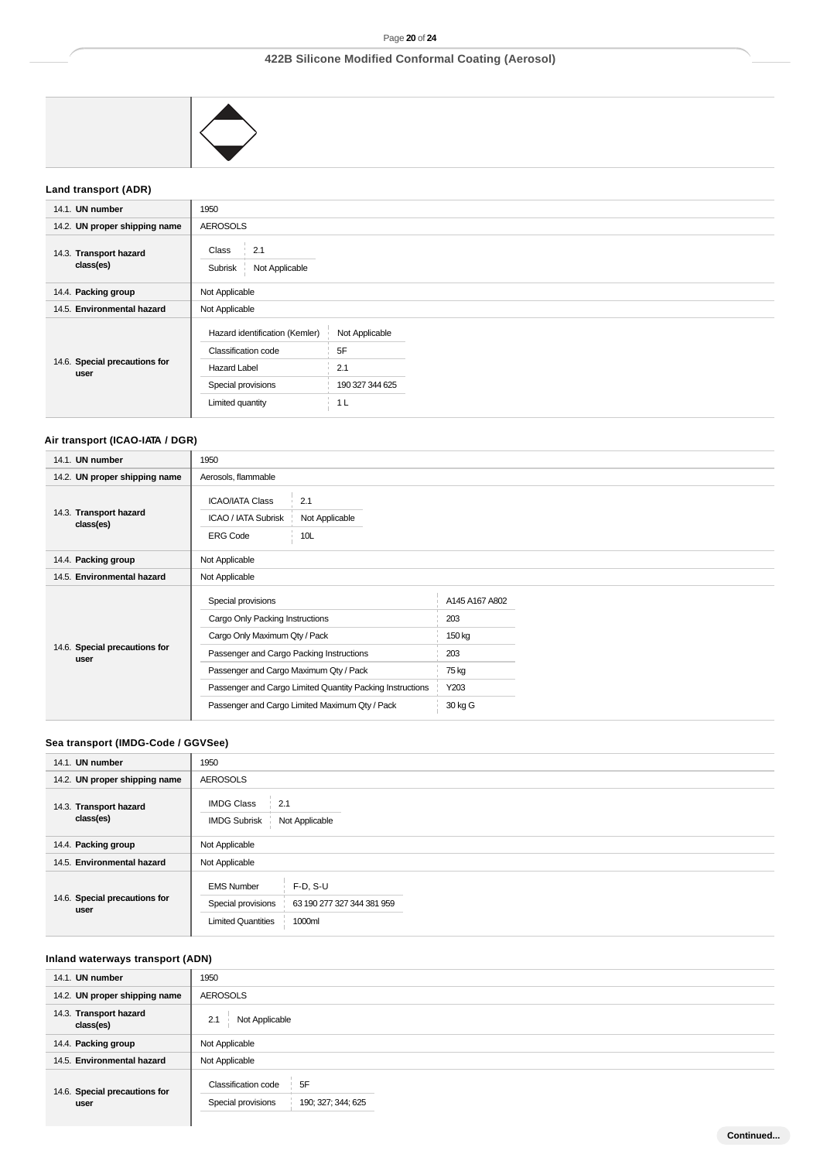

# **Land transport (ADR)**

| 14.1. UN number                       | 1950                                                                                                                          |                                                                  |  |
|---------------------------------------|-------------------------------------------------------------------------------------------------------------------------------|------------------------------------------------------------------|--|
| 14.2. UN proper shipping name         | <b>AEROSOLS</b>                                                                                                               |                                                                  |  |
| 14.3. Transport hazard<br>class(es)   | 2.1<br>Class<br>- 5<br>Not Applicable<br>Subrisk                                                                              |                                                                  |  |
| 14.4. Packing group                   | Not Applicable                                                                                                                |                                                                  |  |
| 14.5. Environmental hazard            | Not Applicable                                                                                                                |                                                                  |  |
| 14.6. Special precautions for<br>user | Hazard identification (Kemler)<br><b>Classification code</b><br><b>Hazard Label</b><br>Special provisions<br>Limited quantity | Not Applicable<br>5F<br>2.1<br>190 327 344 625<br>1 <sub>L</sub> |  |

# **Air transport (ICAO-IATA / DGR)**

| 14.1. UN number                       | 1950                                                                                                                                                                                                                                                                                        |                                                                    |
|---------------------------------------|---------------------------------------------------------------------------------------------------------------------------------------------------------------------------------------------------------------------------------------------------------------------------------------------|--------------------------------------------------------------------|
| 14.2. UN proper shipping name         | Aerosols, flammable                                                                                                                                                                                                                                                                         |                                                                    |
| 14.3. Transport hazard<br>class(es)   | <b>ICAO/IATA Class</b><br>2.1<br>ICAO / IATA Subrisk<br>Not Applicable<br>10L<br><b>ERG Code</b>                                                                                                                                                                                            |                                                                    |
| 14.4. Packing group                   | Not Applicable                                                                                                                                                                                                                                                                              |                                                                    |
| 14.5. Environmental hazard            | Not Applicable                                                                                                                                                                                                                                                                              |                                                                    |
| 14.6. Special precautions for<br>user | Special provisions<br>Cargo Only Packing Instructions<br>Cargo Only Maximum Qty / Pack<br>Passenger and Cargo Packing Instructions<br>Passenger and Cargo Maximum Qty / Pack<br>Passenger and Cargo Limited Quantity Packing Instructions<br>Passenger and Cargo Limited Maximum Qty / Pack | A145 A167 A802<br>203<br>150 kg<br>203<br>75 kg<br>Y203<br>30 kg G |

## **Sea transport (IMDG-Code / GGVSee)**

| 14.1. UN number                       | 1950                                                                                                                       |  |  |
|---------------------------------------|----------------------------------------------------------------------------------------------------------------------------|--|--|
| 14.2. UN proper shipping name         | <b>AEROSOLS</b>                                                                                                            |  |  |
| 14.3. Transport hazard<br>class(es)   | <b>IMDG Class</b><br>2.1<br>Not Applicable<br><b>IMDG Subrisk</b>                                                          |  |  |
| 14.4. Packing group                   | Not Applicable                                                                                                             |  |  |
| 14.5. Environmental hazard            | Not Applicable                                                                                                             |  |  |
| 14.6. Special precautions for<br>user | <b>EMS Number</b><br>$F-D, S-U$<br>Special provisions<br>63 190 277 327 344 381 959<br>1000ml<br><b>Limited Quantities</b> |  |  |

## **Inland waterways transport (ADN)**

| 14.1. UN number                       | 1950                                                                         |  |
|---------------------------------------|------------------------------------------------------------------------------|--|
| 14.2. UN proper shipping name         | <b>AEROSOLS</b>                                                              |  |
| 14.3. Transport hazard<br>class(es)   | Not Applicable<br>2.1                                                        |  |
| 14.4. Packing group                   | Not Applicable                                                               |  |
| 14.5. Environmental hazard            | Not Applicable                                                               |  |
| 14.6. Special precautions for<br>user | 5F<br><b>Classification code</b><br>Special provisions<br>190; 327; 344; 625 |  |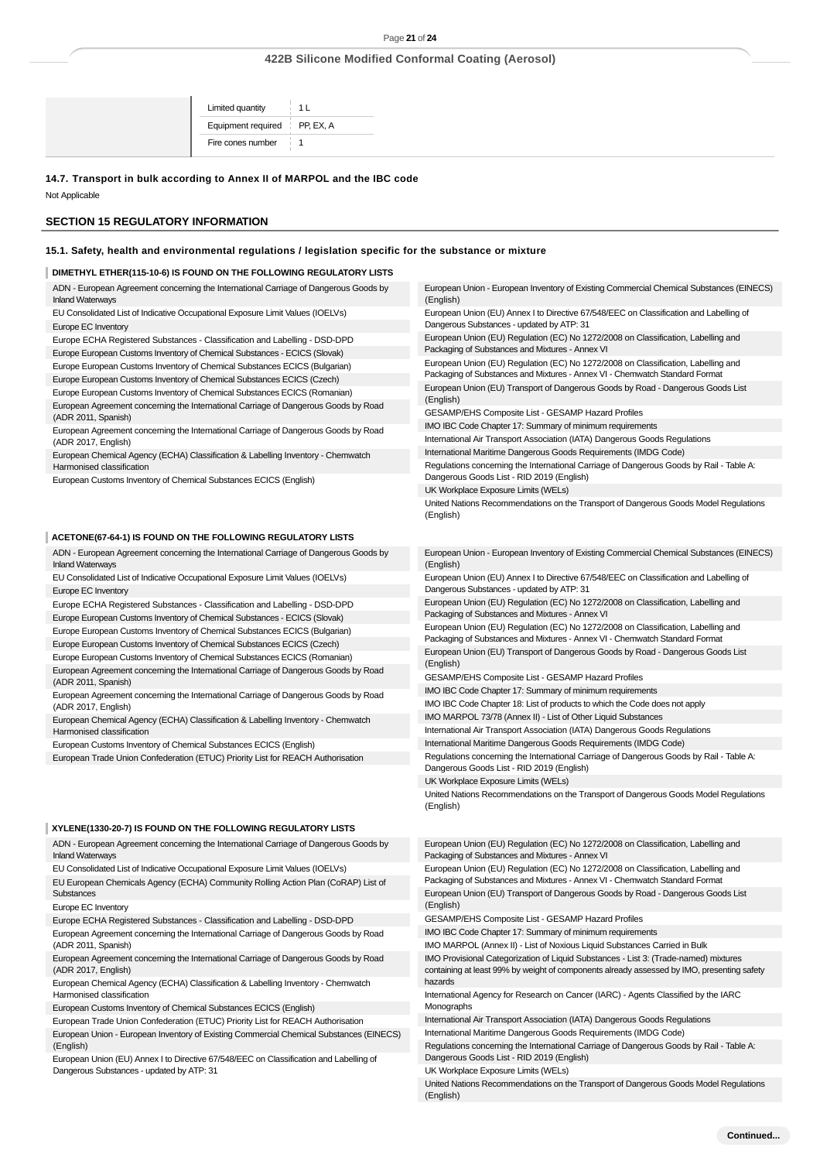#### **14.7. Transport in bulk according to Annex II of MARPOL and the IBC code**

Not Applicable

### **SECTION 15 REGULATORY INFORMATION**

### **15.1. Safety, health and environmental regulations / legislation specific for the substance or mixture**

### **DIMETHYL ETHER(115-10-6) IS FOUND ON THE FOLLOWING REGULATORY LISTS**

| ADN - European Agreement concerning the International Carriage of Dangerous Goods by<br><b>Inland Waterways</b> | European Union - European Inventory of Existing Commercial Chemical Substances (EINECS)<br>(English) |
|-----------------------------------------------------------------------------------------------------------------|------------------------------------------------------------------------------------------------------|
| EU Consolidated List of Indicative Occupational Exposure Limit Values (IOELVs)                                  | European Union (EU) Annex I to Directive 67/548/EEC on Classification and Labelling of               |
| Europe EC Inventory                                                                                             | Dangerous Substances - updated by ATP: 31                                                            |
| Europe ECHA Registered Substances - Classification and Labelling - DSD-DPD                                      | European Union (EU) Regulation (EC) No 1272/2008 on Classification, Labelling and                    |
| Europe European Customs Inventory of Chemical Substances - ECICS (Slovak)                                       | Packaging of Substances and Mixtures - Annex VI                                                      |
| Europe European Customs Inventory of Chemical Substances ECICS (Bulgarian)                                      | European Union (EU) Regulation (EC) No 1272/2008 on Classification, Labelling and                    |
| Europe European Customs Inventory of Chemical Substances ECICS (Czech)                                          | Packaging of Substances and Mixtures - Annex VI - Chemwatch Standard Format                          |
| Europe European Customs Inventory of Chemical Substances ECICS (Romanian)                                       | European Union (EU) Transport of Dangerous Goods by Road - Dangerous Goods List<br>(English)         |
| European Agreement concerning the International Carriage of Dangerous Goods by Road<br>(ADR 2011, Spanish)      | GESAMP/EHS Composite List - GESAMP Hazard Profiles                                                   |
| European Agreement concerning the International Carriage of Dangerous Goods by Road                             | IMO IBC Code Chapter 17: Summary of minimum requirements                                             |
| (ADR 2017, English)                                                                                             | International Air Transport Association (IATA) Dangerous Goods Regulations                           |
| European Chemical Agency (ECHA) Classification & Labelling Inventory - Chemwatch                                | International Maritime Dangerous Goods Requirements (IMDG Code)                                      |
| Harmonised classification                                                                                       | Regulations concerning the International Carriage of Dangerous Goods by Rail - Table A:              |
| European Customs Inventory of Chemical Substances ECICS (English)                                               | Dangerous Goods List - RID 2019 (English)                                                            |
|                                                                                                                 | UK Workplace Exposure Limits (WELs)                                                                  |
|                                                                                                                 | United Nations Recommendations on the Transport of Dangerous Goods Model Regulations<br>(English)    |
| ACETONE(67-64-1) IS FOUND ON THE FOLLOWING REGULATORY LISTS                                                     |                                                                                                      |
| ADN - European Agreement concerning the International Carriage of Dangerous Goods by<br><b>Inland Waterways</b> | European Union - European Inventory of Existing Commercial Chemical Substances (EINECS)              |
|                                                                                                                 | (English)                                                                                            |
| EU Consolidated List of Indicative Occupational Exposure Limit Values (IOELVs)                                  | European Union (EU) Annex I to Directive 67/548/EEC on Classification and Labelling of               |
| Europe EC Inventory                                                                                             | Dangerous Substances - updated by ATP: 31                                                            |
| Europe ECHA Registered Substances - Classification and Labelling - DSD-DPD                                      | European Union (EU) Regulation (EC) No 1272/2008 on Classification, Labelling and                    |
| Europe European Customs Inventory of Chemical Substances - ECICS (Slovak)                                       | Packaging of Substances and Mixtures - Annex VI                                                      |
| Europe European Customs Inventory of Chemical Substances ECICS (Bulgarian)                                      | European Union (EU) Regulation (EC) No 1272/2008 on Classification, Labelling and                    |
| Europe European Customs Inventory of Chemical Substances ECICS (Czech)                                          | Packaging of Substances and Mixtures - Annex VI - Chemwatch Standard Format                          |
| Europe European Customs Inventory of Chemical Substances ECICS (Romanian)                                       | European Union (EU) Transport of Dangerous Goods by Road - Dangerous Goods List                      |
| European Agreement concerning the International Carriage of Dangerous Goods by Road                             | (English)<br>GESAMP/EHS Composite List - GESAMP Hazard Profiles                                      |
| (ADR 2011, Spanish)                                                                                             | IMO IBC Code Chapter 17: Summary of minimum requirements                                             |
| European Agreement concerning the International Carriage of Dangerous Goods by Road<br>(ADR 2017, English)      | IMO IBC Code Chapter 18: List of products to which the Code does not apply                           |
| European Chemical Agency (ECHA) Classification & Labelling Inventory - Chemwatch                                | IMO MARPOL 73/78 (Annex II) - List of Other Liquid Substances                                        |
| Harmonised classification                                                                                       | International Air Transport Association (IATA) Dangerous Goods Regulations                           |
| European Customs Inventory of Chemical Substances ECICS (English)                                               | International Maritime Dangerous Goods Requirements (IMDG Code)                                      |

### **XYLENE(1330-20-7) IS FOUND ON THE FOLLOWING REGULATORY LISTS**

ADN - European Agreement concerning the International Carriage of Dangerous Goods by Inland Waterways

EU Consolidated List of Indicative Occupational Exposure Limit Values (IOELVs) EU European Chemicals Agency (ECHA) Community Rolling Action Plan (CoRAP) List of Substances

Europe EC Inventory

Europe ECHA Registered Substances - Classification and Labelling - DSD-DPD

European Agreement concerning the International Carriage of Dangerous Goods by Road (ADR 2011, Spanish)

European Agreement concerning the International Carriage of Dangerous Goods by Road (ADR 2017, English)

European Chemical Agency (ECHA) Classification & Labelling Inventory - Chemwatch Harmonised classification

European Customs Inventory of Chemical Substances ECICS (English)

European Trade Union Confederation (ETUC) Priority List for REACH Authorisation European Union - European Inventory of Existing Commercial Chemical Substances (EINECS) (English)

European Union (EU) Annex I to Directive 67/548/EEC on Classification and Labelling of Dangerous Substances - updated by ATP: 31

European Union (EU) Regulation (EC) No 1272/2008 on Classification, Labelling and Packaging of Substances and Mixtures - Annex VI

United Nations Recommendations on the Transport of Dangerous Goods Model Regulations

European Union (EU) Regulation (EC) No 1272/2008 on Classification, Labelling and Packaging of Substances and Mixtures - Annex VI - Chemwatch Standard Format European Union (EU) Transport of Dangerous Goods by Road - Dangerous Goods List (English)

GESAMP/EHS Composite List - GESAMP Hazard Profiles

IMO IBC Code Chapter 17: Summary of minimum requirements

IMO MARPOL (Annex II) - List of Noxious Liquid Substances Carried in Bulk

IMO Provisional Categorization of Liquid Substances - List 3: (Trade-named) mixtures containing at least 99% by weight of components already assessed by IMO, presenting safety hazards

International Agency for Research on Cancer (IARC) - Agents Classified by the IARC Monographs

International Air Transport Association (IATA) Dangerous Goods Regulations

International Maritime Dangerous Goods Requirements (IMDG Code) Regulations concerning the International Carriage of Dangerous Goods by Rail - Table A:

Dangerous Goods List - RID 2019 (English)

UK Workplace Exposure Limits (WELs)

UK Workplace Exposure Limits (WELs)

(English)

United Nations Recommendations on the Transport of Dangerous Goods Model Regulations (English)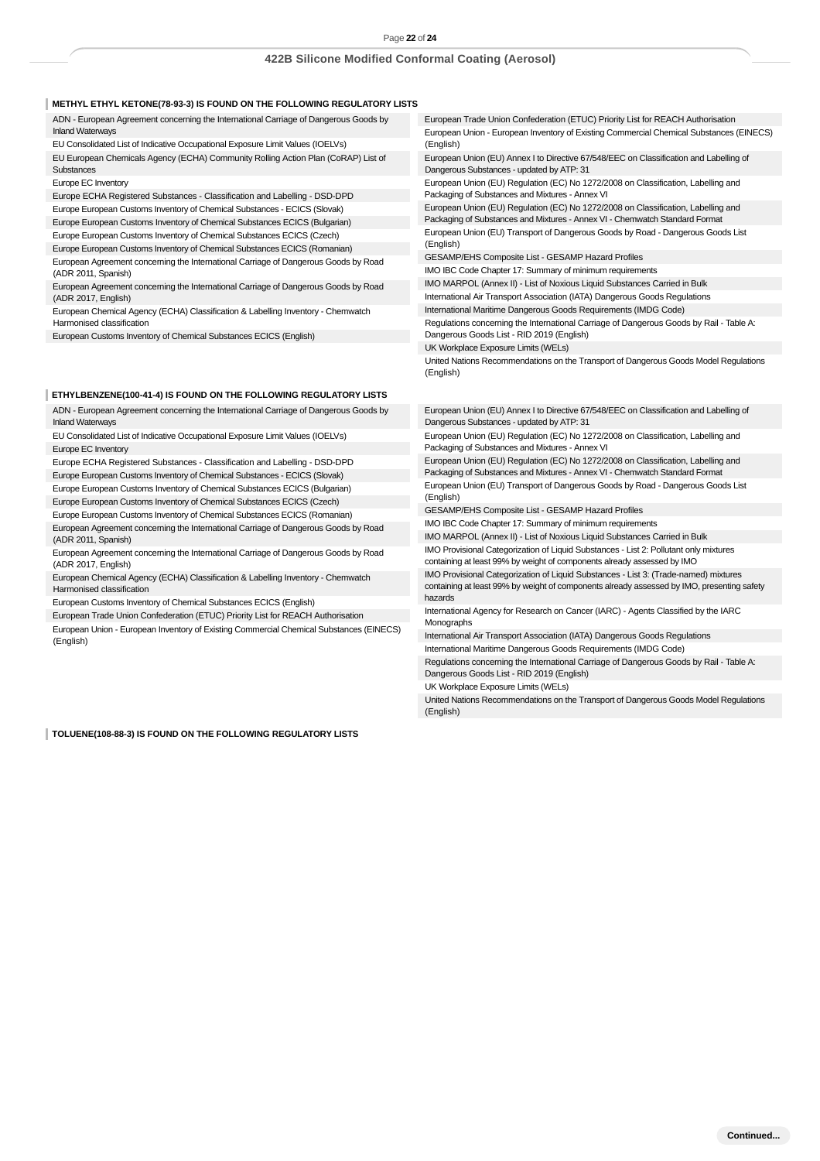### **METHYL ETHYL KETONE(78-93-3) IS FOUND ON THE FOLLOWING REGULATORY LISTS**

ADN - European Agreement concerning the International Carriage of Dangerous Goods by Inland Waterways EU Consolidated List of Indicative Occupational Exposure Limit Values (IOELVs)

EU European Chemicals Agency (ECHA) Community Rolling Action Plan (CoRAP) List of **Substances** 

Europe EC Inventory

Europe ECHA Registered Substances - Classification and Labelling - DSD-DPD Europe European Customs Inventory of Chemical Substances - ECICS (Slovak)

Europe European Customs Inventory of Chemical Substances ECICS (Bulgarian)

Europe European Customs Inventory of Chemical Substances ECICS (Czech)

Europe European Customs Inventory of Chemical Substances ECICS (Romanian)

European Agreement concerning the International Carriage of Dangerous Goods by Road (ADR 2011, Spanish)

European Agreement concerning the International Carriage of Dangerous Goods by Road (ADR 2017, English)

European Chemical Agency (ECHA) Classification & Labelling Inventory - Chemwatch Harmonised classification

European Customs Inventory of Chemical Substances ECICS (English)

#### **ETHYLBENZENE(100-41-4) IS FOUND ON THE FOLLOWING REGULATORY LISTS**

ADN - European Agreement concerning the International Carriage of Dangerous Goods by Inland Waterways

EU Consolidated List of Indicative Occupational Exposure Limit Values (IOELVs) Europe EC Inventory

Europe ECHA Registered Substances - Classification and Labelling - DSD-DPD Europe European Customs Inventory of Chemical Substances - ECICS (Slovak)

Europe European Customs Inventory of Chemical Substances ECICS (Bulgarian) Europe European Customs Inventory of Chemical Substances ECICS (Czech)

Europe European Customs Inventory of Chemical Substances ECICS (Romanian) European Agreement concerning the International Carriage of Dangerous Goods by Road (ADR 2011, Spanish)

European Agreement concerning the International Carriage of Dangerous Goods by Road (ADR 2017, English)

European Chemical Agency (ECHA) Classification & Labelling Inventory - Chemwatch Harmonised classification

European Customs Inventory of Chemical Substances ECICS (English)

European Trade Union Confederation (ETUC) Priority List for REACH Authorisation

European Union - European Inventory of Existing Commercial Chemical Substances (EINECS) (English)

**TOLUENE(108-88-3) IS FOUND ON THE FOLLOWING REGULATORY LISTS**

European Trade Union Confederation (ETUC) Priority List for REACH Authorisation European Union - European Inventory of Existing Commercial Chemical Substances (EINECS) (English)

European Union (EU) Annex I to Directive 67/548/EEC on Classification and Labelling of Dangerous Substances - updated by ATP: 31

European Union (EU) Regulation (EC) No 1272/2008 on Classification, Labelling and Packaging of Substances and Mixtures - Annex VI

European Union (EU) Regulation (EC) No 1272/2008 on Classification, Labelling and Packaging of Substances and Mixtures - Annex VI - Chemwatch Standard Format European Union (EU) Transport of Dangerous Goods by Road - Dangerous Goods List (English)

GESAMP/EHS Composite List - GESAMP Hazard Profiles

IMO IBC Code Chapter 17: Summary of minimum requirements

IMO MARPOL (Annex II) - List of Noxious Liquid Substances Carried in Bulk

International Air Transport Association (IATA) Dangerous Goods Regulations

International Maritime Dangerous Goods Requirements (IMDG Code)

Regulations concerning the International Carriage of Dangerous Goods by Rail - Table A: Dangerous Goods List - RID 2019 (English)

UK Workplace Exposure Limits (WELs)

United Nations Recommendations on the Transport of Dangerous Goods Model Regulations (English)

European Union (EU) Annex I to Directive 67/548/EEC on Classification and Labelling of Dangerous Substances - updated by ATP: 31

European Union (EU) Regulation (EC) No 1272/2008 on Classification, Labelling and Packaging of Substances and Mixtures - Annex VI

European Union (EU) Regulation (EC) No 1272/2008 on Classification, Labelling and Packaging of Substances and Mixtures - Annex VI - Chemwatch Standard Format European Union (EU) Transport of Dangerous Goods by Road - Dangerous Goods List (English)

GESAMP/EHS Composite List - GESAMP Hazard Profiles

IMO IBC Code Chapter 17: Summary of minimum requirements

IMO MARPOL (Annex II) - List of Noxious Liquid Substances Carried in Bulk IMO Provisional Categorization of Liquid Substances - List 2: Pollutant only mixtures

containing at least 99% by weight of components already assessed by IMO

IMO Provisional Categorization of Liquid Substances - List 3: (Trade-named) mixtures containing at least 99% by weight of components already assessed by IMO, presenting safety hazards

International Agency for Research on Cancer (IARC) - Agents Classified by the IARC Monographs

International Air Transport Association (IATA) Dangerous Goods Regulations International Maritime Dangerous Goods Requirements (IMDG Code)

Regulations concerning the International Carriage of Dangerous Goods by Rail - Table A: Dangerous Goods List - RID 2019 (English)

UK Workplace Exposure Limits (WELs)

United Nations Recommendations on the Transport of Dangerous Goods Model Regulations (English)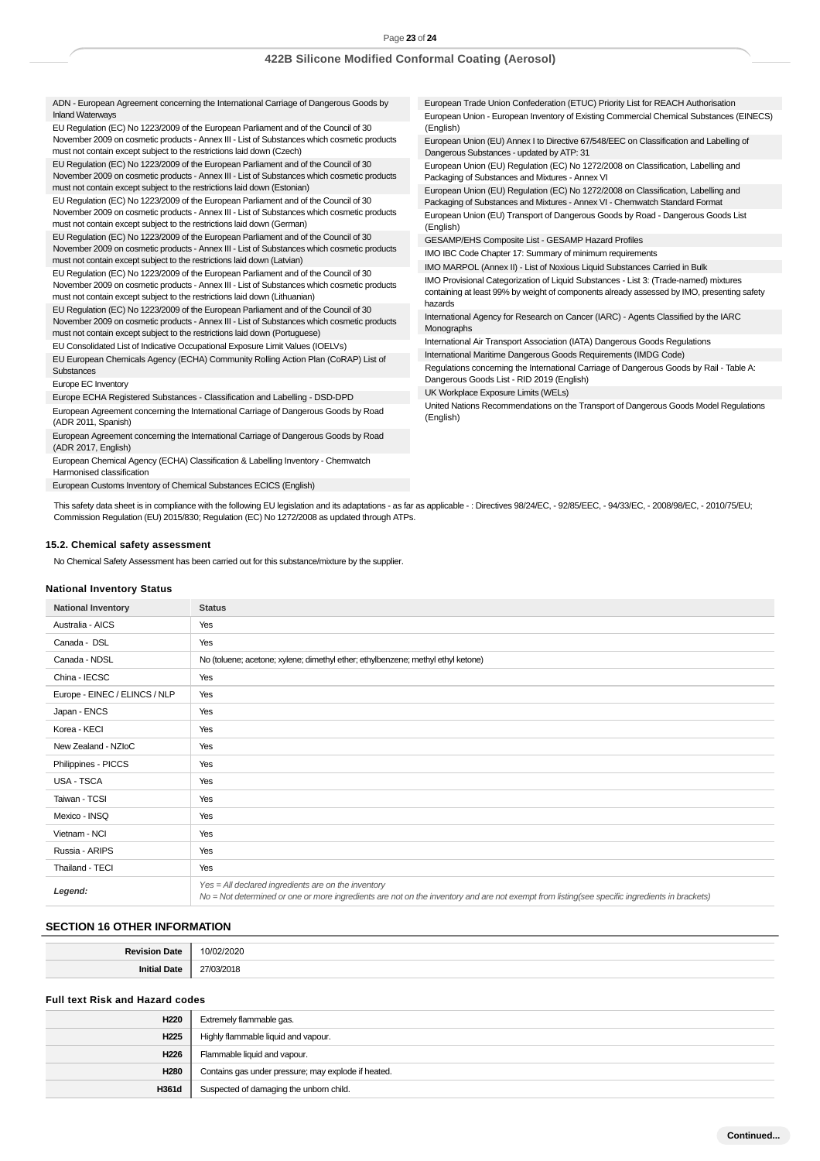ADN - European Agreement concerning the International Carriage of Dangerous Goods by Inland Waterways

EU Regulation (EC) No 1223/2009 of the European Parliament and of the Council of 30 November 2009 on cosmetic products - Annex III - List of Substances which cosmetic products must not contain except subject to the restrictions laid down (Czech)

EU Regulation (EC) No 1223/2009 of the European Parliament and of the Council of 30 November 2009 on cosmetic products - Annex III - List of Substances which cosmetic products must not contain except subject to the restrictions laid down (Estonian)

EU Regulation (EC) No 1223/2009 of the European Parliament and of the Council of 30 November 2009 on cosmetic products - Annex III - List of Substances which cosmetic products must not contain except subject to the restrictions laid down (German)

EU Regulation (EC) No 1223/2009 of the European Parliament and of the Council of 30 November 2009 on cosmetic products - Annex III - List of Substances which cosmetic products must not contain except subject to the restrictions laid down (Latvian)

EU Regulation (EC) No 1223/2009 of the European Parliament and of the Council of 30 November 2009 on cosmetic products - Annex III - List of Substances which cosmetic products must not contain except subject to the restrictions laid down (Lithuanian)

EU Regulation (EC) No 1223/2009 of the European Parliament and of the Council of 30 November 2009 on cosmetic products - Annex III - List of Substances which cosmetic products must not contain except subject to the restrictions laid down (Portuguese)

EU Consolidated List of Indicative Occupational Exposure Limit Values (IOELVs)

EU European Chemicals Agency (ECHA) Community Rolling Action Plan (CoRAP) List of **Substances** 

Europe EC Inventory

Europe ECHA Registered Substances - Classification and Labelling - DSD-DPD

European Agreement concerning the International Carriage of Dangerous Goods by Road (ADR 2011, Spanish)

European Agreement concerning the International Carriage of Dangerous Goods by Road (ADR 2017, English)

European Chemical Agency (ECHA) Classification & Labelling Inventory - Chemwatch Harmonised classification

European Customs Inventory of Chemical Substances ECICS (English)

This safety data sheet is in compliance with the following EU legislation and its adaptations - as far as applicable - : Directives 98/24/EC, - 92/85/EEC, - 94/33/EC, - 2008/98/EC, - 2010/75/EU; Commission Regulation (EU) 2015/830; Regulation (EC) No 1272/2008 as updated through ATPs.

#### **15.2. Chemical safety assessment**

No Chemical Safety Assessment has been carried out for this substance/mixture by the supplier.

#### **National Inventory Status**

| <b>National Inventory</b>     | <b>Status</b>                                                                                                                                                                                          |
|-------------------------------|--------------------------------------------------------------------------------------------------------------------------------------------------------------------------------------------------------|
| Australia - AICS              | Yes                                                                                                                                                                                                    |
| Canada - DSL                  | Yes                                                                                                                                                                                                    |
| Canada - NDSL                 | No (toluene; acetone; xylene; dimethyl ether; ethylbenzene; methyl ethyl ketone)                                                                                                                       |
| China - IECSC                 | Yes                                                                                                                                                                                                    |
| Europe - EINEC / ELINCS / NLP | Yes                                                                                                                                                                                                    |
| Japan - ENCS                  | Yes                                                                                                                                                                                                    |
| Korea - KECI                  | Yes                                                                                                                                                                                                    |
| New Zealand - NZIoC           | Yes                                                                                                                                                                                                    |
| Philippines - PICCS           | Yes                                                                                                                                                                                                    |
| USA - TSCA                    | Yes                                                                                                                                                                                                    |
| Taiwan - TCSI                 | Yes                                                                                                                                                                                                    |
| Mexico - INSQ                 | Yes                                                                                                                                                                                                    |
| Vietnam - NCI                 | Yes                                                                                                                                                                                                    |
| Russia - ARIPS                | Yes                                                                                                                                                                                                    |
| Thailand - TECI               | Yes                                                                                                                                                                                                    |
| Legend:                       | $Yes = All declared ingredients are on the inventory$<br>No = Not determined or one or more ingredients are not on the inventory and are not exempt from listing(see specific ingredients in brackets) |

### **SECTION 16 OTHER INFORMATION**

| . |
|---|
| . |

### **Full text Risk and Hazard codes**

| H <sub>220</sub> | Extremely flammable gas.                            |
|------------------|-----------------------------------------------------|
| H <sub>225</sub> | Highly flammable liquid and vapour.                 |
| H226             | Flammable liquid and vapour.                        |
| H <sub>280</sub> | Contains gas under pressure; may explode if heated. |
| H361d            | Suspected of damaging the unborn child.             |

European Trade Union Confederation (ETUC) Priority List for REACH Authorisation European Union - European Inventory of Existing Commercial Chemical Substances (EINECS) (English)

European Union (EU) Annex I to Directive 67/548/EEC on Classification and Labelling of Dangerous Substances - updated by ATP: 31

European Union (EU) Regulation (EC) No 1272/2008 on Classification, Labelling and Packaging of Substances and Mixtures - Annex VI

European Union (EU) Regulation (EC) No 1272/2008 on Classification, Labelling and

Packaging of Substances and Mixtures - Annex VI - Chemwatch Standard Format European Union (EU) Transport of Dangerous Goods by Road - Dangerous Goods List (English)

GESAMP/EHS Composite List - GESAMP Hazard Profiles

IMO IBC Code Chapter 17: Summary of minimum requirements

IMO MARPOL (Annex II) - List of Noxious Liquid Substances Carried in Bulk

IMO Provisional Categorization of Liquid Substances - List 3: (Trade-named) mixtures containing at least 99% by weight of components already assessed by IMO, presenting safety hazards

International Agency for Research on Cancer (IARC) - Agents Classified by the IARC Monographs

International Air Transport Association (IATA) Dangerous Goods Regulations

International Maritime Dangerous Goods Requirements (IMDG Code) Regulations concerning the International Carriage of Dangerous Goods by Rail - Table A:

Dangerous Goods List - RID 2019 (English)

UK Workplace Exposure Limits (WELs)

United Nations Recommendations on the Transport of Dangerous Goods Model Regulations (English)